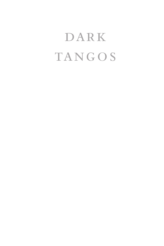## DARK **TANGOS**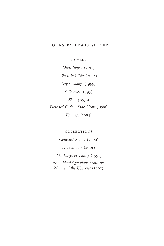## books by lewis shiner

novels

*Dark Tangos* (2011) *Black & White* (2008) *Say Goodbye* (1999) *Glimpses* (1993) *Slam* (1990) *Deserted Cities of the Heart* (1988) *Frontera* (1984)

collections

*Collected Stories* (2009)

*Love in Vain* (2001)

*The Edges of Things* (1991) *Nine Hard Questions about the Nature of the Universe* (1990)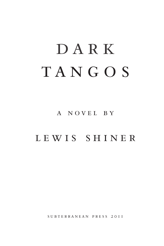# DARK TANGOS

a novel by

## lewis shiner

subterranean press 2011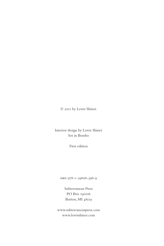© 2011 by Lewis Shiner.

Interior design by Lewis Shiner Set in Bembo

First edition

isbn 978-1-59606-396-9

Subterranean Press PO Box 190106 Burton, MI 48519

www.subterraneanpress.com www.lewisshiner.com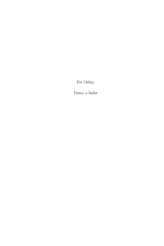*For Orlita:*

*Vamos a bailar*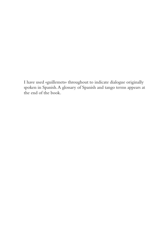I have used «guillemets» throughout to indicate dialogue originally spoken in Spanish. A glossary of Spanish and tango terms appears at the end of the book.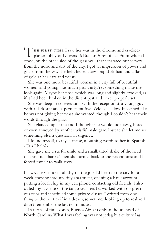THE FIRST TIME I saw her was in the chrome and cracked-<br>plaster lobby of Universal's Buenos Aires office. From where I stood, on the other side of the glass wall that separated our servers from the noise and dirt of the city, I got an impression of power and grace from the way she held herself, saw long dark hair and a flash of gold at her ears and wrists.

She was one more beautiful woman in a city full of beautiful women, and young, not much past thirty. Yet something made me look again. Maybe her nose, which was long and slightly crooked, as if it had been broken in the distant past and never properly set.

She was deep in conversation with the receptionist, a young guy with a dark suit and a permanent five o'clock shadow. It seemed like he was not giving her what she wanted, though I couldn't hear their words through the glass.

She glanced up at me and I thought she would look away, bored or even annoyed by another wistful male gaze. Instead she let me see something else, a question, an urgency.

I found myself, to my surprise, mouthing words to her in Spanish: «Can I help?»

She gave me a rueful smile and a small, tilted shake of the head that said no, thanks. Then she turned back to the receptionist and I forced myself to walk away.

IT WAS MY FIRST full day on the job. I'd been in the city for a week, moving into my tiny apartment, opening a bank account, putting a local chip in my cell phone, contacting old friends. I also called my favorite of the tango teachers I'd worked with on previous trips and scheduled some private classes. I drifted from one thing to the next as if in a dream, sometimes looking up to realize I didn't remember the last ten minutes.

In terms of time zones, Buenos Aires is only an hour ahead of North Carolina. What I was feeling was not jetlag but culture lag,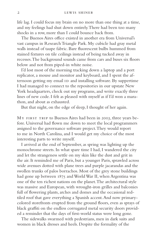life lag. I could focus my brain on no more than one thing at a time, and my feelings had shut down entirely. There had been too many shocks in a row, more than I could bounce back from.

The Buenos Aires office existed in another era from Universal's vast campus in Research Triangle Park. My cubicle had gray metal walls instead of taupe fabric. Bare fluorescent bulbs hummed from stained fixtures on tile ceilings instead of being tucked away in recesses. The background sounds came from cars and buses six floors below and not from piped-in white noise.

I'd lost most of the morning tracking down a laptop and a port replicator, a mouse and monitor and keyboard, and I spent the afternoon getting my email ID and installing software. By suppertime I had managed to connect to the repositories in our upstate New York headquarters, check out my programs, and write exactly three lines of new code. I felt as pleased with myself as if I'd won a marathon, and about as exhausted.

But that night, on the edge of sleep, I thought of her again.

MY FIRST TRIP to Buenos Aires had been in 2003, three years before. Universal had flown me down to meet the local programmers assigned to the governance software project. They would report to me in North Carolina, and I would get my choice of the most interesting parts to write myself.

I arrived at the end of September, as spring was lighting up the monochrome streets. In what spare time I had, I wandered the city and let the strangeness settle on my skin like the dust and grit in the air. It reminded me of Paris, but a younger Paris, sprawled across wide avenues dotted with plane trees and purple jacarandas and the swollen trunks of palos borrachos. Most of the grey stone buildings had gone up between 1875 and World War II, when Argentina was one of the ten richest nations on the planet. The architectural style was massive and European, with wrought-iron grilles and balconies full of flowering plants, arches and domes and the occasional redtiled roof that gave everything a Spanish accent. And now primarycolored storefronts erupted from the ground floors, even as sprays of black graffiti on the endless corrugated metal security doors provided a reminder that the days of first-world status were long gone.

The sidewalks swarmed with pedestrians, men in dark suits and women in black dresses and heels. Despite the formality of the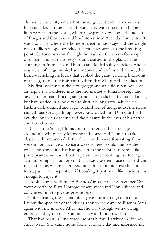## *Dark Tangos* 3

clothes, it was a city where both sexes greeted each other with a hug and a kiss on the cheek. It was a city with one of the highest literacy rates in the world, where newspaper kiosks sold the novels of Borges and Cortázar, and bookstores lined Avenida Corrientes. It was also a city where the homeless slept in doorways and the weight of 13 million people stretched the city's resources to the breaking point. Cartoneros went through the trash on the streets for scrap cardboard and plastic to recycle, and crafters in the plazas made stunning art from cans and bottles and folded subway tickets. And it was a city of tango music, bandoneones and violins and pianos, the heart-wrenching melodies that evoked the giant, echoing ballrooms of the 1930s, and the insistent rhythms that whispered of seduction.

My first morning in the city, groggy and stale from ten hours on an airplane, I wandered into the flea market at Plaza Dorrego and saw an older man dancing tango, not in the clichéd fedora and ascot, but bareheaded in a loose white shirt, his long gray hair slicked back, a dark-skinned and eagle-beaked son of indigenous Americans named Luis Ortega, though everybody called him Don Güicho. I saw the joy in his dancing and the pleasure in the eyes of his partner and I was hooked.

Back in the States, I found out that there had been tango all around me without my knowing it. I convinced Lauren to take classes with me, and while the first months were frustrating, there were milongas once or twice a week where I could glimpse the grace and sensuality that had spoken to me in Buenos Aires. Like all principiantes, we started with open embrace, looking like teenagers at a junior high school prom. But it was close embrace that held the magic for me, where tango became a three-minute love affair, intense, passionate, hypnotic—if I could get past my self-consciousness enough to enjoy it.

I took Lauren with me to Buenos Aires the next September. We went directly to Plaza Dorrego, where we found Don Güicho and convinced him to give us private lessons.

Unfortunately, the second life it gave our marriage didn't last. Lauren dropped out of the classes, though she came to Buenos Aires again with me in 2005. After that she was through with dancing entirely and by the next summer she was through with me.

That had been in June, three months before I arrived in Buenos Aires to stay. She came home from work one day and informed me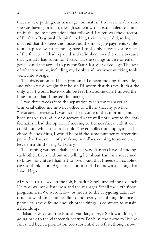that she was putting our marriage "on hiatus." I was reasonably sure she was having an affair, though somehow that issue failed to come up in the polite negotiations that followed. Lauren was the director of Durham Regional Hospital, making twice what I did, so logic dictated that she keep the house and the mortgage payments while I found a place over a friend's garage. I took only a few favorite pieces of the furniture I had repaired and refinished over the years because that was all I had room for. I kept half the savings in case of emergencies and she agreed to pay for Sam's last year of college. The rest of what was mine, including my books and my woodworking tools, went into storage.

The dislocation had been profound. I'd been moving all my life, and when we'd bought that house I'd sworn that this was it, that the only way I would leave would be feet first. Some days I missed the house more than I missed the marriage.

I was three weeks into the separation when my manager at Universal called me into her office to tell me that my job had "relocated" overseas. It was as if she'd come in that morning and been unable to find it, or discovered a farewell note next to the coffeemaker. I had the option of moving to Buenos Aires with it, or I could quit, which meant I couldn't even collect unemployment. If I chose Buenos Aires, I would be paid the same number of Argentine pesos that I was currently making in dollars, coming to somewhat less than a third of my US salary.

The timing was remarkable, in that way disasters have of finding each other. Even without my telling her about Lauren, she seemed to know how little I had left to lose. I said that I needed a couple of days to think about Argentina, but in truth I'd known all along that I would go.

MY SECOND DAY on the job, Bahadur Singh invited me to lunch. He was my immediate boss and the manager for all the sixth floor programmers. We were fellow outsiders to the easygoing Latin attitude toward time and deadlines, and over years of long distance phone calls we'd found enough other things in common to sustain a friendship.

Bahadur was from the Punjab via Bangalore, a Sikh with lineage going back to the eighteenth century. For him, the move to Buenos Aires had been a promotion too substantial to refuse, though now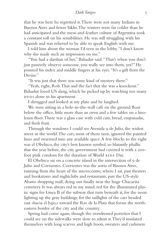that he was here he regretted it. There were not many Indians in Buenos Aires and fewer Sikhs. The winters were far colder than he had anticipated and the meat-and-leather culture of Argentina took a constant toll on his sensibilities. He was still struggling with his Spanish and was relieved to be able to speak English with me.

I told him about the woman I'd seen in the lobby. "I don't know why she made such an impression on me."

"You had a darshan of her," Bahadur said. "That's when you don't just passively observe someone, you really see into them, yes?" He pointed his index and middle fingers at his eyes. "It's a gift from the Divine"

"It was just that there was some kind of mystery there."

"Yeah, right, Rob. That and the fact that she was a knockout." Bahadur loved US slang, which he picked up by watching too many DVDs alone in his apartment.

I shrugged and looked at my plate and he laughed.

We were sitting in a hole-in-the-wall café on the ground floor below the office, little more than an oven and a few tables on a linoleum floor. There was a glass case with cold cuts, bread, empanadas, and fresh fruit.

Through the windows I could see Avenida 9 de Julio, the widest street in the world. The cars, most of them taxis, ignored the painted lines and swarmed into any available space. A few blocks to the right was el Obelisco, the city's best known symbol, so blatantly phallic that the year before, the city government had covered it with a 200 foot pink condom for the duration of World AIDS Day.

El Obelisco sat on a concrete island in the intersection of 9 de Julio and Corrientes. Corrientes was the aorta of Buenos Aires, running from the heart of the microcentro, where I sat, past theaters and bookstores and nightclubs and restaurants, past the US-style Abasto shopping mall, dying out finally near the huge Chacarita cemetery. It was always red in my mind, red for the illuminated plastic signs for Linea B of the subway that runs beneath it, for the neon lighting up the gray buildings, for the taillights of the cars headed east «hacia el bajo,» toward the Rio de la Plata that forms the northeastern border of the city and the country.

Spring had come again, though the overdressed porteños that I could see on the sidewalks were slow to admit it. They'd insulated themselves with long scarves and high boots, sweaters and cashmere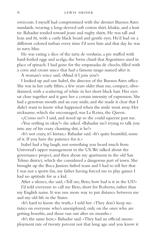overcoats. I myself had compromised with the dressier Buenos Aires standards, wearing a long-sleeved soft cotton shirt, khakis, and a knit tie. Bahadur tended toward jeans and rugby shirts. He was tall and lean and fit, with a curly black beard and gentle eyes. He'd had on a different colored turban every time I'd seen him and that day he was in navy blue.

He was eating a slice of the tarta de verduras, a pie stuffed with hard-boiled eggs and acelga, the Swiss chard that Argentines used in place of spinach. I had gone for the empanadas de choclo, filled with a corn and cream sauce that had a famous tango named after it.

A woman's voice said, «Mind if I join you?»

I looked up and saw Isabel, the director of the Buenos Aires office. She was in her early fifties, a few years older than me, compact, oliveskinned, with a scattering of white in her short black hair. Her eyes sat close together and it gave her a certain intensity of expression. She had a generous mouth and an easy smile, and she made it clear that I didn't want to know what happened when the smile went away. Her nickname, which she encouraged, was La Reina, the Queen.

«¿Como no?» I said, and stood up so she could squeeze past me.

«You settling in okay?» she asked. «Bahadur isn't trying to talk you into any of his crazy chanting shit, is he?»

«It's not crazy, it's kirtan,» Bahadur said. «It's quite beautiful, some of it. If you have the patience for it.»

Isabel had a big laugh, not something you heard much from Universal's upper management in the US. We talked about the governance project, and then about my apartment in the old San Telmo district, which she considered a dangerous part of town. She brought up the Boca Juniors futbol team and I had to tell her that I was not a sports fan, my father having forced me to play games I had no aptitude for as a kid.

After a silence, she said, «Tell me, Beto, how bad is it in the US?»

I'd told everyone to call me Beto, short for Roberto, rather than my English name. It was one more way to put distance between me and my old life in the States.

«It's hard to know the truth,» I told her. «They don't keep statistics on everyone who's unemployed, only on the ones who are getting benefits, and those run out after six months.»

«It's the same here,» Bahadur said. «They had an official unemployment rate of twenty percent not that long ago and you know it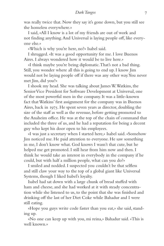was really twice that. Now they say it's gone down, but you still see the homeless everywhere.»

I said, «All I know is a lot of my friends are out of work and not finding anything. And Universal is laying people off, like everyone else.»

«Which is why you're here, no?» Isabel said.

I shrugged. «It was a good opportunity for me. I love Buenos Aires. I always wondered how it would be to live here.»

«I think maybe you're being diplomatic. That's not a bad thing. Still, you wonder where all this is going to end up. I know Jim would not be laying people off if there was any other way. You never met Jim, did you?»

I shook my head. She was talking about James W. Watkins, the Senior Vice President for Software Development at Universal, one of the most powerful men in the company. It was a little-known fact that Watkins' first assignment for the company was in Buenos Aires, back in 1975. He spent seven years as director, doubling the size of the staff as well as the revenue, before getting promoted to the Anaheim office. He was at the top of the chain of command that included the three of us, and he had a reputation for being a decent guy who kept his door open to his employees.

«I was just a secretary when I started here,» Isabel said. «Somehow Jim noticed me. He paid attention to everyone. He saw something in me, I don't know what. God knows I wasn't that cute, but he helped me get promoted. I still hear from him now and then. I think he would take an interest in everybody in the company if he could, but with half a million people, what can you do?»

I smiled and nodded. I suspected you couldn't be that selfless and still claw your way to the top of a global giant like Universal Systems, though I liked Isabel's loyalty.

Isabel had sat down with a large chunk of bread stuffed with ham and cheese, and she had worked at it with steady concentration while she listened to us, to the point that she was finished and drinking off the last of her Diet Coke while Bahadur and I were still eating.

«Hope you guys write code faster than you eat,» she said, standing up.

«No one can keep up with you, mi reina,» Bahadur said. «This is well known.»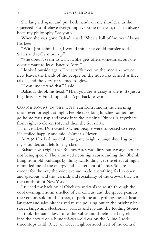She laughed again and put both hands on my shoulders as she squeezed past. «Believe everything everyone tells you, this has always been my philosophy. See you.»

When she was gone, Bahadur said, "She's a ball of fire, yes? Always has been"

"With Jim behind her, I would think she could transfer to the States and really move up."

"She doesn't seem to want it. She gets offers sometimes, but she doesn't want to leave Buenos Aires."

I looked outside again. The scruffy trees on the median showed new leaves, the hands of the people on the sidewalks danced as they talked, and the very air seemed to glow.

"I can understand that," I said.

Bahadur shook his head. "Then you are as crazy as she is. It's just a big, dirty city. Finish up and let's go back to work."

Office hours in the city run from nine in the morning until seven or eight at night. People take long lunches, sometimes go home for a nap and work into the evening. Dinner is anywhere from eight to eleven pm, and then the fun starts.

I once asked Don Güicho when people were supposed to sleep. He smiled happily and said, «Nunca.» Never.

At 7:30 I locked my desk, slung my bright orange shoe bag over my shoulder, and left for my class.

Bahadur was right that Buenos Aires was dirty, but wrong about it not being special. The animated neon signs surrounding the Obelisk hung from old buildings by flimsy scaffolding, yet the effect at night reminded me of the energy and excitement of Times Square except for the way the wide avenue made everything feel so open and spacious, and the warmth and sociability of the crowds that was the antithesis of New York.

I turned my back on el Obelisco and walked south through the cool evening. The air smelled of car exhaust and the spiced peanuts the vendors sold on the street, of perfume and grilling meat. I heard laughter and sales pitches and music pouring out of the brightly lit stores, tango and electronica, ballads and rap and the Rolling Stones.

I took the stairs down into the Subte and shoehorned myself into the crowd on a hundred-year-old car on the A line. I rode three stops to El Once, an older neighborhood west of the central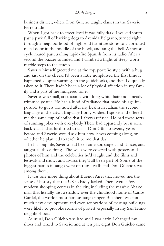business district, where Don Güicho taught classes in the Saverio Perre studio.

When I got back to street level it was fully dark. I walked south past a park full of barking dogs to Avenida Belgrano, turned right through a neighborhood of high-end furniture stores to a corroded metal door in the middle of the block, and rang the bell. A motorcycle roared past, trailing rapid-fire Spanish from its radio. After a second the buzzer sounded and I climbed a flight of steep, worn marble steps to the studio.

Saverio himself greeted me at the top, porteño style, with a hug and kiss on the cheek. I'd been a little nonplussed the first time it happened, despite warnings in the guidebooks, and then I'd quickly taken to it. There hadn't been a lot of physical affection in my family and a part of me hungered for it.

Saverio was small, aristocratic, with long white hair and a neatly trimmed goatee. He had a kind of radiance that made his age impossible to guess. He asked after my health in Italian, the second language of the city, a language I only wished I spoke, and offered me the same cup of coffee that I always refused. He had these sorts of running jokes with everybody. There had apparently been some back sacada that he'd tried to teach Don Güicho twenty years before and Saverio would ask him how it was coming along, or whether he planned to teach it to me that day.

In his long life, Saverio had been an actor, singer, and dancer, and taught all those things. The walls were covered with posters and photos of him and the celebrities he'd taught and the films and festivals and shows and awards they'd all been part of. Some of the biggest names in tango were on those walls and Don Güicho's was among them.

It was one more thing about Buenos Aires that moved me, the sense of history that the US so badly lacked. There were a few modern shopping centers in the city, including the massive Abasto mall that literally cast a shadow over the childhood home of Carlos Gardel, the world's most famous tango singer. But there was not much new development, and even renovations of existing buildings were likely to provoke storms of protest, especially in my San Telmo neighborhood.

As usual, Don Güicho was late and I was early. I changed my shoes and talked to Saverio, and at ten past eight Don Güicho came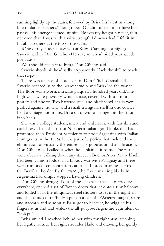running lightly up the stairs, followed by Brisa, his latest in a long line of dance partners. Though Don Güicho himself must have been past 60, his energy seemed infinite. He was my height, six feet, thinner even than I was, with a wiry strength I'd never had. I felt it in his abrazo there at the top of the stairs.

«One of my students saw you at Salon Canning last night,» Saverio said to Don Güicho. «He very much admired your sacada por atrás.»

«You should teach it to him,» Don Güicho said.

Saverio shook his head sadly. «Apparently I lack the skill to teach that step.»

There was a sense of haste even in Don Güicho's small talk. Saverio pointed us to the nearest studio and Brisa led the way in. The floor was a worn, intricate parquet, a hundred years old. The high walls were powdery white stucco, covered with still more posters and photos. Two battered steel and black vinyl chairs were pushed against the wall, and a small triangular shelf in one corner held a vintage boom box. Brisa sat down to change into her fourinch heels.

She was a college student, smart and ambitious, with fair skin and dark brown hair, the sort of Northern Italian good looks that had prompted then-President Sarmiento to flood Argentina with Italian immigrants in the 1880s. It was part of a policy that included the elimination of virtually the entire black population. Blancificación, Don Güicho had called it when he explained it to me. The results were obvious walking down any street in Buenos Aires. Many blacks had been cannon fodder in a bloody war with Paraguay and there were rumors of concentration camps and forced marches across the Brazilian border. By the 1920s, the few remaining blacks in Argentina had simply stopped having children.

Don Güicho shrugged out of the backpack that he carried everywhere, opened a set of French doors that let onto a tiny balcony, and folded back the ubiquitous steel shutters to let in the night air and the sounds of traffic. He put on a  $CD$  of  $D$ 'Arienzo tangos, spare and staccato, and as soon as Brisa got to her feet, he wiggled his fingers at us and said «dale,» the all-purpose Argentine equivalent of "let's go."

Brisa smiled. I reached behind her with my right arm, gripping her lightly outside her right shoulder blade and drawing her gently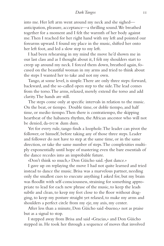## *Dark Tangos* 11

into me. Her left arm went around my neck and she sighed anticipation, pleasure, acceptance—a thrilling sound. We breathed together for a moment and I felt the warmth of her body against me. Then I reached for her right hand with my left and pointed our forearms upward. I found my place in the music, shifted her onto her left foot, and led a slow step to my left.

I had been rehearsing in my mind the move he'd shown me in our last class and as I thought about it, I felt my shoulders start to creep up around my neck. I forced them down, breathed again, focused on the beautiful woman in my arms and tried to think about the steps I wanted her to take and not my own.

Tango, at some level, is simple. There are only three steps: forward, backward, and the so-called open step to the side. The lead comes from the torso. The arms, relaxed, merely extend the torso and add clarity. The hands are still.

The steps come only at specific intervals in relation to the music. On the beat, or tiempo. Double time, or doble tiempo, and half time, or medio tiempo. Then there is contratiempo, the skipping heartbeat of the habanera rhythm, the African ancestor who will not be denied, da-DUM dum dum.

Yet for every rule, tango finds a loophole. The leader can pivot the follower, or himself, before taking any of those three steps. Leader and follower do not have to step at the same time, or in the same direction, or take the same number of steps. The complexities multiply exponentially until hope of mastering even the bare essentials of the dance recedes into an improbable future.

«Don't think so much,» Don Güicho said. «Just dance.»

I gave up on replaying the move I had not quite learned and tried instead to dance the music. Brisa was a marvelous partner, needing only the smallest cues to execute anything I asked for, but my brain was floodlit with self-consciousness, straining for something appropriate to lead for each new phrase of the music, to keep the leads subtle and clean, to keep my feet close to the floor without dragging, to keep my posture straight yet relaxed, to make my arms and shoulders a perfect circle from my eje, my axis, my center.

After less than a minute, Don Güicho said «bueno,» not as praise but as a signal to stop.

I stepped away from Brisa and said «Gracias,» and Don Güicho stepped in. He took her through a sequence of moves that involved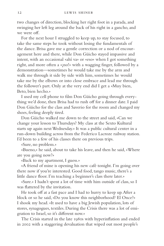two changes of direction, blocking her right foot in a parada, and swinging her left leg around the back of his right in a gancho, and we were off.

For the next hour I struggled to keep up, to stay focused, to take the same steps he took without losing the fundamentals of the dance. Brisa gave me a gentle correction or a nod of encouragement here and there, while Don Güicho stayed impassive and intent, with an occasional «ahí va» or «eso» when I got something right, and more often a «¡no!» with a wagging finger, followed by a demonstration—sometimes he would take me by the arm and walk me through it side by side with him, sometimes he would take me by the elbows or into close embrace and lead me through the follower's part. Only at the very end did I get a «Muy bien, Beto, bien hecho.»

I used my cell phone to film Don Güicho going through everything we'd done, then Brisa had to rush off for a dinner date. I paid Don Güicho for the class and Saverio for the room and changed my shoes, feeling deeply tired.

Don Güicho walked me down to the street and said, «Can we change your lesson to Thursdays? My class at the Sexto Kultural starts up again next Wednesday.» It was a public cultural center in a run-down building across from the Federico Lacroze railway station. I'd been to a few of his classes there on previous trips.

«Sure, no problem.»

«Bueno,» he said, about to take his leave, and then he said, «Where are you going now?»

«Back to my apartment, I guess.»

«A friend of mine is opening his new café tonight. I'm going over there now if you're interested. Good food, tango music, there's a little dance floor. I'm teaching a beginner's class there later.»

«Sure.» I hadn't spent a lot of time with him outside of class, so I was flattered by the invitation.

He took off at a fast pace and I had to hurry to keep up. After a block or so he said, «Do you know this neighborhood? El Once?» I shook my head. «It used to have a big Jewish population, lots of stores, synagogues, textiles. During the Crisis there was a lot of emigration to Israel, so it's different now.»

The Crisis started in the late 1980s with hyperinflation and ended in 2002 with a staggering devaluation that wiped out most people's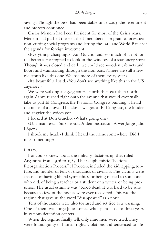savings. Though the peso had been stable since 2003, the resentment and protests continued.

Carlos Menem had been President for most of the Crisis years. Menem had pushed the so-called "neoliberal" program of privatization, cutting social programs and letting the imf and World Bank set the agenda for foreign investment.

«Everything changing,» Don Güicho said, «so much of it not for the better.» He stopped to look in the window of a stationery store. Though it was closed and dark, we could see wooden cabinets and floors and wainscoting through the iron bars. «There are still a few old stores like this one. We lose more of them every year.»

«It's beautiful,» I said. «You don't see anything like this in the US anymore.»

We were walking a zigzag course, north then east then north again. As we turned right onto the avenue that would eventually take us past El Congreso, the National Congress building, I heard the noise of a crowd. The closer we got to El Congreso, the louder and angrier the voices got.

I looked at Don Güicho. «What's going on?»

«Una manifestación,» he said. A demonstration. «Over Jorge Julio López.»

I shook my head. «I think I heard the name somewhere. Did I miss something?»

I HAD.

I of course knew about the military dictatorship that ruled Argentina from 1976 to 1983. Their euphemistic "National Reorganization Process," el Proceso, included the kidnapping, torture, and murder of tens of thousands of civilians. The victims were accused of having liberal sympathies, or being related to someone who did, of being a teacher or a student or a writer, or being prounion. The usual estimate was 30,000 dead. It was hard to be sure because so few of the bodies were ever recovered. This was the regime that gave us the word "disappeared" as a noun.

Tens of thousands were also tortured and set free as a warning. One of them was Jorge Julio López, who spent close to three years in various detention centers.

When the regime finally fell, only nine men were tried. They were found guilty of human rights violations and sentenced to life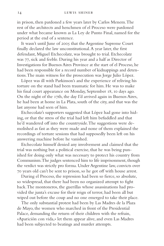in prison, then pardoned a few years later by Carlos Menem. The rest of the architects and henchmen of el Proceso were pardoned under what became known as La Ley de Punto Final, named for the period at the end of a sentence.

It wasn't until June of 2005 that the Argentine Supreme Court finally declared the law unconstitutional. A year later, the first defendant, Miguel Etchecolatz, was brought to trial. Etchecolatz was 77, sick and feeble. During his year and a half as Director of Investigations for Buenos Aires Province at the start of el Proceso, he had been responsible for a record number of kidnappings and detentions. The main witness for the prosecution was Jorge Julio López.

López was ill with Parkinson's and the experience of reliving his torture on the stand had been traumatic for him. He was to make his final court appearance on Monday, September 18, 10 days ago. On the night of the 17th, the day I'd arrived again in Buenos Aires, he had been at home in La Plata, south of the city, and that was the last anyone had seen of him.

Etchecolatz's supporters suggested that López had gone into hiding, or that the stress of the trial had left him befuddled and that he'd wandered off into the countryside. The suggestions were demolished as fast as they were made and none of them explained the recordings of torture sessions that had supposedly been left on his answering machine before he vanished.

Etchecolatz himself denied any involvement and claimed that the trial was nothing but a political exercise, that he was being punished for doing only what was necessary to protect his country from Communism. The judges sentenced him to life imprisonment, though the verdict was strictly pro forma. Under Argentine law, convicts over 70 years old can't be sent to prison, so he got off with house arrest.

During el Proceso, the repression had been so fierce, so absolute, so widespread, that there had been no organized attempt to fight back. The montoneros, the guerillas whose assassinations had provided the junta's excuse for their reign of terror, had been all but wiped out before the coup and no one emerged to take their place.

The only substantial protest had been by Las Madres de la Plaza de Mayo, the women who marched in front of the Presidential Palace, demanding the return of their children with the refrain, «Aparición con vida,» let them appear alive, and even Las Madres had been subjected to beatings and murder attempts.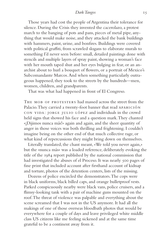Those years had cost the people of Argentina their tolerance for silence. During the Crisis they invented the cacerolazo, a protest march to the banging of pots and pans, pieces of metal pipe, anything that would make noise, and they attacked the bank buildings with hammers, paint, urine, and bonfires. Buildings were covered with political graffiti, from scrawled slogans to elaborate murals to something I'd never seen before: small, detailed paintings done with stencils and multiple layers of spray paint, showing a woman's face with her mouth taped shut and her eyes bulging in fear, or an anarchist about to hurl a bouquet of flowers, or a portrait of Mexico's Subcomandante Marcos. And when something particularly outrageous happened, they took to the streets by the hundreds—men, women, children, and grandparents.

That was what had happened in front of El Congreso.

The mob of protesters had massed across the street from the Palacio. They carried a twenty-foot banner that read APARICIÓN con vida: jorge julio lópez and individuals in the crowd held signs that showed his face and a question mark. They chanted «¡Dijimos nunca más!» again and again, and the sheer quantity of anger in those voices was both thrilling and frightening. I couldn't imagine being on the other end of that much collective rage, or what kind of repercussions they might bring down on themselves.

Literally translated, the chant meant, «We told you never again,» but the «nunca más» was a loaded reference, deliberately evoking the title of the 1984 report published by the national commission that had investigated the abuses of el Proceso. It was nearly 500 pages of fine print that included account after firsthand account of kidnap and torture, photos of the detention centers, lists of the missing.

Dozens of police encircled the demonstrators. The cops were in black uniforms, black billed caps, and orange bulletproof vests. Parked conspicuously nearby were black vans, police cruisers, and a flimsy-looking tank with a pair of machine guns mounted on the roof. The threat of violence was palpable and everything about the scene screamed that I was not in the US anymore. It had all the makings of one of those overseas bloodbath photos that would be everywhere for a couple of days and leave privileged white middle class US citizens like me feeling sickened and at the same time grateful to be a continent away from it.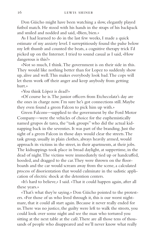Don Güicho might have been watching a slow, elegantly played futbol match. He stood with his hands in the straps of his backpack and smiled and nodded and said, «Bien, bien.»

As I had learned to do in the last few weeks, I made a quick estimate of my anxiety level. I surreptitiously found the pulse below my left thumb and counted the beats, a cognitive therapy trick I'd picked up on the Internet. I tried to sound casual as I said, «How dangerous is this?»

«Not so much, I think. The government is on their side in this. They would like nothing better than for Lopez to suddenly show up, alive and well. This makes everybody look bad. The cops will let them work off their anger and keep anybody from getting hurt.»

«You think López is dead?»

«Of course he is. The junior officers from Etchecolatz's day are the ones in charge now. I'm sure he's got connections still. Maybe they even found a green Falcon to pick him up with.»

Green Falcons—supplied to the government by the Ford Motor Company—were the vehicles of choice for the euphemistically named grupos de tarea, the "task groups" who did the actual kidnapping back in the seventies. It was part of the branding. Just the sight of a green Falcon in those days would clear the streets. The task group, usually in plain clothes, always heavily armed, would approach its victims in the street, in their apartments, at their jobs. The kidnappings took place in broad daylight, at suppertime, in the dead of night. The victims were immediately tied up or handcuffed, hooded, and dragged to the car. They were thrown on the floorboards and the car would scream away from the scene, a calculated process of disorientation that would culminate in the sadistic application of electric shock at the detention centers.

«It's hard to believe,» I said. «That it could happen again, after all these years.»

«That's what they're saying.» Don Güicho pointed to the protesters. «For those of us who lived through it, this is our worst nightmare, that it could all start again. Because it never really ended for us. There was no justice, the guilty were left to walk the streets, you could look over some night and see the man who tortured you sitting at the next table at the café. There are all those tens of thousands of people who disappeared and we'll never know what really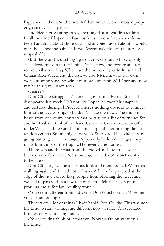happened to them. So the ones left behind can't even mourn properly, can't ever get past it.»

I nodded, not wanting to say anything that might distract him. In all the time I'd spent in Buenos Aires, no one had ever volunteered anything about those days, and anyone I asked about it would quickly change the subject. It was Argentina's Holocaust, literally unspeakable.

«But the world is catching up to us, no?» he said. «They openly steal elections even in the United States now, and torture and terrorize civilians in Iraq. Where are the human rights in Russia and China? After Videla and the rest, we had Menem, who was even worse in some ways. So why not more kidnappings? López and now maybe this guy Suarez, too.»

«Suarez?»

Don Güicho shrugged. «There's a guy named Marco Suarez that disappeared last week. He's not like López, he wasn't kidnapped and tortured during el Proceso. There's nothing obvious to connect him to the dictatorship, so he didn't make the news. The thing is, I heard from one of my contacts that he was on a list of witnesses for another trial, the trial of Emiliano Cesarino. Cesarino was an officer under Videla and he was the one in charge of coordinating the detention centers. So one night last week Suarez told his wife he was going out to get some oranges. Apparently he loved oranges, they made him think of the tropics. He never came home.»

There was another roar from the crowd and I felt the sweat break on my forehead. «We should go,» I said. «We don't want you to be late.»

Don Güicho gave me a curious look and then nodded. We started walking again and I tried not to hurry. A line of cops stood at the edge of the sidewalk to keep people from blocking the street and we had to pass within a few feet of them. I felt their eyes on me, profiling me as foreign, possibly trouble.

«You seem different from last year,» Don Güicho said. «More nervous or something.»

There were a lot of things I hadn't told Don Güicho. This was not the time to start. «Things are different now,» I said. «I'm separated, I'm not on vacation anymore.»

«You shouldn't think of it that way. Now you're on vacation all the time.»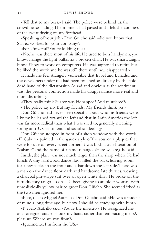«Tell that to my boss,» I said. The police were behind us, the crowd noises fading. The moment had passed and I felt the coolness of the sweat drying on my forehead.

«Speaking of your job,» Don Güicho said, «did you know that Suarez worked for your company?»

«For Universal? You're kidding me.»

«No, he was there most of his life. He used to be a handyman, you know, change the light bulbs, fix a broken chair. He was smart, taught himself how to work on computers. He was supposed to retire, but he liked the work and he was still there until he...disappeared.»

It made me feel strangely vulnerable that Isabel and Bahadur and the developers under me had been touched so directly by the cold, dead hand of the dictatorship. As sad and obvious as the sentiment was, the personal connection made his disappearance more real and more disturbing.

«They really think Suarez was kidnapped? And murdered?»

«The police say no. But my friends? My friends think yes.»

Don Güicho had never been specific about who his friends were. I knew he leaned toward the left and that in Latin America the left was far more radical than what I was used to, generally meaning strong anti-US sentiment and socialist ideology.

Don Güicho stopped in front of a shop window with the words «El Caburé» painted in the gaudy style of the souvenir plaques that were for sale on every street corner. It was both a transliteration of "cabaret" and the name of a famous tango. «Here we are,» he said.

Inside, the place was not much larger than the shop where I'd had lunch. A tiny hardwood dance floor filled the back, leaving room for a few tables in the front and a bar down the left side. There was a man on the dance floor, dark and handsome, late thirties, wearing a charcoal pin-stripe suit over an open white shirt. He broke off the introductory tango lesson he'd been giving to an older woman with unrealistically yellow hair to greet Don Güicho. She seemed irked as the two men ignored her.

«Beto, this is Miguel Autrillo,» Don Güicho said. «He was a student of mine a long time ago, but now I should be studying with him.»

«Never,» Autrillo said. «You're the maestro.» He recognized me as a foreigner and so shook my hand rather than embracing me. «A pleasure. Where are you from?»

«Igualmente. I'm from the US.»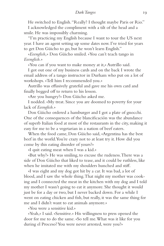He switched to English. "Really? I thought maybe Paris or Rio."

I acknowledged the compliment with a tilt of the head and a smile. He was impossibly charming.

"I'm practicing my English because I want to tour the US next year. I have an agent setting up some dates now. I've tried for years to get Don Güicho to go, but he won't learn English."

«*Eeenglish,*» Don Güicho smiled. «You can't teach tango in *Eeenglish.*»

«You can if you want to make money at it,» Autrillo said.

I got out one of my business cards and on the back I wrote the email address of a tango instructor in Durham who put on a lot of workshops. «Tell him I recommended you.»

Autrillo was effusively grateful and gave me his own card and finally begged off to return to his lesson.

«Are you hungry?» Don Güicho asked me.

I nodded. «My treat. Since you are doomed to poverty for your lack of *Eeenglish.*»

Don Güicho ordered a hamburger and I got a plate of gnocchi. One of the consequences of the blancificación was the abundance of superb Italian food at most of the restaurants in the city, making it easy for me to be a vegetarian in a nation of beef eaters.

When the food came, Don Güicho said, «Argentina has the best beef in the world. You're crazy not to at least try it. How did you come by this eating disorder of yours?»

«I quit eating meat when I was a kid.»

«But why?» He was smiling, to excuse the rudeness. There was a side of Don Güicho that liked to tease, and it could be ruthless, like when he imitated me with my shoulders hunched and stiff.

«I was eight and my dog got hit by a car. It was bad, a lot of blood, and I saw the whole thing. That night my mother was cooking and I connected the meat in the kitchen with my dog and I told my mother I wasn't going to eat it anymore. She thought it would just be for a day or two, but I never backed down. For a while I went on eating chicken and fish, but really, it was the same thing for me and I didn't want to eat animals anymore.»

«You were a sensitive kid.»

«Yeah,» I said. «Sensitive.» His willingness to press opened the door for me to do the same. «So tell me. What was it like for you during el Proceso? You were never arrested, were you?»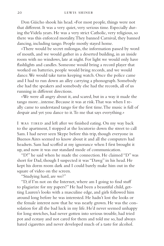Don Güicho shook his head. «For most people, things were not that different. It was a very quiet, very serious time. Especially during the Videla years. He was a very strict Catholic, very religious, so there was this enforced morality. They banned Carnival, they banned dancing, including tango. People mostly stayed home.

«There would be secret milongas, the information passed by word of mouth, and we would gather in a deserted building, in an inside room with no windows, late at night. For light we would only have flashlights and candles. Someone would bring a record player that worked on batteries, people would bring records, and we would dance. We would take turns keeping watch. Once the police came and I had to run down an alley carrying a phonograph. Somebody else had the speakers and somebody else had the records, all of us running in different directions.

«We were all angry about it, and scared, but in a way it made the tango more...intense. Because it was at risk. That was when I really came to understand tango for the first time. The music is full of despair and yet you dance to it. To me that says everything.»

I WAS TIRED and left after we finished eating. On my way back to the apartment, I stopped at the locutorio down the street to call Sam. I had never seen Skype before this trip, though everyone in Buenos Aires seemed to know about it and all the computers had headsets. Sam had scoffed at my ignorance when I first brought it up, and now it was our standard mode of communication.

"D!" he said when he made the connection. He claimed "D" was short for Dad, though I suspected it was "Dawg" in his head. He kept his dorm room dark and I could barely make him out in the square of video on the screen.

"Studying hard, are we?"

"D, if I'm not on the Internet, where am I going to find stuff to plagiarize for my papers?" He had been a beautiful child, getting Lauren's looks with a masculine edge, and girls followed him around long before he was interested. He hadn't lost the looks or the female interest now that he was nearly grown. He was the consolation for all the bad luck in my life. He'd never seemed unhappy for long stretches, had never gotten into serious trouble, had tried pot and ecstasy and not cared for them and told me so, had always hated cigarettes and never developed much of a taste for alcohol.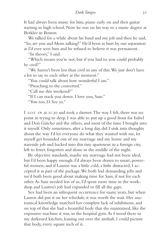It had always been music for him, piano early on and then guitar starting in high school. Now he was on his way to a music degree at Berklee in Boston.

We talked for a while about his band and my job and then he said, "So, are you and Mom talking?" He'd been as hurt by our separation as I'd ever seen him and he refused to believe it was permanent.

"In theory," I said.

"Which means you're not, but if you had to, you could probably be civil?"

"We haven't been less than civil in any of this. We just don't have a lot to say to each other at the moment."

"You could talk about how wonderful I am."

"Preaching to the converted."

"Call me this weekend?"

"If I can track you down. I love you, Sam."

"You too, D. See ya."

I GOT IN at II:30 and took a shower. The way I felt, there was no point in trying to sleep. I was able to put up a good front for Isabel and Don Güicho and the others, and most of the time I bought into it myself. Only sometimes, after a long day, did I sink into thoughts about the way I'd let everyone do what they wanted with me, let myself get hounded out of my marriage and my house and my stateside job and backed into this tiny apartment in a foreign city, left to fester, forgotten and alone in the middle of the night.

By objective standards, maybe my marriage had not been ideal, but I'd been happy enough. I'd always been drawn to smart, powerful women, and if Lauren was a little cold, a little distracted, I accepted it as part of the package. We both had demanding jobs and we'd both been good about making time for Sam, if not for each other. As Sam needed less of us, I'd spent more time in the workshop and Lauren's job had expanded to fill all the gaps.

Sex had been an infrequent occurrence for many years, but when Lauren did put it on her schedule, it was worth the wait. Her anatomical knowledge matched her complete lack of inhibitions, and on top of that she had a beautiful body that she maintained, like the expensive machine it was, in the hospital gym. As I stood there in my darkened kitchen, leaning out over the airshaft, I could picture that body, every square inch of it.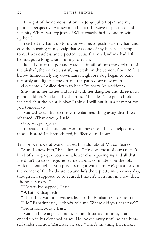I thought of the demonstration for Jorge Julio López and my political perspective was swamped in a tidal wave of pettiness and self-pity. Where was *my* justice? What exactly had I done to wind up here?

I reached my hand up to my brow line, to push back my hair and ease the burning in my scalp that was one of my headache symptoms. I was careless, and a potted cactus that my landlady had left behind put a long scratch in my forearm.

I lashed out at the pot and watched it sail off into the darkness of the airshaft, then make a satisfying crash on the cement floor 20 feet below. Immediately my downstairs neighbor's dog began to bark furiously and lights came on and the patio door flew open.

«Lo siento,» I called down to her. «I'm sorry. An accident.»

She was in her sixties and lived with her daughter and three noisy grandchildren. She knelt by the mess I'd made. «The pot is broken,» she said, «but the plant is okay, I think. I will put it in a new pot for you tomorrow.»

I wanted to tell her to throw the damned thing away, then I felt ashamed. «Thank you,» I said.

«No, no, ¿por qué?»

I retreated to the kitchen. Her kindness should have helped my mood. Instead I felt smothered, ineffective, and sour.

The next day at work I asked Bahadur about Marco Suarez.

"Sure I know him," Bahadur said. "He does most of our IT. He's kind of a tough guy, you know, lower class upbringing and all that. He didn't go to college, he learned about computers on the job. He's nice enough, if you play it straight with him. He's got a desk in the corner of the hardware lab and he's there pretty much every day, though he's supposed to be retired. I haven't seen him in a few days, I hope he's okay..."

"He was kidnapped," I said.

"What? Kidnapped?"

"I heard he was on a witness list for the Emiliano Cesarino trial." "No," Bahadur said, "nobody told me. Where did you hear that?" "From somebody I trust."

I watched the anger come over him. It started in his eyes and ended up in his clenched hands. He looked away until he had himself under control. "Bastards," he said. "That's the thing that makes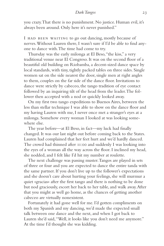you crazy. That there is no punishment. No justice. Human evil, it's always been around. Only here it's never punished."

I HAD BEEN WAITING to go out dancing, mostly because of nerves. Without Lauren there, I wasn't sure if I'd be able to find anyone to dance with. The time had come to try.

Thursday was the early milonga at El Beso, "the kiss," a very traditional venue near El Congreso. It was on the second floor of a beautiful old building on Riobamba, a decent-sized dance space by local standards, with tiny, tightly packed tables on three sides. Single women sat on the side nearest the door, single men at right angles to them, couples on the far side of the dance floor. Invitations to dance were strictly by cabeceo, the tango tradition of eye contact followed by an inquiring tilt of the head from the leader. The follower then accepted with a nod or quickly looked away.

On my first two tango expeditions to Buenos Aires, between the less than stellar technique I was able to show on the dance floor and my having Lauren with me, I never once met a stranger's eyes at a milonga. Somehow every woman I looked at was looking somewhere else.

The year before—at El Beso, in fact—my luck had finally changed. It was our last night out before coming back to the States. Lauren had complained that her feet hurt and we'd hardly danced. The crowd had thinned after 11:00 and suddenly I was looking into the eyes of a woman all the way across the floor. I inclined my head, she nodded, and I felt like I'd hit my number at roulette.

The next challenge was passing muster. Tangos are played in sets of three or four and you are expected to dance the entire tanda with the same partner. If you don't live up to the follower's expectations and she doesn't care about hurting your feelings, she will murmur a quiet «gracias» after the first tango and there is nothing to be done but nod graciously, escort her back to her table, and walk away. After that you might as well go home, as the chances of getting another cabeceo are virtually nonexistent.

Fortunately it had gone well for me. I'd gotten compliments on both my Spanish and my dancing, we'd made the expected small talk between one dance and the next, and when I got back to Lauren she'd said, "Well, it looks like you don't need me anymore." At the time I'd thought she was kidding.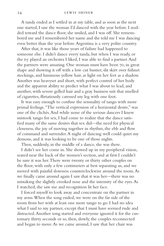A tanda ended as I settled in at my table, and as soon as the next one started, I saw the woman I'd danced with the year before. I nodded toward the dance floor, she smiled, and I was off. She remembered me and I remembered her name and she told me I was dancing even better than the year before. Argentina is a very polite country.

After that, it was like those years of failure had happened to someone else. I didn't dance every tanda, but when I was ready, or the DJ played an orchestra I liked, I was able to find a partner. And the partners were amazing. One woman must have been 70, in great shape and showing it off with a low cut bustier, slit skirt over fishnet stockings, and luminous yellow hair, as light on her feet as a shadow. Another was heavyset and short, with perfect control of her body and the apparent ability to predict what I was about to lead, and another, with severe gelled hair and a gray business suit that smelled of cigarettes, flirtatiously caressed my leg with one foot.

It was easy enough to confuse the sensuality of tango with more primal feelings. "The vertical expression of a horizontal desire," was one of the clichés. And while none of the serious dancers I knew mistook tango for sex, I had come to realize that the dance satisfied many of the same desires that sex did—the need for physical closeness, the joy of moving together in rhythm, the ebb and flow of command and surrender. A night of dancing well could quiet my demons, and it was looking to be one of those nights.

Then, suddenly, in the middle of a dance, she was there.

I didn't see her come in. She showed up in my peripheral vision, seated near the back of the women's section, and at first I couldn't be sure it was her. There were twenty or thirty other couples on the floor, with only a few centimeters at best separating us, and we moved with painful slowness counterclockwise around the room. As we finally came around again I saw that it was her—there was no mistaking the slightly crooked nose and the intensity of the eyes. As I watched, she saw me and recognition lit her face.

I forced myself to look away and concentrate on the partner in my arms. When the song ended, we were on the far side of the room from her with at least one more tango to go. I had no idea what I said to my partner, except that I must have seemed rude and distracted. Another song started and everyone ignored it for the customary thirty seconds or so, then, slowly, the couples reconnected and began to move. As we came around, I saw that her chair was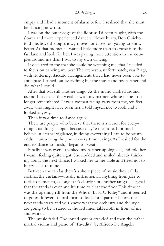empty and I had a moment of alarm before I realized that she must be dancing now too.

I was on the outer edge of the floor, as I'd been taught, with the slower and more experienced dancers. Never hurry, Don Güicho told me, leave the big, showy moves for those too young to know better. At that moment I wanted little more than to cruise into the fast lane and look for her. I was paying more attention to the couples around me than I was to my own dancing.

It occurred to me that she could be watching me, that I needed to focus on dancing my best. The orchestra, unfortunately, was Biagi, with stuttering, staccato arrangements that I had never been able to anticipate. I tuned out everything but the music and my partner and did what I could.

After that was still another tango. As the music crashed around us and I discussed the weather with my partner, whose name I no longer remembered, I saw a woman facing away from me, ten feet away, who might have been her. I told myself not to look and I looked anyway.

Then it was time to dance again.

There are people who believe that there is a reason for everything, that things happen because they're meant to. Not me. I believe in eternal vigilance, in doing everything I can to boost my odds, in answering the phone every time it rings. As I waited for the endless dance to finish, I began to sweat.

Finally it was over. I thanked my partner, apologized, and told her I wasn't feeling quite right. She nodded and smiled, already thinking about the next dance. I walked her to her table and tried not to hurry back to mine.

Between the tandas there's a short piece of music they call la cortina, the curtain—usually instrumental, anything from jazz to rock to flamenco, as long as it's clearly not another tango—a signal that the tanda is over and it's time to clear the floor. This time it was the opening riff from the Who's "Baba O'Riley" and it seemed to go on forever. It's bad form to look for a partner before the next tanda starts and you know what the orchestra and the style are going to be. I stared at the red linen tablecloth in front of me and waited.

The music faded. The sound system crackled and then the rather martial violins and piano of "Pavadita" by Alfredo De Ángelis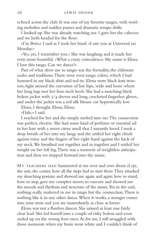echoed across the club. It was one of my favorite tangos, with swirling melodies and sudden pauses and dramatic tempo shifts.

I looked up. She was already watching me. I gave her the cabeceo and we both headed for the floor.

«I'm Beto,» I said as I took her hand. «I saw you at Universal on Monday.»

«Yes, yes, I remember you.» She was laughing and it made her even more beautiful. «What a crazy coincidence. My name is Elena. I love this tango. Can we dance?»

Part of what drew me to tango was the formality, the elaborate codes and traditions. There were even tango colors, which I had honored in my black shirt and red tie. Elena wore black knit trousers, tight around the curvature of her hips, wide and loose where her long legs met her four-inch heels. She had a matching black bolero jacket with 3/4 sleeves and long, crocheted fingerless gloves, and under the jacket was a red silk blouse cut hypnotically low.

Elena, I thought. Elena, Elena.

«Dale,» I said.

I reached for her and she simply melted into me. The connection was perfect, electric. She had some kind of perfume or essential oil in her hair with a sweet citrus smell that I instantly loved. I took a deep breath of her into my lungs and she settled her right cheek against mine and the fingers of her right hand against the back of my neck. We breathed out together and in together and I settled her weight on her left leg. There was a moment of weightless anticipation and then we stepped forward into the music.

MY TEACHERS HAD hammered at me over and over about el eje, the axis, the center, how all the steps had to start there. They attacked my slouching posture and showed me again and again how to stand, how to step, gave me complex moves to execute and showed me the moods and rhythms and structure of the music. Yet in the end, nothing really mattered to me in tango but the connection. There is nothing like it in any other dance. When it works, a stranger comes into your arms and you are immediately as close as lovers.

Elena was not a flawless dancer. She missed at least one fairly clear lead. She led herself into a couple of risky boleos and even ended up on the wrong foot once. As for me, I still struggled with those moments when my brain went white and I couldn't think of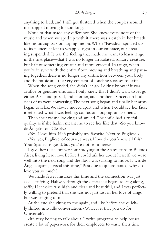anything to lead, and I still got flustered when the couples around me stopped moving for too long.

None of that made any difference. She knew every note of the music and when we sped up with it, there was a catch in her breath like mounting passion, urging me on. When "Pavadita" spiraled up to its silences, it left us wrapped tight in our embrace, our breathing suspended. It was the feeling that made me want to learn tango in the first place—that I was no longer an isolated, solitary creature, but half of something greater and more graceful. In tango, when you're in sync with the entire floor, moving and breathing and pausing together, there is no longer any distinction between your body and the music and the very concept of loneliness ceases to exist.

When the song ended, she didn't let go. I didn't know if it was artifice or genuine emotion, I only knew that I didn't want to let go either. A second passed, and another, and another. Dancers on both sides of us were conversing. The next song began and finally her arms began to relax. We slowly moved apart and when I could see her face, it reflected what I was feeling: confusion, longing, amazement.

Then she saw me looking and smiled. The smile had a rueful quality, as if she hadn't meant me to see her like that. «So you know de Ángelis too. Clearly.»

«Yes, I love him. He's probably my favorite. Next to Pugliese.»

«Yes, yes, Pugliese, of course, always. How do you know all this? Your Spanish is good, but you're not from here.»

I gave her the short version: studying in the States, trips to Buenos Aires, living here now. Before I could ask her about herself, we were well into the next song and the floor was starting to move. It was de Ángelis again, a vocal this time, "Para qué te quiero tanto," why do I love you so much?

We made fewer mistakes this time and the connection was just as electrifying. Halfway through the dance she began to sing along, softly. Her voice was high and clear and beautiful, and I was perfectly willing to pretend that she was not just lost in her love of tango but was singing to me.

At the end she clung to me again, and like before she quickly shifted into idle conversation. «What is it that you do for Universal?»

«It's very boring to talk about. I write programs to help bosses create a lot of paperwork for their employees to waste their time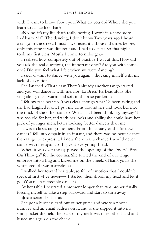with. I want to know about you. What do you do? Where did you learn to dance like that?»

«No, no, it's my life that's really boring. I work in a shoe store. In Abasto Mall. The dancing, I don't know. Two years ago I heard a tango in the street, I must have heard it a thousand times before, only this time it was different and I had to dance. So that night I took my first class. Mostly I come to milongas.»

I realized how completely out of practice I was at this. How did you ask the real questions, the important ones? Are you with someone? Did you feel what I felt when we were dancing?

I said, «I want to dance with you again,» shocking myself with my lack of discretion.

She laughed. «That's easy. There's already another tango started and you will dance it with me, no? 'La Brisa.' It's beautiful.» She sang along, «...so warm and soft in the rose garden...»

I felt my face heat up. It was clear enough what I'd been asking and she had laughed it off. I put my arms around her and took her into the thick of the other dancers. What had I been thinking, anyway? I was too old for her, and with her looks and ability she could have her pick of younger men, better looking, better dancers than me.

It was a classic tango moment. From the ecstasy of the first two dances I fell into despair in an instant, and there was no better dance than tango to express it. I knew there was a chance I would never dance with her again, so I gave it everything I had.

When it was over the DJ played the opening of the Doors' "Break On Through" for the cortina. She turned the end of our tango embrace into a hug and kissed me on the cheek. «Thank you,» she whispered. «It was marvelous.»

I walked her toward her table, so full of emotion that I couldn't speak at first. «I've never—» I started, then shook my head and let it go. «You're an incredible dancer.»

At her table I hesitated a moment longer than was proper, finally forcing myself to take a step backward and start to turn away.

«Just a second,» she said.

She got a business card out of her purse and wrote a phone number and an email address on it, and as she slipped it into my shirt pocket she held the back of my neck with her other hand and kissed me again on the cheek.

•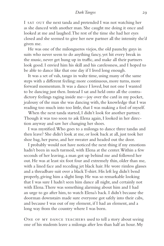I SAT OUT the next tanda and pretended I was not watching her as she danced with another man. She caught me doing it once and looked at me and laughed. The rest of the time she had her eyes closed and she seemed to give her new partner all the intensity she'd given me.

He was one of the milongueros viejos, the old paunchy guys in suits who never seem to do anything fancy, yet hit every break in the music, never get hung up in traffic, and make all their partners look good. I envied him his skill and his carelessness, and I hoped to be able to dance like that one day if I lived long enough.

It was a set of vals, tango in waltz time, using many of the same steps with a different feeling: more continuous, more turns, more forward momentum. It was a dance I loved, but not one I wanted to be dancing just then. Instead I sat and held onto all the contradictory feelings raging inside me—joy over the card in my pocket, jealousy of the man she was dancing with, the knowledge that I was reading too much into too little, that I was making a fool of myself.

When the next tanda started, I didn't look for another partner. Though it was too soon to ask Elena again, I looked in her direction anyway and saw her changing her shoes.

I was mystified. Who goes to a milonga to dance three tandas and then leave? She didn't look at me, or look back at all, just took her shoe bag, her purse, and her sweater and headed out the door.

I probably would not have noticed the next thing if my emotions hadn't been in such turmoil, with Elena at the center. Within a few seconds of her leaving, a man got up behind me and followed her out. He was at least six foot four and extremely thin, older than me, with a lined face and receding jet black hair. He wore rimless glasses and a threadbare suit over a black T-shirt. His left leg didn't bend properly, giving him a slight limp. He was so remarkable looking that I was sure I hadn't seen him dance all night, and certainly not with Elena. There was something alarming about him and I had an urge to go after him, to watch Elena's back. I didn't because the doorman downstairs made sure everyone got safely into their cabs, and because I was out of my element, if I had an element, and a long way from the country where I was born.

One of my dance teachers used to tell a story about seeing one of his students leave a milonga after less than half an hour. My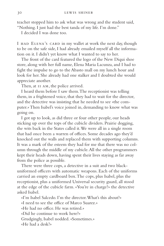teacher stopped him to ask what was wrong and the student said, "Nothing. I just had the best tanda of my life. I'm done."

I decided I was done too.

I HAD ELENA's CARD in my wallet at work the next day, though to be on the safe side, I had already emailed myself all the information on it. I didn't yet know what I wanted to say to her.

The front of the card featured the logo of the New Diqui shoe store, along with her full name, Elena Maria Lacunza, and I had to fight the impulse to go to the Abasto mall on my lunch hour and look for her. She already had one stalker and I doubted she would appreciate another.

Then, at  $II$  AM, the police arrived.

I heard them before I saw them. The receptionist was telling them, in a frightened voice, that they had to wait for the director, and the detective was insisting that he needed to see «the computer.» Then Isabel's voice joined in, demanding to know what was going on.

I got up to look, as did three or four other people, our heads sticking up over the tops of the cubicle dividers. Prairie dogging, the wits back in the States called it. We were all in a single room that had once been a warren of offices. Some decades ago they'd knocked out the walls and replaced them with supporting columns. It was a mark of the esteem they had for me that there was no column through the middle of my cubicle. All the other programmers kept their heads down, having spent their lives staying as far away from the police as possible.

There were three cops, a detective in a suit and two blackuniformed officers with automatic weapons. Each of the uniforms carried an empty cardboard box. The cops, plus Isabel, plus the receptionist, plus a uniformed Universal security guard, all stood at the edge of the cubicle farm. «You're in charge?» the detective asked Isabel.

«I'm Isabel Salcedo. I'm the director. What's this about?» «I need to see the office of Marco Suarez.» «He had no office. He was retired.» «Did he continue to work here?» Grudgingly, Isabel nodded. «Sometimes.» «He had a desk?»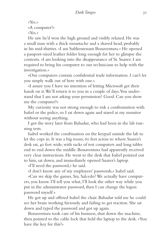```
«Yes.»
«A computer?»
«Yes.»
```
He saw he'd won the high ground and visibly relaxed. He was a small man with a thick moustache and a shaved head, probably in his mid-thirties. «I am Sublieutenant Bonaventura.» He opened a passport-sized leather folder long enough for her to glimpse the contents. «I am looking into the disappearance of Sr. Suarez. I am required to bring his computer to our technicians to help with the investigation.»

«Our computers contain confidential trade information. I can't let you simply walk out of here with one.»

«I assure you I have no intention of letting Microsoft get their hands on it. We'll return it to you in a couple of days. You understand that I am not asking your permission? Good. Can you show me the computer?»

My curiosity was not strong enough to risk a confrontation with Isabel or the police, so I sat down again and stared at my monitor without seeing anything.

I got the story later from Bahadur, who had been in the lab running tests.

Isabel worked the combination on the keypad outside the lab to let the cops in. It was a big room, 60 feet across to where Suarez's desk sat, 40 feet wide, with racks of test computers and long tables end to end down the middle. Bonaventura had apparently received very clear instructions. He went to the desk that Isabel pointed out to him, sat down, and immediately opened Suarez's laptop.

«I'll need the password,» he said.

«I don't know any of my employees' passwords,» Isabel said.

«Can we skip the games, Sra. Salcedo? We actually have computers, you know. I'll tell you what, I'll look the other way while you put in the administrator password, then I can change the logon password myself.»

He got up and offered Isabel the chair. Bahadur told me he could see her brain working furiously and failing to get traction. She sat down and typed the password and got up again.

Bonaventura took care of his business, shut down the machine, then pointed to the cable lock that held the laptop to the desk. «You have the key for this?»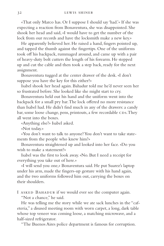«That only Marco has. Or I suppose I should say 'had.'» If she was expecting a reaction from Bonaventura, she was disappointed. She shook her head and said, «I would have to get the number of the lock from our records and have the locksmith make a new key.»

He apparently believed her. He raised a hand, fingers pointed up, and tapped the thumb against the fingertips. One of the uniforms took off his backpack, rummaged around, and came up with a pair of heavy-duty bolt cutters the length of his forearm. He stepped up and cut the cable and then took a step back, ready for the next assignment.

Bonaventura tugged at the center drawer of the desk. «I don't suppose you have the key for this either?»

Isabel shook her head again. Bahadur told me he'd never seen her so frustrated before. She looked like she might start to cry.

Bonaventura held out his hand and the uniform went into the backpack for a small pry bar. The lock offered no more resistance than Isabel had. He didn't find much in any of the drawers: a candy bar, some loose change, pens, printouts, a few recordable CDs. They all went into the boxes.

«Anything else?» Isabel asked.

«Not today.»

«You don't want to talk to anyone? You don't want to take statements from the people who knew him?»

Bonaventura straightened up and looked into her face. «Do you wish to make a statement?»

Isabel was the first to look away. «No. But I need a receipt for everything you take out of here.»

«I will send you one,» Bonaventura said. He put Suarez's laptop under his arm, made the fingers-up gesture with his hand again, and the two uniforms followed him out, carrying the boxes on their shoulders.

I asked Bahadur if we would ever see the computer again.

"Not a chance," he said.

He was telling me the story while we ate sack lunches in the "cafeteria," a disused meeting room with worn carpet, a long, dark table whose top veneer was coming loose, a matching microwave, and a half-sized refrigerator.

"The Buenos Aires police department is famous for corruption.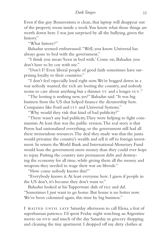Even if this guy Bonaventura is clean, that laptop will disappear out of the property room inside a week. You know what those things are worth down here. I was just surprised by all the bullying, given the history."

"What history?"

Bahadur seemed embarrassed. "Well, you know. Universal has always gone to bed with the government."

"I think you mean 'been in bed with.' Come on, Bahadur, you don't have to be coy with me."

"Don't I? Even liberal people of good faith sometimes have surprising loyalty to their countries."

"I don't feel especially loyal right now. We're bogged down in a war nobody wanted, the rich are looting the country, and nobody seems to care about anything but a thinner TV and a longer SUV."

"The looting is nothing new, yes?" Bahadur said. "It was big business from the US that helped finance the dictatorship here. Companies like Ford and ITT and Universal Systems."

"Why would they risk that kind of bad publicity?"

"There wasn't any bad publicity. They were helping to fight communists. At least that was the public version. The real story is that Peron had nationalized everything, so the government still had all these tremendous resources. The deal they made was that the junta would privatize the country's wealth and sell it off to foreign investment. In return the World Bank and International Monetary Fund would loan the government more money than they could ever hope to repay. Putting the country into permanent debt and destroying the economy for all time, while giving them all the money and weapons they needed to wage their war on liberals."

"How come nobody knows this?"

"Everybody knows it. At least everyone here. I guess if people in the US don't, it's because they don't want to."

Bahadur looked at his Tupperware dish of rice and dal. "Sometimes I just want to go home. But home is no better now. We've been colonized again, this time by big business."

I WAITED UNTIL LATE Saturday afternoon to call Elena, a feat of superhuman patience. I'd spent Friday night watching an Argentine movie on DVD and much of the day Saturday in grocery shopping and cleaning the tiny apartment. I dropped off my dirty clothes at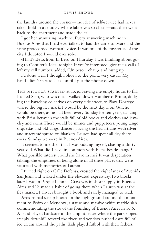the laundry around the corner—the idea of self-service had never taken hold in a country where labor was so cheap—and then went back to the apartment and made the call.

I got her answering machine. Every answering machine in Buenos Aires that I had ever talked to had the same software and the same prerecorded woman's voice. It was one of the mysteries of the city I doubted I would ever solve.

«Hi, it's Beto, from El Beso on Thursday. I was thinking about going to Confitería Ideal tonight. If you're interested, give me a call.» I left my cell number, added, «Un beso—chau,» and hung up.

I'd done well, I thought. Short, to the point, very casual. My hands didn't start to shake until I put the phone down.

THE MILONGA STARTED at 10:30, leaving me empty hours to fill. I called Sam, who was out. I walked down Humberto Primo, dodging the barreling colectivos on every side street, to Plaza Dorrego, where the big flea market would be the next day. Don Güicho would be there, as he had been every Sunday for ten years, dancing with Brisa between the stalls full of old books and clothes and jewelry and coins. There would be mimes and puppeteers, young tango orquestas and old tango dancers passing the hat, artisans with silver and macramé spread on blankets. Lauren had spent all day there every Sunday we were in Buenos Aires.

It seemed to me then that I was kidding myself, chasing a thirtyyear-old. What did I have in common with Elena besides tango? What possible interest could she have in me? It was desperation talking, the emptiness of being alone in all these places that were saturated with memories of Lauren.

I turned right on Calle Defensa, crossed the eight lanes of Avenida San Juan, and walked under the elevated expressway. Two blocks later I was in Parque Lezama. Grass was in short supply in Buenos Aires and I'd made a habit of going there when Lauren was at the flea market. I always brought a book and rarely managed to read.

Artisans had set up booths in the high ground around the monument to Pedro de Mendoza, a statue and massive white marble slab commemorating the site of the founding of Buenos Aires in 1536. A band played hardcore in the amphitheater where the park sloped steeply downhill toward the river, and vendors pushed carts full of ice cream around the paths. Kids played futbol with their fathers,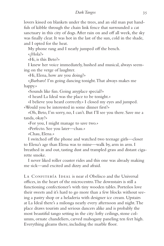lovers kissed on blankets under the trees, and an old man put handfuls of kibble through the chain link fence that surrounded a cat sanctuary in this city of dogs. After rain on and off all week, the sky was finally clear. It was hot in the last of the sun, cold in the shade, and I opted for the heat.

My phone rang and I nearly jumped off the bench.

«¿Hola?»

«Hi, is this Beto?»

I knew her voice immediately, hushed and musical, always seeming on the verge of laughter.

«Hi, Elena, how are you doing?»

«¡Barbaro! I'm going dancing tonight. That always makes me happy.»

«Sounds like fun. Going anyplace special?»

«I heard La Ideal was the place to be tonight.»

«I believe you heard correctly.» I closed my eyes and jumped. «Would you be interested in some dinner first?»

«Oh, Beto, I'm sorry, no, I can't. But I'll see you there. Save me a tanda, okay?»

«For you, I might manage to save two.»

«Perfecto. See you later—chau.»

«Chau, Elena.»

I switched off the phone and watched two teenage girls—closer to Elena's age than Elena was to mine—walk by, arm in arm. I breathed in and out, tasting dust and trampled grass and distant cigarette smoke.

I never liked roller coaster rides and this one was already making me sick—and excited and dizzy and afraid.

LA CONFITERÍA IDEAL is near el Obelisco and the Universal offices, in the heart of the microcentro. The downstairs is still a functioning confectioner's with tiny wooden tables. Porteños love their sweets and it's hard to go more than a few blocks without seeing a pastry shop or a heladeria with designer ice cream. Upstairs at La Ideal there's a milonga nearly every afternoon and night. The place draws tourists and serious dancers alike and is probably the most beautiful tango setting in the city: lofty ceilings, stone columns, ornate chandeliers, carved mahogany paneling ten feet high. Everything gleams there, including the marble floor.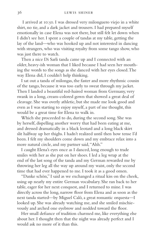I arrived at 10:50. I was dressed very milonguero viejo in a white shirt, no tie, and a dark jacket and trousers. I had prepared myself emotionally in case Elena was not there, but still felt let down when I didn't see her. I spent a couple of tandas at my table, getting the lay of the land—who was hooked up and not interested in dancing with strangers, who was visiting royalty from some tango show, who was just there to watch.

Then a nice Di Sarli tanda came up and I connected with an older, heavy-ish woman that I liked because I had seen her mouthing the words to the songs as she danced with her eyes closed. The way Elena did, I couldn't help thinking.

I sat out a tanda of milongas, the faster and more rhythmic cousin of the tango, because it was too early to sweat through my jacket. Then I landed a beautiful red-haired woman from Germany, very swank in a long, cream-colored gown that showed a great deal of cleavage. She was overly athletic, but she made me look good and even as I was starting to enjoy myself, a part of me thought, this would be a great time for Elena to walk in.

Which she proceeded to do, during the second song. She was by herself, dispelling another worry that had been eating at me, and dressed dramatically in a black leotard and a long black skirt slit halfway up her thighs. I hadn't realized until then how tense I'd been. I felt my shoulders come down and my embrace relax into a more natural circle, and my partner said, "Ahh."

I caught Elena's eyes once as I danced, long enough to trade smiles with her as she put on her shoes. I led a leg wrap at the end of the last song of the tanda and my German rewarded me by throwing her leg all the way up around my waist, only the second time that had ever happened to me. I took it as a good omen.

"Danke schön," I said as we exchanged a ritual kiss on the cheek, using up nearly my entire German vocabulary. She ran back to her table, eager for her next conquest, and I returned to mine. I was directly across the long, narrow floor from Elena and as soon as the next tanda started—by Miguel Caló, a great romantic orquesta—I looked up. She was already watching me, and she smiled mischievously and arched one eyebrow and nodded toward the floor.

Her small defiance of tradition charmed me, like everything else about her. I thought then that the night was already perfect and I would ask no more of it than this.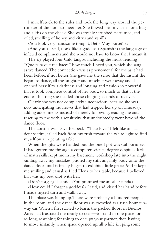I myself stuck to the rules and took the long way around the perimeter of the floor to meet her. She flowed into my arms for a hug and a kiss on the cheek. She was freshly scrubbed, perfumed, and oiled, smelling of honey and citrus and vanilla.

«You look very handsome tonight, Beto. Muy porteño.»

«And you,» I said, «look like a goddess.» Spanish is the language of inflated compliments and she would not have to know that I meant it.

The DJ played four Caló tangos, including the heart-rending "Que falta que me hacés," how much I need you, which she sang as we danced. The connection was as phenomenal for me as it had been before, if not better. She gave me the sense that the instant she began to dance, all the laughter and mischief went away and she opened herself to a darkness and longing and passion so powerful that it took complete control of her body, so much so that at the end of the song she needed those clinging seconds to recover.

Clearly she was not completely unconscious, because she was now anticipating the moves that had tripped her up on Thursday, adding adornments instead of merely following, reading me and reacting to me with a sensitivity that undoubtedly went beyond the dance floor.

The cortina was Dave Brubeck's "Take Five." I felt like an accident victim, called back from my rush toward the white light to find myself on an operating table.

When the gifts were handed out, the one I got was stubbornness. It had gotten me through a computer science degree despite a lack of math skills, kept me in my basement workshop late into the night sanding away my mistakes, pushed my stiff, ungainly body onto the dance floor until it finally began to exhibit a little grace. And it kept me smiling and casual as I led Elena to her table, because I believed that was my best shot with her.

«Don't forget,» she said. «You promised me another tanda.»

«How could I forget a goddess?» I said, and kissed her hand before I made myself turn and walk away.

The place was filling up. There were probably a hundred people in the room, and the dance floor was as crowded as a rush hour subway car. When I first started to learn, the packed floors in Buenos Aires had frustrated me nearly to tears—to stand in one place for so long, searching for things to occupy your partner, then having to move instantly when space opened up, all while keeping some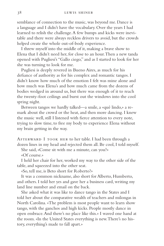semblance of connection to the music, was beyond me. Dance is a language and I didn't have the vocabulary. Over the years I had learned to relish the challenge. A few bumps and kicks were inevitable and there were always reckless drivers to avoid, but the crowds helped create the whole out-of-body experience.

I threw myself into the middle of it, making a brave show to Elena that I didn't need her, for close to an hour. Then a new tanda opened with Pugliesi's "Gallo ciego," and as I started to look for her she was turning to look for me.

Pugliesi is deeply revered in Bueno Aires, as much for his defiance of authority as for his complex and romantic tangos. I didn't know how much of the emotion I felt was mine alone and how much was Elena's and how much came from the dozens of bodies wedged in around us, but there was enough of it to reach the twenty-foot ceilings and burst out the windows into the cool spring night.

Between tangos we hardly talked—a smile, a «qué lindo,» a remark about the crowd or the heat, and then more dancing. I knew the music well, still I listened with fierce attention to every note, trying to slow time, to free my body to experience Elena without my brain getting in the way.

Afterward I took her to her table. I had been through a dozen lines in my head and rejected them all. Be cool, I told myself.

She said, «Come sit with me a minute, can you?» «Of course.»

I held her chair for her, worked my way to the other side of the table, and squeezed into the other seat.

«So, tell me, is Beto short for Roberto?»

It was a common nickname, also short for Alberto, Humberto, and others. I told her yes and gave her a business card, writing my land line number and email on the back.

She asked what it was like to dance tango in the States and I told her about the comparative wealth of teachers and milongas in North Carolina. «The problem is most people want to learn show tango, with the ganchos and high kicks. People mostly dance in open embrace. And there's no place like this.» I waved one hand at the room. «In the United States everything is new. There's no history, everything's made to fall apart.»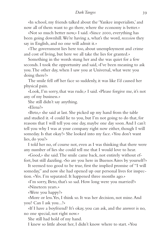«In school, my friends talked about the 'Yankee imperialists,' and now all of them want to go there, where the economy is better.»

«Not so much better now,» I said. «Since 2000, everything has been going downhill. We're having a, what's the word, *recession* they say in English, and no one will admit it.»

«The government lies here too, about unemployment and crime and cost of living, but here we all take the lies for granted.»

Something in the words stung her and she was quiet for a few seconds. I took the opportunity and said, «I've been meaning to ask you. The other day, when I saw you at Universal, what were you doing there?»

The smile fell off her face so suddenly, it was like I'd caused her physical pain.

«Look, I'm sorry, that was rude,» I said. «Please forgive me, it's not any of my business.»

She still didn't say anything.

«Elena?»

«Beto,» she said at last. She picked up my hand from the table and studied it. «I could lie to you, but I'm not going to do that, for reasons that I will tell you one day, maybe one day soon. And I can't tell you why I was at your company right now either, though I will someday. Is that okay?» She looked into my face. «You don't want lies, do you?»

I told her no, of course not, even as I was thinking that there were any number of lies she could tell me that I would love to hear.

«Good,» she said. The smile came back, not entirely without effort, but still dazzling. «So are you here in Buenos Aires by yourself?»

It seemed too good to be true, first the implied promise of "I will someday," and now she had opened up our personal lives for inspection. «Yes. I'm separated. It happened three months ago.»

«I'm sorry, Beto, that's so sad. How long were you married?»

«Nineteen years.»

«Were you happy?»

«More or less. Yes, I think so. It was her decision, not mine. And you? Can I ask you...?»

«If I have a boyfriend? It's okay, you can ask, and the answer is no, no one special, not right now.»

She still had hold of my hand.

I knew so little about her, I didn't know where to start. «You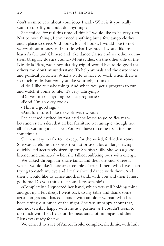don't seem to care about your job,» I said. «What is it you really want to do? If you could do anything.»

She smiled, for real this time. «I think I would like to be very rich. Not to own things, I don't need anything but a few tango clothes and a place to sleep. And books, lots of books. I would like to not worry about money and just do what I wanted. I would like to learn Arabic and Chinese and take dance classes and see other countries. Uruguay doesn't count.» Montevideo, on the other side of the Rio de la Plata, was a popular day trip. «I would like to do good for others too, don't misunderstand. To help animals and the cartoneros and political prisoners. What a waste to have to work when there is so much to do. But you, you like your job, I think.»

«I do. I like to make things. And when you get a program to run and watch it come to life...it's very satisfying.»

«Do you make anything besides programs?»

«Food. I'm an okay cook.»

«This is a good sign.»

«And furniture. I like to work with wood.»

She seemed excited by that, said she loved to go to flea markets and estate sales, that all her furniture was antique, though not all of it was in good shape. «You will have to come fix it for me sometime.»

She was easy to talk to—except for the weird, forbidden zones. She was careful not to speak too fast or use a lot of slang, having quickly and accurately sized up my Spanish skills. She was a good listener and animated when she talked, bubbling over with energy.

We talked through an entire tanda and then she said, «Here is what I would like. There are a couple of friends here who have been trying to catch my eye and I really should dance with them. And then I would like to dance another tanda with you and then I must go home. Do you think that sounds reasonable?»

«Completely.» I squeezed her hand, which was still holding mine, and got up. I felt dizzy. I went back to my table and drank some agua con gas and danced a tanda with an older woman who had been sitting out much of the night. She was unhappy about that, and not terribly happy with me as a partner, as I couldn't seem to do much with her. I sat out the next tanda of milongas and then Elena was ready for me.

We danced to a set of Anibal Troilo, complex, rhythmic, with lush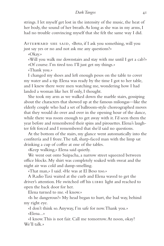strings. I let myself get lost in the intensity of the music, the heat of her body, the sound of her breath. As long as she was in my arms, I had no trouble convincing myself that she felt the same way I did.

Afterward she said, «Beto, if I ask you something, will you just say yes or no and not ask me any questions?»

«Okay.»

«Will you walk me downstairs and stay with me until I get a cab?» «Of course. I'm tired too. I'll just get my things.»

«Thank you.»

I changed my shoes and left enough pesos on the table to cover my water and a tip. Elena was ready by the time I got to her table, and I knew there were men watching me, wondering how I had landed a woman like her. If only, I thought.

She took my arm as we walked down the marble stairs, gossiping about the characters that showed up at the famous milongas—like the elderly couple who had a set of ballroom-style choreographed moves that they would do over and over in the opening hour of the dance, while there was room enough to get away with it. I'd seen them the year before and remembered their spins and pirouettes. Elena's laughter felt forced and I remembered that she'd said no questions.

At the bottom of the stairs, my glance went automatically into the confitería and I froze. The tall, sharp-faced man with the limp sat drinking a cup of coffee at one of the tables.

«Keep walking,» Elena said quietly.

We went out onto Suipacha, a narrow street squeezed between office blocks. My shirt was completely soaked with sweat and the night air was cold and damp-smelling.

«That man,» I said. «He was at El Beso too.»

A Radio Taxi waited at the curb and Elena waved to get the driver's attention. He switched off his LIBRE light and reached to open the back door for her.

Elena turned to me. «I know.»

«Is he dangerous?» My head began to hurt, the bad way, behind my right eye.

«I don't think so. Anyway, I'm safe for now. Thank you.» «Elena...»

«I know. This is not fair. Call me tomorrow. At noon, okay? We'll talk »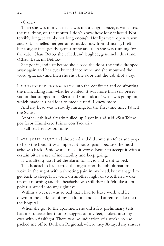«Okay.»

Then she was in my arms. It was not a tango abrazo, it was a kiss, the real thing, on the mouth. I don't know how long it lasted. Not terribly long, certainly not long enough. Her lips were open, warm and soft, I smelled her perfume, musky now from dancing, I felt her tongue flick gently against mine and then she was running for the cab. «Chau, Beto,» she called, and laughed, genuinely this time. «Chau, Beto, mi Betito.»

She got in, and just before she closed the door, the smile dropped away again and her eyes burned into mine and she mouthed the word «gracias,» and then she shut the door and the cab shot away.

I CONSIDERED GOING BACK into the confitería and confronting the man, asking him what he wanted. It was more than self-preservation that stopped me. Elena had some idea of what was going on, which made it a bad idea to meddle until I knew more.

And my head was seriously hurting, for the first time since I'd left the States.

Another cab had already pulled up. I got in and said, «San Telmo, por favor. Humberto Primo con Tacuari.»

I still felt her lips on mine.

I ATE SOME FRUIT and showered and did some stretches and yoga to help the head. It was important not to panic because the headache was back. Panic would make it worse. Better to accept it with a certain bitter sense of inevitability and keep going.

It was after 4 am. I set the alarm for 11:30 and went to bed.

The headaches had started the night after the job ultimatum. I woke in the night with a shooting pain in my head, but managed to get back to sleep. That went on another night or two, then I woke up one morning and the headache was still there. It felt like a hot poker jammed into my right eye.

Within a week it was so bad that I had to leave work and lie down in the darkness of my bedroom and call Lauren to take me to the hospital.

When she got to the apartment she did a few preliminary tests: had me squeeze her thumbs, tugged on my feet, looked into my eyes with a flashlight. There was no indication of a stroke, so she packed me off to Durham Regional, where they X-rayed my sinuses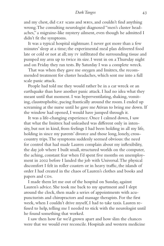and my chest, did CAT scans and MRIS, and couldn't find anything wrong. The consulting neurologist diagnosed "men's cluster headaches," a migraine-like mystery ailment, even though he admitted I didn't fit the symptoms.

It was a typical hospital nightmare. I never got more than a few minutes' sleep at a time; the experimental meal plan delivered food late or cold or not at all; my iv infiltrated the surrounding tissue and pumped my arm up to twice its size. I went in on a Thursday night and on Friday they ran tests. By Saturday I was a complete wreck.

That was when they gave me oxygen and Imitrex, the recommended treatment for cluster headaches, which sent me into a full scale panic attack.

People had told me they would rather be in a car wreck or an earthquake than have another panic attack. I had no idea what they meant until that moment. I was hyperventilating, shaking, vomiting, claustrophobic, pacing frantically around the room. I ended up screaming at the nurse until he gave me Ativan to bring me down. If the window had opened, I would have jumped through it.

It was a life-changing experience. Once I calmed down, I saw that what the Imitrex had unleashed was different only in intensity, but not in kind, from feelings I had been holding in all my life, holding in since my parents' divorce and those long, lonely, crosscountry trips. The symptoms suddenly seemed obvious: the need for control that had made Lauren complain about my inflexibility, the day job where I built small, structured worlds on the computer, the aching, constant fear when I'd spent five months on unemployment in 2002 before I landed the job with Universal. The physical discomfort I felt in roller coasters or in heavy traffic, the islands of order I had created in the chaos of Lauren's clothes and books and papers and CDs.

I made them let me out of the hospital on Sunday, against Lauren's advice. She took me back to my apartment and I slept around the clock, then made a series of appointments with acupuncturists and chiropractors and massage therapists. For the first week, when I couldn't drive myself, I had to take taxis. Lauren refused to help, telling me I needed to stick with the neurologist until he found something that worked.

I saw then how far we'd grown apart and how slim the chances were that we would ever reconcile. Hospitals and western medicine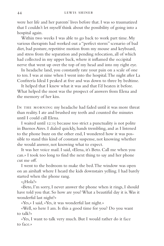were her life and her parents' lives before that. I was so traumatized that I couldn't let myself think about the possibility of going into a hospital again.

Within two weeks I was able to go back to work part time. My various therapists had worked out a "perfect storm" scenario of bad diet, bad posture, repetitive motion from my mouse and keyboard, and stress from the separation and pending relocation, all of which had collected in my upper back, where it inflamed the occipital nerve that went up over the top of my head and into my right eye.

In headache land, you constantly rate your pain on a scale of one to ten. I was at nine when I went into the hospital. The night after La Confitería Ideal I peaked at five and was down to three by bedtime.

It helped that I knew what it was and that I'd beaten it before. What helped the most was the prospect of answers from Elena and the memory of her kiss.

IN THE MORNING my headache had faded until it was more threat than reality. I ate and brushed my teeth and counted the minutes until I could call Elena.

I waited until 12:15 because too strict a punctuality is not polite in Buenos Aires. I dialed quickly, hands trembling, and as I listened to the phone buzz on the other end, I wondered how it was possible to stand this kind of constant suspense, not knowing whether she would answer, not knowing what to expect.

It was her voice mail. I said, «Elena, it's Beto. Call me when you can.» I took too long to find the next thing to say and her phone cut me off.

I went to the bedroom to make the bed. The window was open on an airshaft where I heard the kids downstairs yelling. I had barely started when the phone rang.

«¿Hola?»

«Beto, I'm sorry, I never answer the phone when it rings, I should have told you that. So how are you? What a beautiful day it is. Was it wonderful last night?»

«Yes,» I said, «Yes, it was wonderful last night.»

«Well, so here I am. Is this a good time for you? Do you want to talk?»

«Yes, I want to talk very much. But I would rather do it face to face.»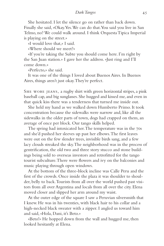She hesitated. I let the silence go on rather than back down. Finally she said, «Okay. Yes. We can do that. You said you live in San Telmo, no? We could walk around. I think Orquesta Tipica Imperial is playing on the street.»

«I would love that,» I said.

«Where should we meet?»

«If you're taking the Subte you should come here. I'm right by the San Juan station.» I gave her the address. «Just ring and I'll come down.»

«Perfecto,» she said.

It was one of the things I loved about Buenos Aires. In Buenos Aires, things aren't just okay. They're perfect.

SHE WORE JEANS, a rugby shirt with green horizontal stripes, a pink baseball cap, and big sunglasses. She hugged and kissed me, and even in that quick kiss there was a tenderness that turned me inside out.

She held my hand as we walked down Humberto Primo. It took concentration because the sidewalks were narrow and, like all the sidewalks in the older parts of town, dogs had crapped on them, an average of once per block. Our tango skills helped.

The spring had intoxicated her. The temperature was in the 70s and she'd pushed her sleeves up past her elbows. The first leaves were out on the few slender trees, invisible birds sang, and a few lacy clouds streaked the sky. The neighborhood was in the process of gentrification, the old two and three story stucco and stone buildings being sold to overseas investors and retrofitted for the tango tourist subculture. There were flowers and ivy on the balconies and music playing through open windows.

At the bottom of the three-block incline was Calle Peru and the first of the crowds. Once inside the plaza it was shoulder to shoulder, belly to back. Tourists from all over the world pushed past visitors from all over Argentina and locals from all over the city. Elena moved closer and slipped her arm around my waist.

At the outer edge of the square I saw a Peruvian silversmith that I knew. He was in his twenties, with black hair to his collar and a high-necked black sweater with a zipper. I angled us toward him and said, «Hola, Dani, it's Beto.»

«Beto!» He hopped down from the wall and hugged me, then looked hesitantly at Elena.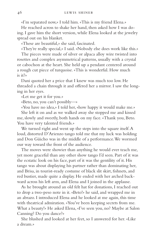«I'm separated now,» I told him. «This is my friend Elena.»

He reached across to shake her hand, then asked how I was doing. I gave him the short version, while Elena looked at the jewelry spread out on his blanket.

«These are beautiful,» she said, fascinated.

«They're really special,» I said. «Nobody else does work like this.»

The pieces were made of silver or alpaca alloy wire twisted into rosettes and complex asymmetrical patterns, usually with a crystal or cabochon at the heart. She held up a pendant centered around a rough cut piece of turquoise. «This is wonderful. How much is it?»

Dani quoted her a price that I knew was much too low. He threaded a chain through it and offered her a mirror. I saw the longing in her eyes.

«Let me get it for you.»

«Beto, no, you can't possibly—»

«You have no idea,» I told her, «how happy it would make me.» She left it on and as we walked away she stopped me and kissed me, slowly and sweetly, both hands on my face. «Thank you, Beto. You have very talented friends.»

We turned right and went up the steps into the square itself. A loud, distorted D'Arienzo tango told me that my luck was holding and Don Güicho was in the middle of a performance. We wormed our way toward the front of the audience.

The moves were showier than anything he would ever teach me, yet more graceful than any other show tango I'd seen. Part of it was the ecstatic look on his face, part of it was the gentility of it. His tango was about displaying his partner rather than dominating her, and Brisa, in tourist-ready costume of black slit skirt, fishnets, and red bustier, made quite a display. He ended with her arched backward across his left arm, and Elena and I joined in the applause.

As he brought around an old felt hat for donations, I reached out to drop a two-peso note in it. «Beto!» he said, and wrapped me in an abrazo. I introduced Elena and he looked at me again, this time with theatrical admiration. «You've been keeping secrets from me. What a beauty!» He asked Elena, «I've seen you, no? Maybe at Salon Canning? Do you dance?»

She blushed and looked at her feet, so I answered for her. «Like a dream.»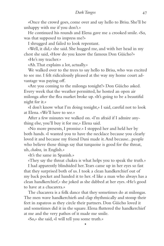«Once the crowd goes, come over and say hello to Brisa. She'll be unhappy with me if you don't.»

He continued his rounds and Elena gave me a crooked smile. «So, was that supposed to impress me?»

I shrugged and failed to look repentant.

«Well, it did,» she said. She hugged me, and with her head in my chest she said, «How do you know the famous Don Güicho?»

«He's my teacher.»

«Ah. That explains a lot, actually.»

We walked over to the trees to say hello to Brisa, who was excited to see me. I felt ridiculously pleased at the way my home court advantage was paying off.

«Are you coming to the milonga tonight?» Don Güicho asked. Every week that the weather permitted, he hosted an open air milonga after the flea market broke up. «It's going to be a beautiful night for it.»

«I don't know what I'm doing tonight,» I said, careful not to look at Elena. «We'll have to see.»

After a few minutes we walked on. «I'm afraid if I admire anything else, you'll buy it for me,» Elena said.

«No more presents, I promise.» I stopped her and held her by both hands. «I wanted you to have the necklace because you clearly loved it and because my friend Dani made it. And because...people who believe those things say that turquoise is good for the throat, uh, *chakra,* in English.»

«It's the same in Spanish.»

«They say the throat chakra is what helps you to speak the truth.»

I had apparently blindsided her. Tears came up in her eyes so fast that they surprised both of us. I took a clean handkerchief out of my back pocket and handed it to her. «I like a man who always has a clean handkerchief,» she joked as she dabbed at her eyes. «He's good to have at a chacarera.»

The chacarera is a folk dance that they sometimes do at milongas. The men wave handkerchiefs and clap rhythmically and stomp their feet in zapateos as they circle their partners. Don Güicho loved it and sometimes did it in the square. Elena fluttered the handkerchief at me and the very pathos of it made me smile.

•

«So,» she said, «I will tell you some truth.»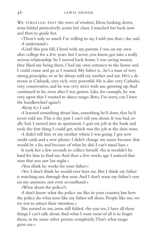WE STROLLED PAST the rows of vendors, Elena looking down, arms folded protectively across her chest. I touched her back now and then to guide her.

«There's only so much I'm willing to say, I told you that,» she said. «I understand.»

«Until this past fall, I lived with my parents. I was on my own after college for a few years, but I never, you know, got into a really serious relationship. So I moved back home. I was saving money, they liked my being there, I had my own entrance to the house and I could come and go as I wanted. My father is...he's a man of very strong principles, or so he always told my mother and me. He's a director at Citibank, very rich, very powerful. He is also very Catholic, very conservative, and he was very strict with me, growing up. And continued to be, even after I was grown. Like, for example, he was very upset that I wanted to dance tango. Beto, I'm sorry, can I have the handkerchief again?»

«Keep it,» I said.

«I learned something about him, something he'd done, that he'd never told me. This is the part I can't tell you about. It was bad, really bad. I moved into an apartment. I quit my job at the bank and took the first thing I could get, which was the job at the shoe store.

«I didn't tell him or my mother where I was going. I got new credit cards and a new phone. I didn't change my name because that would be a lie, and because of what he did, I can't stand liars.»

It took her a few seconds to collect herself. «So it wouldn't be hard for him to find me. And then a few weeks ago I noticed that man that you saw last night.»

«You think he works for your father.»

«Yes. I don't think he would ever hurt me. But I think my father is watching me, through that man. And I don't want my father's eyes on me anymore, not even secondhand.»

«What about the police?»

«I don't know what the police are like in your country, but here the police do what men like my father tell them. People like me, we try not to attract their attention.»

She turned to me, arms still folded. «So you see, I have all these things I can't talk about. And what I want most of all is to forget them, to be some other person completely. That's what tango gives me.»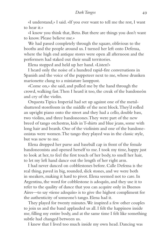«I understand,» I said. «If you ever want to tell me the rest, I want to hear it.»

«I know you think that, Beto. But there are things you don't want to know. Please believe me.»

We had passed completely through the square, oblivious to the booths and the people around us. I turned her left onto Defensa, where the high end antique stores were open all afternoon and the performers had staked out their small territories.

Elena stopped and held up her hand. «Listen!»

I heard only the noise of a hundred rapid-fire conversations in Spanish and the voice of the puppeteer next to me, whose drunken marionette clung to a miniature lamppost.

«Come on,» she said, and pulled me by the hand through the crowd, walking fast. Then I heard it too, the creak of the bandoneón and cry of the violin.

Orquesta Tipica Imperial had set up against one of the metalshuttered storefronts in the middle of the next block. They'd rolled an upright piano onto the street and they had a cello, double bass, two violins, and three bandoneones. They were part of the new breed of tango orchestras, kids in T-shirts and blue jeans, some with long hair and beards. One of the violinists and one of the bandoneonistas were women. The tango they played was in the classic style, but was new to me.

Elena dropped her purse and baseball cap in front of the female bandoneonista and opened herself to me. I took my time, happy just to look at her, to feel the first touch of her body, to smell her hair, to let my left hand dance out the length of her right arm.

I had never danced on cobblestones before. Calle Defensa is the real thing, paved in big, rounded, slick stones, and we were both in sneakers, making it hard to pivot. Elena seemed not to care. In Argentina, the word for cobblestone is adoquín, and they use it to refer to the quality of dance that you can acquire only in Buenos Aires—to say «tiene adoquín» is to give the highest compliment for the authenticity of someone's tango. Elena had it.

They played for twenty minutes. We inspired a few other couples to join us and the band applauded us all. I felt the happiness inside me, filling my entire body, and at the same time I felt like something subtle had changed between us.

I knew that I lived too much inside my own head. Dancing was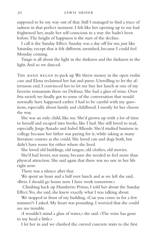supposed to be my way out of that. Still I managed to find a trace of sadness in that perfect moment. I felt like her opening up to me had frightened her, made her self-conscious in a way she hadn't been before. The height of happiness is the start of the decline.

I call it the Sunday Effect. Sunday was a day off for me, just like Saturday, except that it felt different, tarnished, because I could feel Monday coming.

Tango is all about the light in the darkness and the darkness in the light. And so we danced.

THE BAND BEGAN to pack up. We threw money in the open violin case and Elena reclaimed her hat and purse. Unwilling to let the afternoon end, I convinced her to let me buy her lunch at one of my favorite restaurants there on Defensa. She had a glass of wine. Over feta ravioli we finally got to some of the conversation that would normally have happened earlier. I had to be careful with my questions, especially about family and childhood. I mostly let her choose the way.

She was an only child, like me. She'd grown up with a lot of time to herself and escaped into books, like I had. She still loved to read, especially Jorge Amado and Isabel Allende. She'd studied business in college because her father was paying for it, while taking as many literature courses as she could. She loved cats and dogs both, but didn't have room for either where she lived.

She loved old buildings, old tangos, old clothes, old movies.

She'd had lovers, not many, because she needed to feel more than physical attraction. She said again that there was no one in her life right now.

There was a silence after that.

We spent an hour and a half over lunch and as we left she said, «Beto. I should go home now. I have work tomorrow.»

 Climbing back up Humberto Primo, I told her about the Sunday Effect. Yes, she said, she knew exactly what I was talking about.

We stopped in front of my building. «Can you come in for a few minutes?» I asked. My heart was pounding. I worried that she could see me tremble.

«I wouldn't mind a glass of water,» she said. «The wine has gone to my head a little.»

I let her in and we climbed the curved concrete stairs to the first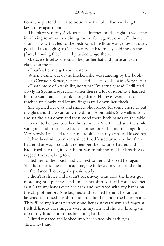floor. She pretended not to notice the trouble I had working the key to my apartment.

The place was tiny. A closet-sized kitchen on the right as we came in, a living room with a dining room table against one wall, then a short hallway that led to the bedroom. The floor was yellow parquet, polished to a high gloss. That was what had finally sold me on the place, knowing that I could practice tango there.

«Beto, it's lovely,» she said. She put her hat and purse and sunglasses on the table.

«Thanks. Let me get your water.»

When I came out of the kitchen, she was standing by the bookshelf. «Cortázar, Sabato, Casares—and Galeano,» she said. «Very nice.»

«That's more of a wish list, not what I've actually read. I still read slowly in Spanish, especially when there's a lot of idioms.» I handed her the water and she took a long drink. Her eyes were closed. I reached up slowly and let my fingers trail down her cheek.

She opened her eyes and smiled. She looked for somewhere to put the glass and there was only the dining room table. She walked to it and set the glass down and then stood there, both hands on the table.

I went to her and touched her shoulder. She turned and the smile was gone and instead she had the other look, the intense tango look. Very slowly I reached for her and took her in my arms and kissed her.

It had been nineteen years since I had kissed anyone other than Lauren that way. I couldn't remember the last time Lauren and I had kissed like that, if ever. Elena was trembling and her breath was ragged. I was shaking too.

I led her to the couch and sat next to her and kissed her again. She didn't resist me or pursue me, she followed my lead as she did on the dance floor, eagerly, passionately.

I didn't rush her and I didn't back away. Gradually the kisses got more urgent. I put my hands under her shirt so that I could feel her skin. I ran my hands over her back and hesitated with my hands on the clasp of her bra. She laughed and reached behind her and unfastened it. I raised her shirt and lifted her bra and kissed her breasts. They filled my hands perfectly and her skin was warm and fragrant. I felt delirious. Her fingers were in my hair and she was kissing the top of my head, both of us breathing hard.

I lifted my face and looked into her incredibly dark eyes. «Elena...» I said.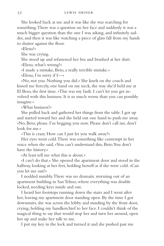She looked back at me and it was like she was searching for something. There was a question on her face and suddenly it was a much bigger question than the one I was asking, and infinitely sadder, and then it was like watching a piece of glass fall from my hands to shatter against the floor.

«Elena?»

She was crying.

She stood up and refastened her bra and brushed at her shirt. «Elena, what's wrong?»

«I made a mistake, Beto, a really terrible mistake.»

«Elena, I'm sorry if I—»

«No, not you. Nothing you did.» She knelt on the couch and kissed me fiercely, one hand on my neck, the way she'd held me at El Beso, the first time. «This was my fault. I can't let you get involved with this business. It is so much worse than you can possibly imagine.»

«What business?»

She pulled back and gathered her things from the table. I got up and started toward her and she held out one hand to push me away. «No, Beto, please. I'm begging you now. Please don't call me, don't look for me.»

«This is crazy. How can I just let you walk away?»

Her eyes went cold. There was something like contempt in her voice when she said, «You can't understand this, Beto. You don't have the history.»

«At least tell me what this is about.»

«I can't do that.» She opened the apartment door and stood in the hallway, looking at her feet, holding herself as if she were cold. «Can you let me out?»

I nodded numbly. There was no dramatic storming out of an apartment building in San Telmo, where everything was double locked, needing keys inside and out.

I heard her footsteps running down the stairs and I went after her, leaving my apartment door standing open. By the time I got downstairs, she was across the lobby and standing by the front door, crying, holding my handkerchief to her face. I couldn't think of the magical thing to say that would stop her and turn her around, open her up and make her talk to me.

I put my key in the lock and turned it and she pushed past me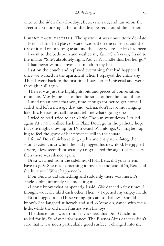onto to the sidewalk. «Goodbye, Beto,» she said, and ran across the street, a taxi honking at her as she disappeared around the corner.

I went back upstairs. The apartment was now utterly desolate.

Her half-finished glass of water was still on the table. I drank the rest of it and ran my tongue around the edge where her lips had been.

I went to the bathroom and washed my face. "She's crazy," I said to the mirror. "She's absolutely right. You can't handle this. Let her go."

I had never wanted anyone so much in my life.

I sat on the couch and replayed everything that had happened since we walked in the apartment. Then I replayed the entire day. Then I went back to the first time I saw her at Universal and went through it all again.

Then it was just the highlights, bits and pieces of conversation, moments. Mostly the feel of her, the smell of her, the taste of her.

I used up an hour that way, time enough for her to get home. I called and left a message that said, «Elena, don't leave me hanging like this. Please, just call me and tell me what's going on.»

I tried to read, tried to eat a little. The sun went down. I called again. At 8:30 I walked back to Plaza Dorrego in the pathetic hope that she might show up for Don Güicho's milonga. Or maybe hoping to feel the ghost of her presence still in the square.

I found Don Güicho setting up his ancient, patched-together sound system, into which he had plugged his new iPod. He jiggled a wire, a few seconds of scratchy tango blared through the speakers, then there was silence again.

Brisa watched from the sidelines. «Hola, Beto, did your friend have to go?» She read something in my face and said, «Oh, Beto, did she hurt you? What happened?»

Don Güicho did something and suddenly there was music. A single violin, infinitely sad, mocking me.

«I don't know what happened,» I said. «We danced a few times, I thought we really liked each other. Then...» I opened my empty hands.

Brisa hugged me. «These young girls are so shallow. I should know!» She laughed at herself and said, «Come on, dance with me a little, while the old man finishes with his toys.»

The dance floor was a thin canvas sheet that Don Güicho unrolled for his Sunday performances. The Buenos Aires dancers didn't care that it was not a particularly good surface. I changed into my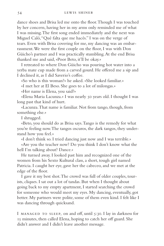dance shoes and Brisa led me onto the floor. Though I was touched by her concern, having her in my arms only reminded me of what I was missing. The first song ended immediately and the next was Miguel Caló, "Qué falta que me hacés." I was on the verge of tears. Even with Brisa covering for me, my dancing was an embarrassment. We were the first couple on the floor, I was with Don Güicho's partner and I was practically stumbling. At the end Brisa thanked me and said, «Poor Beto, it'll be okay.»

I retreated to where Don Güicho was pouring hot water into a yerba mate cup made from a carved gourd. He offered me a sip and I declined it, as I did Saverio's coffee.

«So who is this woman?» he asked. «She looked familiar.»

«I met her at El Beso. She goes to a lot of milongas.»

«Her name is Elena, you said?»

«Elena Maria Lacunza.» I was nearly 50 years old. I thought I was long past that kind of hurt.

«Lacunza. That name is familiar. Not from tango, though, from something else.»

I shrugged.

«Beto, you should do as Brisa says. Tango is the remedy for what you're feeling now. The tangos oscuros, the dark tangos, they understand how you feel.»

«I don't think so. I tried dancing just now and I was terrible.» «Are you the teacher now? Do you think I don't know what the hell I'm talking about? Dance.»

He turned away. I looked past him and recognized one of the women from his Sexto Kultural class, a short, tough girl named Patricia. I caught her eye, gave her the cabeceo, and we met at the edge of the floor.

I gave it my best shot. The crowd was full of older couples, tourists, cliques. I sat out a lot of tandas. But when I thought about going back to my empty apartment, I started searching the crowd for someone who would meet my eyes. My dancing, eventually, got better. My partners were polite, some of them even kind. I felt like I was dancing through quicksand.

I MANAGED TO SLEEP, on and off, until 5:30. I lay in darkness for 15 minutes, then called Elena, hoping to catch her off guard. She didn't answer and I didn't leave another message.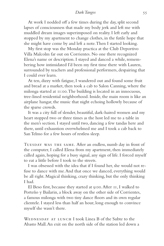At work I nodded off a few times during the day, split second lapses of consciousness that made my body jerk and left me with muddled dream images superimposed on reality. I left early and stopped by my apartment to change clothes, in the futile hope that she might have come by and left a note. Then I started looking.

My first stop was the Monday practica at the Club Deportivo Villa Malcolm far out on Corrientes. No one there recognized Elena's name or description. I stayed and danced a while, remembering how intimidated I'd been my first time there with Lauren, surrounded by teachers and professional performers, despairing that I could ever learn.

At ten, dizzy with fatigue, I wandered out and found some fruit and bread at a market, then took a cab to Salon Canning, where the milonga started at 11:00. The building is located in an innocuous, tree-lined residential neighborhood. Inside, the main room is like an airplane hangar, the music that night echoing hollowly because of the sparse crowds.

It was a city full of slender, beautiful, dark-haired women and my heart stopped two or three times as the host led me to a table in the men's section. I stayed until two, dancing a few tandas here and there, until exhaustion overwhelmed me and I took a cab back to San Telmo for a few hours of restless sleep.

TUESDAY WAS THE SAME. After an endless, numb day in front of the computer, I called Elena from my apartment, then immediately called again, hoping for a busy signal, any sign of life. I forced myself to eat a little before I took to the streets.

I was obsessed with the idea that if I found her, she would not refuse to dance with me. And that once we danced, everything would be all right. Magical thinking, crazy thinking, but the only thinking I had.

El Beso first, because they started at 9:00. After 11, I walked to Porteño y Bailarin, a block away on the other side of Corrientes, a famous milonga with two tiny dance floors and its own regular clientele. I stayed less than half an hour, long enough to convince myself she wasn't there.

WEDNESDAY AT LUNCH I took Linea B of the Subte to the Abasto Mall. An exit on the north side of the station led down a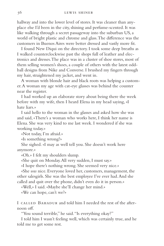hallway and into the lower level of stores. It was cleaner than anyplace else I'd been in the city, shining and perfume-scented. It was like walking through a secret passageway into the suburban US, a world of bright plastic and chrome and glass. The difference was the customers in Buenos Aires were better dressed and vastly more fit.

I found New Diqui on the directory. I took some deep breaths as I walked counterclockwise past the shops full of leather and electronics and dresses. The place was in a cluster of shoe stores, most of them selling women's shoes, a couple of others with the latest oddball designs from Nike and Converse. I brushed my fingers through my hair, straightened my jacket, and went in.

A woman with blonde hair and black roots was helping a customer. A woman my age with cat-eye glasses was behind the counter near the register.

I had worked up an elaborate story about being there the week before with my wife, then I heard Elena in my head saying, «I hate liars.»

I said hello to the woman in the glasses and asked how she was and said, «There's a woman who works here, I think her name is Elena. She was very kind to me last week. I wondered if she was working today.»

«Not today, I'm afraid.»

«Is something wrong?»

She sighed. «I may as well tell you. She doesn't work here anymore.»

«Oh.» I felt my shoulders slump.

«She quit on Monday. All very sudden, I must say.»

«I hope there's nothing wrong. She seemed very nice.»

«She *was* nice. Everyone loved her, customers, management, the other salesgirls. She was the best employee I've ever had. And she called and quit over the phone, didn't even do it in person.»

«Well,» I said. «Maybe she'll change her mind.»

«We can hope, can't we?»

I called Bahadur and told him I needed the rest of the afternoon off.

"You sound terrible," he said. "Is everything okay?"

I told him I wasn't feeling well, which was certainly true, and he told me to get some rest.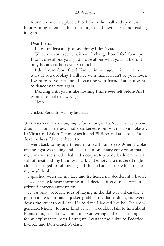I found an Internet place a block from the mall and spent an hour writing an email, then rereading it and rewriting it and reading it again.

Dear Elena,

Please understand just one thing: I don't care.

Whatever your secret is, it won't change how I feel about you. I don't care about your past. I care about what your father did only because it hurts you so much.

I don't care about the difference in our ages or in our cultures. If you do, okay, I will live with that. If I can't be your lover, I want to be your friend. If I can't be your friend, I at least want to dance with you again.

Dancing with you is like nothing I have ever felt before. All I want is to feel that way again.

—Beto

I clicked Send. It was my last idea.

WEDNESDAY WAS a big night for milongas. La Nacional, very traditional, a long, narrow, smoke-darkened room with cracking plaster. La Viruta and Salon Canning again and El Beso and at least half a dozen others I'd never been to.

I went back to my apartment for a few hours' sleep. When I woke up, the light was fading and I had the momentary conviction that my consciousness had inhabited a corpse. My body lay like an inert slab of meat and my brain was dark and empty as a shuttered nightclub. I managed to roll my legs off the bed and sit up, which made my head throb.

I splashed water on my face and freshened my deodorant. I hadn't shaved since Monday morning and I decided it gave me a certain grizzled porteño authenticity.

It was only 7:00. The idea of staying in the flat was unbearable. I put on a dress shirt and a jacket, grabbed my dance shoes, and went down the street to call Sam. He told me I looked like hell, "in a degenerate, Mickey Rourke kind of way." I couldn't talk to him about Elena, though he knew something was wrong and kept pushing for an explanation. After I hung up, I caught the Subte to Federico Lacroze and Don Güicho's class.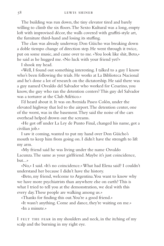The building was run down, the tiny elevator tired and barely willing to climb the six floors. The Sexto Kultural was a long, empty loft with improvised décor, the walls covered with graffiti-style art, the furniture third-hand and losing its stuffing.

The class was already underway. Don Güicho was breaking down a doble tiempo change of direction step. He went through it twice, put on some music, and came over to me. «You look like shit, Beto,» he said as he hugged me. «No luck with your friend yet?»

I shook my head.

«Well, I found out something interesting. I talked to a guy I know who's been following the trials. He works at La Biblioteca Nacional and he's done a lot of research on the dictatorship. He said there was a guy named Osvaldo del Salvador who worked for Cesarino, you know, the guy who ran the detention centers? This guy del Salvador was a torturer at the Club Atlético.»

I'd heard about it. It was on Avenida Paseo Colón, under the elevated highway that led to the airport. The detention center, one of the worst, was in the basement. They said the noise of the cars overhead helped drown out the screams.

«He got off under La Ley de Punto Final, changed his name, got a civilian job.»

I saw it coming, wanted to put my hand over Don Güicho's mouth to keep him from going on. I didn't have the strength to lift my arm.

«My friend said he was living under the name Osvaldo Lacunza. The same as your girlfriend. Maybe it's just coincidence, but...»

«No,» I said. «It's no coincidence.» What had Elena said? I couldn't understand her because I didn't have the history.

«Beto, my friend, welcome to Argentina. You want to know why we have more psychiatrists than anywhere else on earth? This is what I tried to tell you at the demonstration, we deal with this every day. These people are walking among us.»

«Thanks for finding this out. You're a good friend.»

«It wasn't anything. Come and dance, they're waiting on me.» «In a minute.»

I FELT THE FEAR in my shoulders and neck, in the itching of my scalp and the burning in my right eye.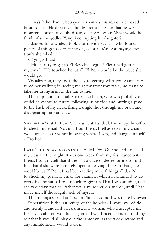Elena's father hadn't betrayed her with a mistress or a crooked business deal. He'd betrayed her by not telling her that he was a monster. Conservative, she'd said, deeply religious. What would he think of some godless Yanqui corrupting his daughter?

I danced for a while. I took a turn with Patricia, who found plenty of things to correct me on, as usual. «Are you paying attention?» she asked.

«Trying,» I said.

I left at 10:15 to get to El Beso by 10:30. If Elena had gotten my email, if I'd touched her at all, El Beso would be the place she would go.

Visualization, they say, is the key to getting what you want. I pictured her walking in, seeing me at my front row table, me rising to take her in my arms as she ran to me...

Then I pictured the tall, sharp-faced man, who was probably one of del Salvador's torturers, following us outside and putting a pistol to the back of my neck, firing a single shot through my brain and disappearing into an alley.

She wasn't at El Beso. She wasn't at La Ideal. I went by the office to check my email. Nothing from Elena. I fell asleep in my chair, woke up at 1:00 am not knowing where I was, and dragged myself off to bed.

LATE THURSDAY MORNING, I called Don Güicho and canceled my class for that night. It was one week from my first dance with Elena. I told myself that if she had a trace of desire for me to find her, that if she were remotely open to leaving things to Fate, she would be at El Beso. I had been telling myself things all day. Not to check my personal email, for example, which I continued to do every five minutes. I told myself to give up. That I was an idiot, that she was crazy, that her father was a murderer, on and on, until I had made myself thoroughly sick of myself.

The milonga started at 6:00 on Thursdays and I was there by seven. Superstition is the last refuge of the hopeless. I wore my red tie and freshly laundered black shirt. The woman who'd accepted my first-ever cabeceo was there again and we danced a tanda. I told myself that it would all play out the same way as the week before and any minute Elena would walk in.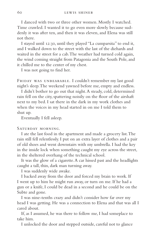I danced with two or three other women. Mostly I watched. Time crawled. I wanted it to go even more slowly because suddenly it was after ten, and then it was eleven, and Elena was still not there.

I stayed until 12:30, until they played "La cumparsita" to end it, and I walked down to the street with the last of the diehards and waited in the street for a cab. The weather had turned cold again, the wind coming straight from Patagonia and the South Pole, and it chilled me to the center of my chest.

I was not going to find her.

FRIDAY WAS UNBEARABLE. I couldn't remember my last good night's sleep. The weekend yawned before me, empty and endless.

I didn't bother to go out that night. A steady, cold, determined rain fell on the city, spattering noisily on the floor of the airshaft next to my bed. I sat there in the dark in my work clothes and when the voices in my head started in on me I told them to shut up.

Eventually I fell asleep.

# Saturday morning.

I ate the last food in the apartment and made a grocery list. The rain still fell relentlessly. I put on an extra layer of clothes and a pair of old shoes and went downstairs with my umbrella. I had the key in the inside lock when something caught my eye across the street, in the sheltered overhang of the technical school.

It was the glow of a cigarette. A car hissed past and the headlights caught a tall, thin, dark man turning away.

I was suddenly wide awake.

I backed away from the door and forced my brain to work. If I went up to him he might run away, or turn on me. If he had a gun or a knife, I could be dead in a second and he could be on the Subte and gone.

I was nine-tenths crazy and didn't consider how far over my head I was getting. He was a connection to Elena and that was all I cared about.

If, as I assumed, he was there to follow me, I had someplace to take him.

I unlocked the door and stepped outside, careful not to glance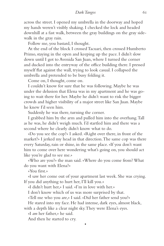across the street. I opened my umbrella in the doorway and hoped my hands weren't visibly shaking. I checked the lock and headed downhill at a fast walk, between the gray buildings on the gray sidewalk in the gray rain.

Follow me, you bastard, I thought.

At the end of the block I crossed Tacuari, then crossed Humberto Primo, staying in the open and keeping up the pace. I didn't slow down until I got to Avenida San Juan, where I turned the corner and ducked into the entryway of the office building there. I pressed myself flat against the wall, trying to look casual. I collapsed the umbrella and pretended to be busy folding it.

Come on, I thought, come on.

I couldn't know for sure that he was following. Maybe he was under the delusion that Elena was in my apartment and he was going to wait there for her. Maybe he didn't want to risk the bigger crowds and higher visibility of a major street like San Juan. Maybe he knew I'd seen him.

Suddenly he was there, turning the corner.

I grabbed him by the arm and pulled him into the overhang. Tall as he was, he didn't weigh much. I'd startled him and there was a second where he clearly didn't know what to do.

«Do you see the cop?» I asked. «Right over there, in front of the market?» I jerked my head in that direction. The same cop was there every Saturday, rain or shine, in the same place. «If you don't want him to come over here wondering what's going on, you should act like you're glad to see me.»

«Who are you?» the man said. «Where do you come from? What do you want with Elena?»

«You first.»

«I saw her come out of your apartment last week. She was crying. If you did anything to hurt her, I'll kill you.»

«I didn't hurt her,» I said. «I'm in love with her.»

I don't know which of us was more surprised by that.

«Tell me who you are,» I said. «Did her father send you?»

He stared into my face. He had intense, dark eyes, almost black,

•

with a depth like a clear night sky. They were Elena's eyes.

«I *am* her father,» he said.

And then he started to cry.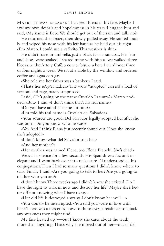Maybe it was because I had seen Elena in his face. Maybe I saw my own despair and hopelessness in his tears. I hugged him and said, «My name is Beto. We should get out of the rain and talk, no?»

He returned the abrazo, then slowly pulled away. He sniffed loudly and wiped his nose with his left hand as he held out his right. «I'm Mateo. I could use a cafecito. This weather is shit.»

He didn't have an umbrella, just a black fabric raincoat. His hair and shoes were soaked. I shared mine with him as we walked three blocks to the Arte y Café, a corner bistro where I ate dinner three or four nights a week. We sat at a table by the window and ordered coffee and agua con gas.

«She told me her father was a banker,» I said.

«That's her *adopted* father.» The word "adopted" carried a load of sarcasm and rage, barely suppressed.

I said, «He's going by the name Osvaldo Lacunza?» Mateo nodded. «But,» I said, «I don't think that's his real name.»

«Do you have another name for him?»

«I'm told his real name is Osvaldo del Salvador.»

«Your sources are good. Del Salvador legally adopted her after she was born. Do you know who he was?»

«Yes. And I think Elena just recently found out. Does she know she's adopted?»

«I don't know what del Salvador told her.»

«And her mother?»

«Her mother was named Elena, too. Elena Bianchi. She's dead.»

We sat in silence for a few seconds. His Spanish was fast and inelegant and I went back over it to make sure I'd understood all his conjugations. Then I had so many questions I didn't know where to start. Finally I said, «Are you going to talk to her? Are you going to tell her who you are?»

«I don't know. Three weeks ago I didn't know she existed. Do I have the right to walk in now and destroy her life? Maybe she's better off not knowing what I have to say.»

«Her old life is destroyed anyway. I don't know her well—»

«You don't?» he interrupted. «You said you were in love with her.» There was a fierceness now to those eyes, a readiness to attack any weakness they might find.

My face heated up. «—but I know she cares about the truth more than anything. That's why she moved out of her—out of del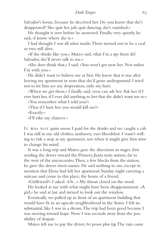Salvador's house, because he deceived her. Do you know that she's disappeared? She quit her job, quit dancing, she's vanished.»

He thought it over before he answered. Finally, very quietly, he said, «I know where she is.»

I had thought I was all ashes inside. There turned out to be a coal or two still alive.

«If she thinks like you,» Mateo said, «that I'm a spy from del Salvador, she'll never talk to me.»

«She does think that,» I said. «You won't get near her. Not unless I'm with you.»

He didn't want to believe me at first. He knew that it was after leaving my apartment in tears that she'd gone underground. I tried not to let him see my desperation, only my hurt.

«When we get there,» I finally said, «you can ask her. Ask her if I ever hurt her, if I ever did anything to her that she didn't want me to.»

«You remember what I told you?»

«That if I hurt her you would kill me?»

«Exactly.»

«I'll take my chances.»

It was not quite noon. I paid for the drinks and we caught a cab. I was still in my old clothes, unshaven, eyes bloodshot. I wasn't willing to risk a stop at my apartment, not when it might give him time to change his mind.

It was a long trip and Mateo gave the directions in stages, first sending the driver toward the Primera Junta train station, far to the west of the microcentro. Then, a few blocks from the station, he gave the driver street names. He said nothing to me, except to mention that Elena had left her apartment Sunday night carrying a suitcase and come to this place, the home of a friend.

«Girlfriend?» I asked. «Or...» My throat closed on the word.

He looked at me with what might have been disappointment. «A girl,» he said at last and turned to look out the window.

Eventually we pulled up in front of an apartment building that would have fit in an upscale neighborhood in the States. I felt insubstantial, like I was in a dream. The trip had been good because I was moving toward hope. Now I was seconds away from the possibility of despair.

Mateo left me to pay the driver, 60 pesos plus tip. The rain came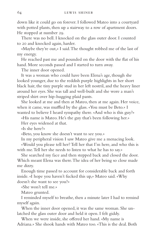down like it could go on forever. I followed Mateo into a courtyard with potted plants, then up a stairway to a row of apartment doors. He stopped at number 29.

There was no bell. I knocked on the glass outer door. I counted to 20 and knocked again, harder.

«Maybe they're out,» I said. The thought robbed me of the last of my energy.

He reached past me and pounded on the door with the flat of his hand. More seconds passed and I started to turn away.

The inner door opened.

It was a woman who could have been Elena's age, though she looked younger, due to the reddish purple highlights in her short black hair, the tiny purple stud in her left nostril, and the heavy liner around her eyes. She was tall and well-built and she wore a man's striped shirt over hip-hugging plaid pants.

She looked at me and then at Mateo, then at me again. Her voice, when it came, was muffled by the glass. «You must be Beto.» I wanted to believe I heard sympathy there. «And who is this guy?»

«His name is Mateo. He's the guy that's been following her.»

Her eyes widened at that.

«Is she here?»

«Beto, you know she doesn't want to see you.»

In my peripheral vision I saw Mateo give me a menacing look. «Would you please tell her? Tell her that I'm here, and who this is with me. Tell her she needs to listen to what he has to say.»

She searched my face and then stepped back and closed the door. Which meant Elena was there. The idea of her being so close made me dizzy.

Enough time passed to account for considerable back and forth inside. «I hope you haven't fucked this up,» Mateo said. «Why doesn't she want to see you?»

«She won't tell me.»

Mateo grunted.

I reminded myself to breathe, then a minute later I had to remind myself again.

When the inner door opened, it was the same woman. She unlatched the glass outer door and held it open. I felt giddy.

When we were inside, she offered her hand. «My name is Adriana.» She shook hands with Mateo too. «This is the deal. Both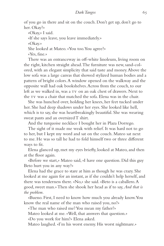of you go in there and sit on the couch. Don't get up, don't go to her. Okay?»

«Okay,» I said.

«If she says leave, you leave immediately.»

«Okay.»

She looked at Mateo. «You too. You agree?»

«Yes, fine.»

There was an entranceway in off-white linoleum, living room on the right, kitchen straight ahead. The furniture was new, sand-colored, with an elegant simplicity that said taste and money. Above the low sofa was a large canvas that showed stylized human bodies and a pattern of bright colors. A window opened on the walkway and the opposite wall had oak bookshelves. Across from the couch, to our left as we walked in, was a tv on an oak chest of drawers. Next to the tv was a chair that matched the sofa. Elena was in the chair.

She was hunched over, holding her knees, her feet tucked under her. She had deep shadows under her eyes. She looked like hell, which is to say, she was heartbreakingly beautiful. She was wearing sweat pants and an oversized T shirt.

And the turquoise necklace I bought her in Plaza Dorrego.

The sight of it made me weak with relief. It was hard not to go to her, but I kept my word and sat on the couch. Mateo sat next to me. He was so tall he had to fold himself two or three different ways to fit.

Elena glanced up, met my eyes briefly, looked at Mateo, and then at the floor again.

«Before we start,» Mateo said, «I have one question. Did this guy Beto hurt you in any way?»

Elena had the grace to stare at him as though he was crazy. She looked at me again for an instant, as if she couldn't help herself, and there was tenderness there. «No,» she said. «Beto is a caballero. A good, sweet man.» Then she shook her head as if to say, *And that is the problem.*

«Bueno. First, I need to know how much you already know. You know the real name of the man who raised you, no?»

«The man who raised me? You mean my father?»

Mateo looked at me. «Well, that answers that question.»

«Do you work for him?» Elena asked.

Mateo laughed. «I'm his worst enemy. His worst nightmare.»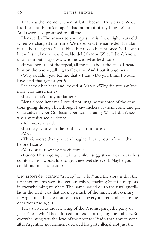That was the moment when, at last, I became truly afraid. What had I let into Elena's refuge? I had no proof of anything he'd said. And twice he'd promised to kill me.

Elena said, «The answer to your question is, I was eight years old when we changed our name. We never said the name del Salvador in the house again.» She rubbed her nose. «Except once. So I always knew his real name was Osvaldo del Salvador. What I didn't know, until six months ago, was who he was, what he'd done.

«It was because of the repeal, all the talk about the trials. I heard him on the phone, talking to Cesarino. And I put it together.»

«Why couldn't you tell me that?» I said. «Do you think I would have held that against you?»

She shook her head and looked at Mateo. «Why did you say, 'the man who raised me'?»

«Because he's not your father.»

Elena closed her eyes. I could not imagine the force of the emotions going through her, though I saw flickers of them come and go. Gratitude, maybe? Confusion, betrayal, certainly. What I didn't see was any resistance or doubt.

«Tell me,» she said.

«Beto says you want the truth, even if it hurts.»

«Yes.»

«This is worse than you can imagine. I want you to know that before I start.»

«You don't know my imagination.»

«Bueno. This is going to take a while. I suggest we make ourselves comfortable. I would like to get these wet shoes off. Maybe you could find me a cafecito.»

Un montón means "a heap" or "a lot," and the story is that the first montoneros were indigenous tribes, attacking Spanish outposts in overwhelming numbers. The name passed on to the rural guerillas in the civil wars that took up much of the nineteenth century in Argentina. But the montoneros that everyone remembers are the ones from the 1970s.

They started as the left wing of the Peronist party, the party of Juan Perón, who'd been forced into exile in 1955 by the military. So overwhelming was the love of the poor for Perón that government after Argentine government declared his party illegal, not just the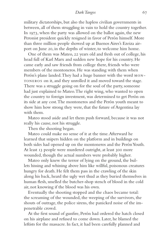# *Dark Tangos* 67

military dictatorships, but also the hapless civilian governments in between, all of them struggling in vain to hold the country together. In 1973, when the party was allowed on the ballot again, the new Peronist president quickly resigned in favor of Perón himself. More than three million people showed up at Buenos Aires's Ezeiza airport on June 20, in the depths of winter, to welcome him home.

One of them was Mateo, 22 years old and fresh out of college, his head full of Karl Marx and sudden new hope for his country. He came early and saw friends from college there, friends who were members of the montoneros. He was standing with them when Perón's plane landed. They had a huge banner with the word MONtoneros on it, and they unrolled it and moved toward the stage. There was a struggle going on for the soul of the party, someone had just explained to Mateo. The right wing, who wanted to open the country to foreign investment, was determined to get Perón on its side at any cost. The montoneros and the Perón youth meant to show him how strong they were, that the future of Argentina lay with them.

Mateo stood aside and let them push forward, because it was not really his cause, not his struggle.

Then the shooting began.

Mateo could make no sense of it at the time. Afterward he learned that snipers hidden on the platform and in buildings on both sides had opened up on the montoneros and the Perón Youth. At least 13 people were murdered outright, at least 300 more wounded, though the actual numbers were probably higher.

Mateo only knew the terror of lying on the ground, the bullets hissing and whining above him like willful, poisonous creatures hungry for death. He felt them pass in the crawling of the skin along his back, heard the ugly wet thud as they buried themselves in human flesh, smelled the butcher-shop stench of blood in the cold air, not knowing if the blood was his own.

Eventually the shooting stopped and the chaos became total: the screaming of the wounded, the weeping of the survivors, the shouts of outrage, the police sirens, the panicked noise of the impenetrable crowd.

At the first sound of gunfire, Perón had ordered the hatch closed on his airplane and refused to come down. Later, he blamed the leftists for the massacre. In fact, it had been carefully planned and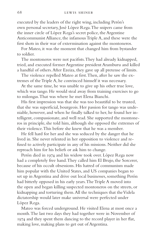executed by the leaders of the right wing, including Perón's own personal secretary, José López Rega. The snipers came from the inner circle of López Rega's secret police, the Argentine Anticommunist Alliance, the infamous Triple A, and these were the first shots in their war of extermination against the montoneros.

For Mateo, it was the moment that changed him from bystander to soldier.

The montoneros were not pacifists. They had already kidnapped, tried, and executed former Argentine president Aramburu and killed a handful of others. After Ezeiza, they gave up all pretense of limits.

The violence repelled Mateo at first. Then, after he saw the extremes of the Triple A, he convinced himself it was necessary.

At the same time, he was unable to give up his other true love, which was tango. He would steal away from training exercises to go to milongas. That was where he met Elena Bianchi.

His first impression was that she was too beautiful to be trusted, that she was superficial, bourgeois. Her passion for tango was undeniable, however, and when he finally talked to her, he found her intelligent, compassionate, and well read. She supported the montoneros in principle, she told him, although she opposed the extremes of their violence. This before she knew that he was a member.

He fell hard for her and she was seduced by the danger that he lived in. She never relented in her opposition to violence and refused to actively participate in any of his missions. Neither did she reproach him for his beliefs or ask him to change.

Perón died in 1974 and his widow took over. López Rega now had a completely free hand. They called him El Brujo, the Sorcerer, because of his occult obsessions. His hatred of communism made him popular with the United States, and US companies began to set up in Argentina and drive out local businesses, something Perón had bitterly opposed in his early years. The Triple A moved into the open and began killing suspected montoneros on the streets, or kidnapping and torturing them. All the techniques that the Videla dictatorship would later make universal were perfected under López Rega.

Mateo was forced underground. He visited Elena at most once a month. The last two days they had together were in November of 1974 and they spent them dancing to the record player in her flat, making love, making plans to get out of Argentina.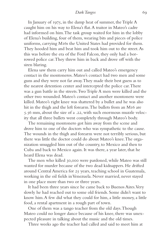# *Dark Tangos* 69

In January of 1975, in the damp heat of summer, the Triple A caught him on his way to Elena's flat. A traitor in Mateo's cadre had informed on him. The task group waited for him in the lobby of Elena's building, four of them, wearing bits and pieces of police uniforms, carrying M16s the United States had provided for them. They hooded him and beat him and took him out to the street. As this was before the era of the Ford Falcon, they only had a borrowed police car. They threw him in back and drove off with the siren blaring.

Elena saw them carry him out and called Mateo's emergency contact in the montoneros. Mateo's contact had two men and some guns and they were not far away. They made their best guess as to the nearest detention center and intercepted the police car. There was a gun battle in the streets. Two Triple A men were killed and the other two wounded. Mateo's contact and another montonero were killed. Mateo's right knee was shattered by a bullet and he was also hit in the thigh and the left forearm. The bullets from an M16 are 5.56 mm, about the size of a .22, with such enormous muzzle velocity that all three bullets went completely through Mateo's body.

The remaining montonero got him away from the scene and drove him to one of the doctors who was sympathetic to the cause. The wounds in the thigh and forearm were not terribly serious, but there was little the doctor could do about Mateo's knee. The organization smuggled him out of the country, to Mexico and then to Cuba and back to Mexico again. It was there, a year later, that he heard Elena was dead.

The men who killed 30,000 were pardoned, while Mateo was still wanted for murder because of the two dead kidnappers. He drifted around Central America for 25 years, teaching school in Guatemala, working in the oil fields in Venezuela. Never married, never stayed in one place more than two or three years.

It had been three years since he came back to Buenos Aires. Very slowly he had reached out to some old friends. Some didn't want to know him. A few did what they could for him, a little money, a little food, a rental apartment in a rough part of town.

One of them was a tango teacher from the old days. Though Mateo could no longer dance because of his knee, there was unexpected pleasure in talking about the music and the old times.

Three weeks ago the teacher had called and said to meet him at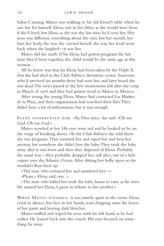Salon Canning. Mateo was walking to his old friend's table when he saw her for himself. Elena, not in her fifties as she would have been if she'd lived, but Elena as she was the last time he'd seen her. Her nose was different, something about the eyes, but her mouth, her hair, her body, the way she carried herself, the way her head went back when she laughed—it was her.

Mateo did the math. If his Elena had gotten pregnant the last time they'd been together, the child would be the same age as this woman.

All he knew was that his Elena had been taken by the Triple A, that she had died in the Club Atlético detention center. Someone who'd survived six months there had seen her, and later heard she was dead. The news passed to the few montoneros left after the coup in March of 1976 and they had gotten word to Mateo in Mexico.

After seeing the young Elena, Mateo had contacted Las Madres de la Plaza, and their organization had searched their files. They didn't have a lot of information, but it was enough.

Elena interrupted him. «Ay, Dios mío,» she said. «Oh my God. Oh my God.»

Mateo scowled at her. His eyes were red and he looked to be on the verge of breaking down. «At the Club Atlético she told them she was pregnant. They tortured her and raped her and beat her anyway, but somehow she didn't lose the baby. They took the baby away after it was born and then they disposed of Elena. Probably the usual way—they probably dropped her, still alive, out of a helicopter over the Atlantic Ocean. After slitting her belly open so she wouldn't float back up.

«The man who tortured her and murdered her—»

«Please,» Elena said, «no...»

«The man who killed her took the baby home to raise as his own. He named her Elena, I guess in tribute to her mother.»

WHEN MATEO FINISHED, it was utterly quiet in the room. Elena cried in silence, her face in her hands, tears dripping onto the knees of her pants and leaving dark blotches.

Mateo sniffed and wiped his nose with his left hand, as he had earlier. He leaned back into the couch. His eyes focused on something far away.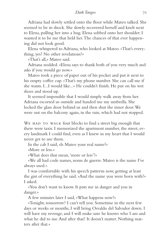# *Dark Tangos* 71

Adriana had slowly settled onto the floor while Mateo talked. She seemed to be in shock. She slowly recovered herself and knelt next to Elena, pulling her into a hug. Elena sobbed onto her shoulder. I wanted it to be me that held her. The chances of that ever happening did not look good.

Elena whispered to Adriana, who looked at Mateo. «That's everything, yes? No other revelations?»

«That's all,» Mateo said.

Adriana nodded. «Elena says to thank both of you very much and asks if you would go now.»

Mateo took a piece of paper out of his pocket and put it next to his empty coffee cup. «That's my phone number. She can call me if she wants. I...I would like...» He couldn't finish. He put on his wet shoes and stood up.

It seemed impossible that I would simply walk away from her. Adriana escorted us outside and handed me my umbrella. She locked the glass door behind us and then shut the inner door. We were out on the balcony again, in the rain, which had not stopped.

WE HAD TO WALK four blocks to find a street big enough that there were taxis. I memorized the apartment number, the street, every landmark I could find, even as I knew in my heart that I would never get to use them.

In the cab I said, «Is Mateo your real name?»

«More or less.»

«What does that mean, 'more or less'?»

«We all had code names, noms de guerre. Mateo is the name I've always used.»

I was comfortable with his speech patterns now, getting at least the gist of everything he said. «And the name you were born with?» I asked.

«You don't want to know. It puts me in danger and you in danger.»

A few minutes later I said, «What happens now?»

«Tonight, tomorrow? I can't tell you. Sometime in the next few days or weeks or months, I will bring Osvaldo del Salvador down. I will have my revenge, and I will make sure he knows who I am and what he did to me. And after that? It doesn't matter. Nothing matters after that.»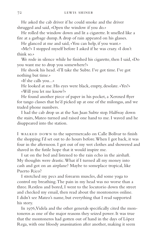He asked the cab driver if he could smoke and the driver shrugged and said, «Open the window if you do.»

He rolled the window down and lit a cigarette. It smelled like a fire at a garbage dump. A drop of rain appeared on his glasses.

He glanced at me and said, «You can help, if you want.»

«Me?» I stopped myself before I asked if he was crazy. «I don't think so.»

We rode in silence while he finished his cigarette, then I said, «Do you want me to drop you somewhere?»

He shook his head. «I'll take the Subte. I've got time. I've got nothing but time.»

«If she calls you...»

He looked at me. His eyes were black, empty, desolate. «Yes?» «Will you let me know?»

He found another piece of paper in his pocket, a Xeroxed flyer for tango classes that he'd picked up at one of the milongas, and we traded phone numbers.

I had the cab drop us at the San Juan Subte stop. Halfway down the stairs, Mateo turned and raised one hand to me. I waved and he disappeared into the station.

I WALKED DOWN to the supermercado on Calle Bolívar to finish the shopping I'd set out to do hours before. When I got back, it was four in the afternoon. I got out of my wet clothes and showered and shaved in the futile hope that it would inspire me.

I sat on the bed and listened to the rain echo in the airshaft. My thoughts were drastic. What if I turned all my money into cash and got on an airplane? Maybe to someplace tropical, like Puerto Rico?

I stretched my pecs and forearm muscles, did some yoga to control my breathing. The pain in my head was no worse than a three. Restless and bored, I went to the locutorio down the street and checked my email, then read about the montoneros online. I didn't see Mateo's name, but everything that I read supported his story.

In 1976, Videla and the other generals specifically cited the montoneros as one of the major reasons they seized power. It was true that the montoneros had gotten out of hand in the days of López Rega, with one bloody assassination after another, making it seem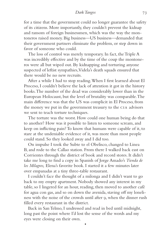# *Dark Tangos* 73

for a time that the government could no longer guarantee the safety of its citizens. More importantly, they couldn't prevent the kidnap and ransom of foreign businessmen, which was the way the montoneros raised money. Big business—US business—demanded that their government partners eliminate the problem, or step down in favor of someone who could.

The loss of control was merely temporary. In fact, the Triple A was incredibly effective and by the time of the coup the montoneros were all but wiped out. By kidnapping and torturing anyone suspected of leftist sympathies, Videla's death squads ensured that there would be no new recruits.

After a while I had to stop reading. When I first learned about El Proceso, I couldn't believe the lack of attention it got in the history books. The number of the dead was considerably lower than in the European Holocaust, but the level of brutality was comparable. The main difference was that the US was complicit in El Proceso, from the money we put in the government treasury to the cia advisors we sent to teach torture techniques.

The torture was the worst. How could one human being do that to another? How was it possible to listen to someone scream, and keep on inflicting pain? To know that humans were capable of it, to stare at the undeniable evidence of it, was more than most people could stand. So they looked away and I did too.

On impulse I took the Subte to el Obelisco, changed to Linea B, and rode to the Callao station. From there I walked back east on Corrientes through the district of book and record stores. It didn't take me long to find a copy in Spanish of Jorge Amado's *Tienda de los Milagros,* Elena's favorite book. I started it a few minutes later over empanadas at a tiny three-table restaurant.

I couldn't face the thought of a milonga and I didn't want to go back to my empty apartment. Nobody showed any interest in my table, so I lingered for an hour, reading, then moved to another café for agua con gas, and so on down the avenida, staving off my loneliness with the noise of the crowds until after 9, when the dinner rush filled every restaurant in the district.

Back in San Telmo, I undressed and read in bed until midnight, long past the point where I'd lost the sense of the words and my eyes were closing on their own.

•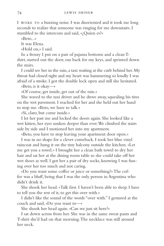I woke to a buzzing noise. I was disoriented and it took me long seconds to realize that someone was ringing for me downstairs. I stumbled to the intercom and said, «¿Quíen es?»

«Beto...»

It was Elena.

«Hold on,» I said.

In a frenzy I put on a pair of pajama bottoms and a clean Tshirt, started out the door, ran back for my keys, and sprinted down the stairs.

I could see her in the rain, a taxi waiting at the curb behind her. My throat had closed tight and my heart was hammering so loudly I was afraid of a stroke. I got the double lock open and still she hesitated.

«Beto, is it okay—»

«Of course, get inside, get out of the rain.»

She waved to the taxi driver and he drove away, squealing his tires on the wet pavement. I reached for her and she held out her hand to stop me. «Beto, we have to talk.»

«Sí, claro, but come inside.»

I let her past me and locked the doors again. She looked like a wet kitten, her eyes sunken deeper than ever. We climbed the stairs side by side and I motioned her into my apartment.

«Beto, you have to stop leaving your apartment door open.»

I was in no shape for a clever comeback. I took her blue vinyl raincoat and hung it on the tiny balcony outside the kitchen. «Let me get you a towel.» I brought her a clean bath towel to dry her hair and sat her at the dining room table so she could take off her wet shoes as well. I got her a pair of dry socks, knowing I was fussing over her too much and not caring.

«Do you want some coffee or juice or something?» The coffee was a bluff, being that I was the only person in Argentina who didn't drink it.

She shook her head. «Talk first. I haven't been able to sleep. I have to tell you the rest of it, to get this over with.»

I didn't like the sound of the words "over with." I gestured at the couch and said, «Do you want to—»

She shook her head again. «Can we just sit here?»

I sat down across from her. She was in the same sweat pants and T-shirt she'd had on that morning. The necklace was still around her neck.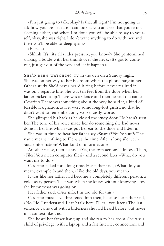# *Dark Tangos* 75

«I'm just going to talk, okay? Is that all right? I'm not going to ask how you are because I can look at you and see that you're not sleeping either, and when I'm done you will be able to say to yourself, okay, she was right, I don't want anything to do with her, and then you'll be able to sleep again.»

«Elena...»

«Shhhh. It's...it's all under pressure, you know?» She pantomimed shaking a bottle with her thumb over the neck. «It's got to come out, just get out of the way and let it happen.»

SHE'D BEEN WATCHING TV in the den on a Sunday night. She was on her way to her bedroom when the phone rang in her father's study. She'd never heard it ring before, never realized it was on a separate line. She was ten feet from the door when her father picked it up. There was a silence and then he said the name Cesarino. There was something about the way he said it, a kind of terrible resignation, as if it were some long-lost girlfriend that he didn't want to remember, only worse, vastly worse.

She glimpsed his back as he closed the study door. He hadn't seen her. The tone of his voice made her do something she had never done in her life, which was put her ear to the door and listen in.

She was in time to hear her father say, «Suarez? You're sure?» The name meant nothing to Elena at the time. After a long silence, he said, «Information? What kind of information?»

Another pause, then he said, «Yes, the 'transactions.' I know.» Then, «Files? You mean computer files?» and a second later, «What do you want me to do?»

Cesarino talked for a long time. Her father said, «What do you mean, 'example'?» and then, «Like the old days, you mean.»

It was like her father had become a completely different person, a cold, scary person. That was when she knew, without knowing how she knew, what was going on.

Her father said, «Dios mío. I'm too old for this.»

Cesarino must have threatened him then, because her father said, «No. No, I understand. I can't talk here. I'll call you later.» The last sentence came out with a bitterness she had heard before, but never in a context like this.

She heard her father hang up and she ran to her room. She was a child of privilege, with a laptop and a fast Internet connection, and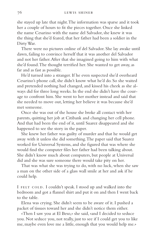she stayed up late that night. The information was sparse and it took her a couple of hours to fit the pieces together. Once she linked the name Cesarino with the name del Salvador, she knew it was the thing that she'd feared, that her father had been a soldier in the Dirty War.

There were no pictures online of del Salvador. She lay awake until dawn, failing to convince herself that it was another del Salvador and not her father. After that she imagined going to him with what she'd found. The thought terrified her. She wanted to get away, as far and as fast as possible.

He'd turned into a stranger. If he even suspected she'd overheard Cesarino's phone call, she didn't know what he'd do. So she waited and pretended nothing had changed, and kissed his cheek as she always did for three long weeks. In the end she didn't have the courage to confront him. She went to her mother instead and said that she needed to move out, letting her believe it was because she'd met someone.

Once she was out of the house she broke all contact with her parents, quitting her job at Citibank and changing her cell phone. And that had been the end of it, until Suarez disappeared and she happened to see the story in the paper.

She knew her father was guilty of murder and that he would get away with it unless she did something. The paper said that Suarez worked for Universal Systems, and she figured that was where she would find the computer files her father had been talking about. She didn't know much about computers, but people at Universal did and she was sure someone there would take pity on her.

That was what she was trying to do, with no luck, when she saw a man on the other side of a glass wall smile at her and ask if he could help.

I FELT COLD. I couldn't speak. I stood up and walked into the bedroom and got a flannel shirt and put it on and then I went back to the table.

Elena was crying. She didn't seem to be aware of it. I pushed a packet of tissues toward her and she didn't notice them either.

«Then I saw you at El Beso,» she said, «and I decided to seduce you. Not seduce you, not really, just to see if I could get you to like me, maybe even love me a little, enough that you would help me.»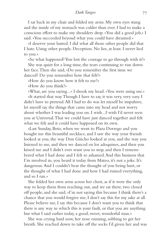# *Dark Tangos* 77

I sat back in my chair and folded my arms. My own eyes stung and the inside of my stomach was colder than ever. I had to make a conscious effort to make my shoulders drop. «You did a good job,» I said. «You succeeded beyond what you could have dreamed.»

«I deserve your hatred. I did what all those other people did that I hate. Using other people. Deception. No lies, at least. I never lied to you.»

«So what happened? You lost the courage to go through with it?»

She was quiet for a long time, the tears continuing to run down her face. Then she said, «Do you remember the first time we danced? Do you remember how that felt?»

«How do you know how it felt to me?»

«How do you think?»

«What, are you saying...» I shook my head. «You were using me.» «It started that way. Though I have to say, it was very, very easy. I didn't have to pretend. All I had to do was let myself be impulsive, let myself say the things that came into my head and not worry about whether I was leading you on. I wish...I wish I'd never seen you at Universal. That we could have just danced together and felt what we felt and it could have happened on its own.

«Last Sunday, Beto, when we went to Plaza Dorrego and you bought me this beautiful necklace, and I saw the way your friends looked at you, the way Don Güicho looked at you, and the way you listened to me, and then we danced en los adoquines, and then you kissed me and I didn't ever want you to stop, and then I remembered what I had done and I felt so ashamed. And this business that I'm involved in, you heard it today from Mateo, it's not a joke. It's dangerous. And I couldn't bear the thought of you being hurt, or the thought of what I had done and how I had ruined everything, and so I ran.»

She folded her own arms across her chest, as if it were the only way to keep them from reaching out, and we sat there, two closed off people, and she said, «I'm not saying this because I think there's a chance that you would forgive me, I don't say this for my sake at all. Please believe me, I say this because I don't want you to think that there is any way in which this is your fault, or that you are anything but what I said earlier today, a good, sweet, wonderful man.»

She was crying hard now, her nose running, sobbing to get her breath. She reached down to take off the socks I'd given her and was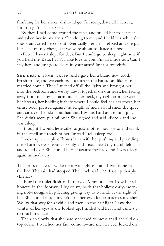fumbling for her shoes. «I should go. I'm sorry, that's all I can say, I'm sorry, I'm so sorry—»

By then I had come around the table and pulled her to her feet and taken her in my arms. She clung to me and I held her while she shook and cried herself out. Eventually her arms relaxed and she put her head on my chest, as if we were about to dance a tango.

«Beto. I haven't slept for days. But I could go to sleep right now if you held me. Beto, I can't make love to you, I'm all inside out. Can I stay here and just go to sleep in your arms? Just for tonight?»

SHE DRANK SOME WATER and I gave her a brand new toothbrush to use, and we each took a turn in the bathroom like an old married couple. Then I turned off all the lights and brought her into the bedroom and we lay down together on our sides, her facing away from me, my left arm under her neck, my right arm between her breasts, her holding it there where I could feel her heartbeat, her entire body pressed against the length of me. I could smell the spice and citrus of her skin and hair and I was as hard as a rolling pin. She didn't seem put off by it. She sighed and said, «Beto,» and she was asleep.

I thought I would lie awake for just another hour or so and drink in the smell and touch of her. Instead I fell asleep too.

I woke up a couple of hours later with her pushing and prodding me. «Turn over,» she said sleepily, and I extricated my numb left arm and rolled over. She curled herself against my back and I was asleep again immediately.

THE NEXT TIME I woke up it was light out and I was alone in the bed. The rain had stopped. The clock said 8:33. I sat up sharply. «Elena?»

I heard the toilet flush and I relaxed. A minute later I saw her silhouette in the doorway. I lay on my back, that hollow, early-morning not-enough-sleep feeling giving way to warmth at the sight of her. She curled inside my left arm, her own left arm across my chest. We lay that way for a while and then, in the half light, I saw the whites of her eyes as she looked up. I smiled and her hand came up to touch my face.

Then, so slowly that she hardly seemed to move at all, she slid on top of me. I watched her face come toward me, her eyes locked on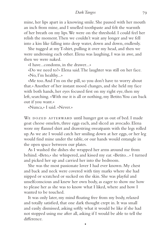mine, her lips apart in a knowing smile. She paused with her mouth an inch from mine, and I smelled toothpaste and felt the warmth of her breath on my lips. We were on the threshold. I could feel her relish the moment. Then we couldn't wait any longer and we fell into a kiss like falling into deep water, down and down, endlessly.

She tugged at my T-shirt, pulling it over my head, and then we were undressing each other. Elena was laughing, I was in awe, and then we were naked.

«I have...condoms, in the drawer...»

«Do we need to?» Elena said. The laughter was still on her face. «No, I'm healthy...»

«Me too. And I'm on the pill, so you don't have to worry about that.» Another of her instant mood changes, and she held my face with both hands, her eyes focused first on my right eye, then my left, searching. «With me it is all or nothing, my Betito. You can back out if you want.»

«Nunca,» I said. «Never.»

WE DOZED AFTERWARD until hunger got us out of bed. I made goat cheese omelets, three eggs each, and sliced an avocado. Elena wore my flannel shirt and drawstring sweatpants with the legs rolled up. As we ate I would catch her smiling down at her eggs, or her leg would find mine under the table, or our hands would entangle in the open space between our plates.

As I washed the dishes she wrapped her arms around me from behind. «Beto,» she whispered, and kissed my ear. «Betito...» I turned and picked her up and carried her into the bedroom.

She was the most passionate lover I had ever known. My chest and back and neck were covered with tiny marks where she had nipped or scratched or sucked on the skin. She was playful and unselfconscious and knew her own body, as eager to show me how to please her as she was to know what I liked, where and how I wanted to be touched.

It was only later, my mind floating free from my body, relaxed and totally satisfied, that one dark thought crept in. It was small and easily dismissed, asking softly what it would be like if she had not stopped using me after all, asking if I would be able to tell the difference.

•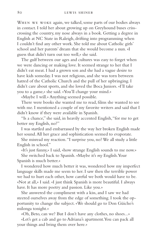When we woke again, we talked, some parts of our bodies always in contact. I told her about growing up on Greyhound buses crisscrossing the country, my nose always in a book. Getting a degree in English at NC State in Raleigh, drifting into programming when I couldn't find any other work. She told me about Catholic girls' school and her parents' dream that she would become a nun. «I guess that didn't turn out too well,» she said.

The gulf between our ages and cultures was easy to forget when we were dancing or making love. It seemed strange to her that I didn't eat meat. I had a grown son and she had a vague desire to have kids someday. I was not religious, and she was torn between hatred of the Catholic Church and the pull of her upbringing. I didn't care about sports, and she loved the Boca Juniors. «I'll take you to a game,» she said. «You'll change your mind.»

«Maybe I will.» Anything seemed possible.

There were books she wanted me to read, films she wanted to see with me. I mentioned a couple of my favorite writers and said that I didn't know if they were available in Spanish.

"Is a chance," she said, in heavily accented English, "for me to get better my English, no?"

I was startled and embarrassed by the way her broken English made her sound. All her grace and sophistication seemed to evaporate.

She misread my reaction. "I surprise you, no? We all study a little English in school."

«It's just funny,» I said, «how strange English sounds to me now.»

She switched back to Spanish. «Maybe it's *my* English. Your Spanish is much better.»

I wondered how much better it was, wondered how my imperfect language skills made me seem to her. I saw then the terrible power we had to hurt each other, how careful we both would have to be. «Not at all,» I said. «I just think Spanish is more beautiful. I always have. It has more poetry and passion. Like you.»

She answered the compliment with a kiss, and I saw we had steered ourselves away from the edge of something. I took the opportunity to change the subject. «We should go to Don Güicho's milonga tonight.»

«Oh, Beto, can we? But I don't have any clothes, no shoes...»

«Let's get a cab and go to Adriana's apartment. You can pack all your things and bring them over here.»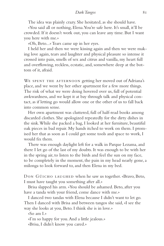# *Dark Tangos* 81

The idea was plainly crazy. She hesitated, as she should have.

«You said all or nothing, Elena. You're safe here. It's small, it'll be crowded. If it doesn't work out, you can leave any time. But I want you here with me.»

«Oh, Beto...» Tears came up in her eyes.

I held her and then we were kissing again and then we were making love again, tears and laughter and physical pleasure so intense it crossed into pain, smells of sex and citrus and vanilla, my heart full and overflowing, reckless, ecstatic, and, somewhere deep at the bottom of it, afraid.

WE SPENT THE AFTERNOON getting her moved out of Adriana's place, and we went by her other apartment for a few more things. The risk of what we were doing hovered over us, full of potential awkwardness, and we kept it at bay through talk and physical contact, as if letting go would allow one or the other of us to fall back into common sense.

Her own apartment was cluttered, full of half-read books among discarded clothes. She apologized repeatedly for the dirty dishes in the sink. While she packed a bag, I looked at her furniture, beautiful oak pieces in bad repair. My hands itched to work on them. I promised her that as soon as I could get some tools and space to work, I would fix them.

There was enough daylight left for a walk in Parque Lezama, and there I let go of the last of my doubts. It was enough to be with her in the spring air, to listen to the birds and feel the sun on my face, to be completely in the moment, the pain in my head nearly gone, a milonga to look forward to, and then Elena in my bed.

Don Güicho laughed when he saw us together. «Bravo, Beto, I must have taught you something after all.»

Brisa slapped his arm. «You should be ashamed. Beto, after you have a tanda with your friend, come dance with me.»

I danced two tandas with Elena because I didn't want to let go. Then I danced with Brisa and between tangos she said, «I see the way she looks at you, Beto. I think she is in love.»

«So am I.»

«I'm so happy for you. And a little jealous.»

«Brisa, I didn't know you cared.»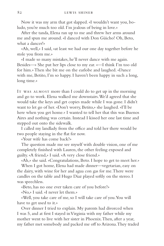Now it was my arm that got slapped. «I wouldn't want you, boludo, you're much too old. I'm jealous of being in love.»

After the tanda, Elena ran up to me and threw her arms around me and spun me around. «I danced with Don Güicho! Oh, Beto, what a dancer!»

«Ah, well,» I said, «at least we had our one day together before he stole you from me.»

«I made so many mistakes, he'll never dance with me again. Besides—» She put her lips close to my ear. «—I think I'm too old for him.» Then she bit me on the earlobe and laughed. «Dance with me, Betito, I'm so happy. I haven't been happy in such a long, long time.»

IT WAS ALMOST more than I could do to get up in the morning and go to work. Elena walked me downstairs. We'd agreed that she would take the keys and get copies made while I was gone. I didn't want to let go of her. «Don't worry, Betito,» she laughed. «I'll be here when you get home.» I wanted to tell her that this was Buenos Aires and nothing was certain. Instead I kissed her one last time and stepped out onto the sidewalk.

I called my landlady from the office and told her there would be two people staying in the flat for now.

«Your wife has come back?»

The question made me see myself with double vision, one of me completely finished with Lauren, the other feeling exposed and guilty. «A friend,» I said. «A very close friend.»

«Ah,» she said. «Congratulations, Beto. I hope to get to meet her.»

When I got home, Elena had made dinner—vegetarian, easy on the dairy, with wine for her and agua con gas for me. There were candles on the table and Hugo Diaz played softly on the stereo. I was speechless.

«Beto, has no one ever taken care of you before?»

«No,» I said. «I never let them.»

«Well, you take care of me, so I will take care of you. You will have to get used to it.»

Over dinner I tried to explain. My parents had divorced when I was 5, and at first I stayed in Virginia with my father while my mother went to live with her sister in Phoenix. Then, after a year, my father met somebody and packed me off to Arizona. They traded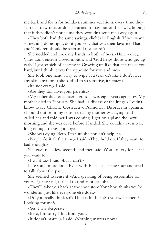me back and forth for holidays, summer vacations, every time they started a new relationship. I learned to stay out of their way, hoping that if they didn't notice me they wouldn't send me away again.

«They both had the same sayings, clichés in English. 'If you want something done right, do it yourself,' that was their favorite. That and 'Children should be seen and not heard.'»

She nodded and took my hands in both of hers. «Here we say, 'Flies don't enter a closed mouth,' and 'God helps those who get up early.' I got so sick of hearing it. Growing up like that can make you hard, but I think it was the opposite for you and me.»

She took one hand away to wipe at a tear. «It's like I don't have any skin anymore,» she said. «I'm so sensitive, it's crazy.»

«It's not crazy,» I said.

«Are they still alive, your parents?»

«My father died of cancer. I guess it was eight years ago, now. My mother died in February. She had...a disease of the lungs.» I didn't know to say Chronic Obstructive Pulmonary Disorder in Spanish. «I found out from my cousin that my mother was dying, and I called her and told her I was coming. I got on a plane the next morning and she was dead before I landed. She couldn't even wait long enough to say goodbye.»

«She was dying, Beto, I'm sure she couldn't help it.»

«People do it all the time,» I said. «They hold on. If they want to bad enough.»

She gave me a few seconds and then said, «You can cry for her if you want to.»

«I want to,» I said, «but I can't.»

I ate some more food. Even with Elena, it left me sour and tired to talk about the past.

She seemed to sense it. «And speaking of being responsible for yourself,» she said, «I need to find another job.»

«They'll take you back at the shoe store. Your boss thinks you're wonderful. Just like everyone else does.»

«Do you really think so?» Then it hit her. «So you went there? Looking for me?»

•

«Yes. I was desperate.»

«Beto, I'm sorry I hid from you.»

«It doesn't matter,» I said. «Nothing matters now.»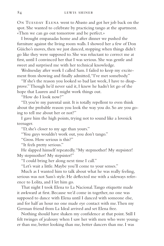ON TUESDAY ELENA went to Abasto and got her job back on the spot. She wanted to celebrate by practicing tango at the apartment. «Then we can go out tomorrow and be perfect.»

I brought empanadas home and after dinner we pushed the furniture against the living room walls. I showed her a few of Don Güicho's moves, then we just danced, stopping when things didn't go like they were supposed to. She was reluctant to correct me at first, until I convinced her that I was serious. She was gentle and sweet and surprised me with her technical knowledge.

Wednesday after work I called Sam. I failed to keep my excitement from showing and finally admitted, "I've met somebody."

"If she's the reason you looked so bad last week, I have to disapprove." Though he'd never said it, I knew he hadn't let go of the hope that Lauren and I might work things out.

"How do I look now?"

"D, you're my parental unit. It is totally repellent to even think about the probable reason you look the way you do. So are you going to tell me about her or not?"

I gave him the high points, trying not to sound like a lovesick teenager.

"D, she's closer to my age than yours."

"You guys wouldn't work out, you don't tango."

"Gross. How serious is this?"

"It feels pretty serious."

He slapped himself repeatedly. "My stepmother! My stepsister! My stepmother! My stepsister!"

"I could bring her along next time I call."

"Let's wait a little. Maybe you'll come to your senses."

Much as I wanted him to talk about what he was really feeling, serious was not Sam's style. He deflected me with a sideways reference to Lolita, and I let him go.

That night I took Elena to La Nacional. Tango etiquette made it awkward at first. Because we'd come in together, no one was supposed to dance with Elena until I danced with someone else, and for half an hour no one made eye contact with me. Then my German friend from La Ideal arrived and set Elena free.

Nothing should have shaken my confidence at that point. Still I felt twinges of jealousy when I saw her with men who were younger than me, better looking than me, better dancers than me. I was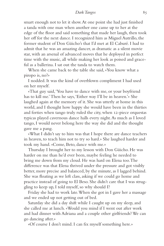smart enough not to let it show. At one point she had just finished a tanda with one man when another one came up to her at the edge of the floor and said something that made her laugh, then took her off for the next dance. I recognized him as Miguel Autrillo, the former student of Don Güicho's that I'd met at El Caburé. I had to admit that he was an amazing dancer, as dramatic as a silent movie star, with an arsenal of advanced moves that he deployed in perfect time with the music, all while making her look as poised and graceful as a ballerina. I sat out the tanda to watch them.

When she came back to the table she said, «You know what a piropo is, no?»

I nodded. It was the kind of overblown compliment I had used on her myself.

«That guy said, 'You have to dance with me, or your boyfriend has to kill me.' Then he says, 'Either way I'll be in heaven.'» She laughed again at the memory of it. She was utterly at home in this world, and I thought how happy she would have been in the thirties and forties when tango truly ruled the city, when 12-piece orquestas typicas played cavernous dance halls every night. As much as I loved tango, I would never belong here the way she did and the thought gave me a pang.

«What I didn't say to him was that I hope there are dance teachers in heaven, to teach him not to try so hard.» She laughed harder and took my hand. «Come, Beto, dance with me.»

Thursday I brought her to my lesson with Don Güicho. He was harder on me than he'd ever been, maybe feeling he needed to bring me down from my cloud. He was hard on Elena too. The difference was that Elena thrived under the pressure and got visibly better, more precise and balanced, by the minute, as I lagged behind. She was floating as we left class, asking if we could go home and practice instead of going to El Beso. She didn't care that I was struggling to keep up, I told myself, so why should I?

Friday she had to work late. When she got in I gave her a massage and we ended up not getting out of bed.

Saturday she did a day shift while I caught up on my sleep, and she called me at lunch. «Would you mind if I went out after work and had dinner with Adriana and a couple other girlfriends? We can go dancing after.»

«Of course I don't mind. I can fix myself something here.»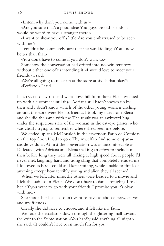«Listen, why don't you come with us?»

«Are you sure that's a good idea? You guys are old friends, it would be weird to have a stranger there.»

«I want to show you off a little. Are you embarrassed to be seen with me?»

I couldn't be completely sure that she was kidding. «You know better than that.»

«You don't have to come if you don't want to.»

Somehow the conversation had drifted into no-win territory without either one of us intending it. «I would love to meet your friends,» I said.

«We're all going to meet up at the store at six. Is that okay?» «Perfecto,» I said.

IT STARTED BADLY and went downhill from there. Elena was tied up with a customer until 6:30. Adriana still hadn't shown up by then and I didn't know which of the other young women circling around the store were Elena's friends. I took my cues from Elena and she did the same with me. The result was an awkward hug, under the suspicious stare of the woman in the cat-eye glasses, who was clearly trying to remember where she'd seen me before.

We ended up at a McDonald's in the cavernous Patio de Comidas on the top floor. I had to go off by myself to find some empanadas de verduras. At first the conversation was as uncomfortable as I'd feared, with Adriana and Elena making an effort to include me, then before long they were all talking at high speed about people I'd never met, laughing hard and using slang that completely eluded me. I followed as best I could and kept smiling, while unable to think of anything except how terribly young and alien they all seemed.

When we left, after nine, the others were headed to a movie and I felt the sadness in Elena. «We don't have to dance tonight,» I told her. «If you want to go with your friends, I promise you it's okay with me.»

She shook her head. «I don't want to have to choose between you and my friends.»

Clearly she did have to choose, and it felt like my fault.

We rode the escalators down through the glittering mall toward the exit to the Subte station. «You hardly said anything all night,» she said. «It couldn't have been much fun for you.»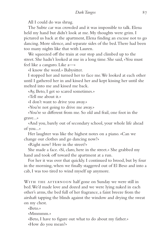All I could do was shrug.

The Subte car was crowded and it was impossible to talk. Elena held my hand but didn't look at me. My thoughts were grim. I pictured us back at the apartment, Elena finding an excuse not to go dancing. More silence, and separate sides of the bed. There had been too many nights like that with Lauren.

We squeezed off the train at our stop and climbed up to the street. She hadn't looked at me in a long time. She said, «You must feel like a canguro. Like a—»

«I know the word.» Babysitter.

I stopped her and turned her to face me. We looked at each other until I gathered her in and kissed her and kept kissing her until she melted into me and kissed me back.

«Ay, Beto, I get so scared sometimes.»

«Tell me about it.»

«I don't want to drive you away.»

«You're not going to drive me away.»

«You're so different from me. So old and frail, one foot in the grave...»

«And you, barely out of secondary school, your whole life ahead of you...»

Her laughter was like the highest notes on a piano. «Can we change our clothes and go dancing now?»

«Right now? Here in the street?»

She made a face. «Sí, claro, here in the street.» She grabbed my hand and took off toward the apartment at a run.

For her it was over that quickly. I continued to brood, but by four in the morning, when we finally staggered out of El Beso and into a cab, I was too tired to wind myself up anymore.

WITH THE AFTERNOON half gone on Sunday we were still in bed. We'd made love and dozed and we were lying naked in each other's arms, the bed full of her fragrance, a faint breeze from the airshaft tapping the blinds against the window and drying the sweat on my chest.

«Beto.»

«Mmmmm.»

«Beto, I have to figure out what to do about my father.» «How do you mean?»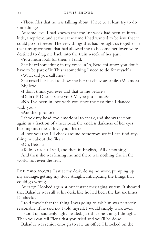«Those files that he was talking about. I have to at least try to do something.»

At some level I had known that the last week had been an interlude, a reprieve, and at the same time I had wanted to believe that it could go on forever. The very things that had brought us together in that tiny apartment, that had allowed me to become her lover, were destined to drag me back into the train wreck of her past.

«You mean look for them,» I said.

She heard something in my voice. «Oh, Beto, mi amor, you don't have to be part of it. This is something I need to do for myself.»

«What did you call me?»

She raised her head to show me her mischievous smile. «Mi amor.» My love.

«I don't think you ever said that to me before.»

«Didn't I? Does it scare you? Maybe just a little?»

«No. I've been in love with you since the first time I danced with you.»

«Another piropo?»

I shook my head, too emotional to speak, and she was serious again in a fraction of a heartbeat, the endless darkness of her eyes burning into me. «I love you, Beto.»

«I love you too. I'll check around tomorrow, see if I can find anything out about the files.»

«Oh, Beto...»

«Todo o nada,» I said, and then in English, "All or nothing."

And then she was kissing me and there was nothing else in the world, not even the fear.

FOR TWO HOURS I sat at my desk, doing no work, pumping up my courage, getting my story straight, anticipating the things that could go wrong.

At 11:30 I looked again at our instant messaging system. It showed that Bahadur was still at his desk, like he had been the last six times I'd checked.

I told myself that the thing I was going to ask him was perfectly reasonable. If he said no, I told myself, I would simply walk away.

I stood up, suddenly light-headed. Just this one thing, I thought. Then you can tell Elena that you tried and you'll be done.

Bahadur was senior enough to rate an office. I knocked on the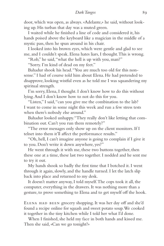door, which was open, as always. «Adelante,» he said, without looking up. His turban that day was a muted green.

I waited while he finished a line of code and considered it, his hands poised above the keyboard like a magician in the middle of a mystic pass, then he spun around in his chair.

I looked into his brown eyes, which were gentle and glad to see me, and I couldn't speak. Elena hates liars, I thought. This is wrong.

"Rob," he said, "what the hell is up with you, man?"

"Sorry. I'm kind of dead on my feet."

Bahadur shook his head. "You are much too old for this nonsense." I had of course told him about Elena. He had pretended to disapprove, looking wistful even as he told me I was squandering my spiritual strength.

I'm sorry, Elena, I thought. I don't know how to do this without lying. And I don't know how to not do this for you.

"Listen," I said, "can you give me the combination to the lab? I want to come in some night this week and run a few stress tests when there's nobody else around."

Bahadur looked unhappy. "They really don't like letting that combination out. Can't you run them remotely?"

"The error messages only show up on the client monitors. If I telnet into them it'll affect the performance results."

"Oh, hell, I can't imagine anyone is going to complain if I give it to you. Don't write it down anywhere, yes?"

He went through it with me, these two buttons together, then these one at a time, these last two together. I nodded and he sent me to try it out.

My hands shook so badly the first time that I botched it. I went through it again, slowly, and the handle turned. I let the latch slip back into place and returned to my desk.

It doesn't matter anyway, I told myself. The cops took it all, the computer, everything in the drawers. It was nothing more than a gesture, to prove something to Elena and to get myself off the hook.

ELENA HAD BEEN grocery shopping. It was her day off and she'd found a recipe online for squash and sweet potato soup. We cooked it together in the tiny kitchen while I told her what I'd done.

When I finished, she held my face in both hands and kissed me. Then she said, «Can we go tonight?»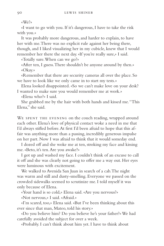«We?»

«I want to go with you. If it's dangerous, I have to take the risk with you.»

It was probably more dangerous, and harder to explain, to have her with me. There was no explicit rule against her being there, though, and I liked visualizing her in my cubicle, knew that I would remember her there the next day. «If you're really sure,» I said.

«Totally sure. When can we go?»

«After ten, I guess. There shouldn't be anyone around by then.» «Okay.»

«Remember that there are security cameras all over the place. So we have to look like we only came in to start my tests.»

Elena looked disappointed. «So we can't make love on your desk? I wanted to make sure you would remember me at work.»

«Elena who?» I said.

She grabbed me by the hair with both hands and kissed me. "This Elena," she said.

WE SPENT THE EVENING on the couch reading, wrapped around each other. Elena's love of physical contact woke a need in me that I'd always stifled before. At first I'd been afraid to hope that this affair was anything more than a passing, incredibly generous impulse on her part. Now I was afraid to think that it would someday end.

I dozed off and she woke me at ten, stroking my face and kissing me. «Beto, it's ten. Are you awake?»

I got up and washed my face. I couldn't think of an excuse to call it off and she was clearly not going to offer me a way out. Her eyes were luminous with excitement.

We walked to Avenida San Juan in search of a cab. The night was warm and still and dusty-smelling. Everyone we passed on the crowded sidewalks seemed to scrutinize me. I told myself it was only because of Elena.

«Your hand is so cold,» Elena said. «Are you nervous?»

«Not nervous,» I said. «Afraid.»

«I'm scared, too,» Elena said. «But I've been thinking about this ever since that man, Mateo, told his story.»

«Do you believe him? Do you believe he's your father?» We had carefully avoided the subject for over a week.

«Probably. I can't think about him yet. I have to think about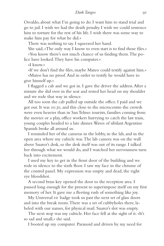Osvaldo, about what I'm going to do. I want him to stand trial and go to jail. I wish we had the death penalty. I wish we could sentence him to torture for the rest of his life. I wish there was some way to make him pay for what he did.»

There was nothing to say. I squeezed her hand.

She said, «The only way I know to even start is to find those files.»

«You know there's not much chance of us finding them. The police have looked. They have his computer.»

«I know.»

«If we don't find the files, maybe Mateo could testify against him.»

«Mateo has no proof. And in order to testify he would have to give himself up.»

I flagged a cab and we got in. I gave the driver the address. After a minute she slid over in the seat and rested her head on my shoulder and we rode that way in silence.

All too soon the cab pulled up outside the office. I paid and we got out. It was 10:30, and this close to the microcentro the crowds were even heavier than in San Telmo: tourists, families coming from the movies or a play, office workers hurrying to catch the last train, young couples headed to a late dinner. Waves of sibilant Argentine Spanish broke all around us.

I reminded her of the cameras in the lobby, in the lab, and in the open area where my cubicle was. The lab camera was on the wall above Suarez's desk, so the desk itself was out of its range. I talked her through what we would do, and I watched her nervousness turn back into excitement.

I used my key to get in the front door of the building and we rode in silence to the sixth floor. I saw my face in the chrome of the control panel. My expression was empty and dead, the right eye bloodshot.

A second brass key opened the door to the reception area. I paused long enough for the present to superimpose itself on my first memory of her. It gave me a fleeting rush of something like joy.

My Universal ID badge took us past the next set of glass doors and into the break room. There was a set of cubbyholes there, labeled with our names, for physical mail. Suarez's slot was empty.

The next stop was my cubicle. Her face fell at the sight of it. «It's so sad and small,» she said.

I booted up my computer. Paranoid and driven by my need for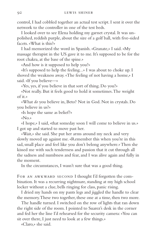control, I had cobbled together an actual test script. I sent it over the network to the controller in one of the test beds.

I looked over to see Elena holding my garnet crystal. It was unpolished, reddish purple, about the size of a golf ball, with five-sided facets. «What is this?»

I had memorized the word in Spanish. «Granate,» I said. «My massage therapist in the US gave it to me. It's supposed to be for the root chakra, at the base of the spine.»

«And how is it supposed to help you?»

«It's supposed to help the feeling...» I was about to choke up. I shoved the weakness away. «The feeling of not having a home,» I said. «If you believe—»

«Yes, yes, if you believe in that sort of thing. Do you?»

«Not really. But it feels good to hold it sometimes. The weight of it.»

«What *do* you believe in, Beto? Not in God. Not in crystals. Do you believe in us?»

«Is hope the same as belief?»

«No.»

«I hope,» I said, «that someday soon I will come to believe in us.» I got up and started to move past her.

«Wait,» she said. She put her arms around my neck and very slowly moved up against me. «Remember this when you're in this sad, small place and feel like you don't belong anywhere.» Then she kissed me with such tenderness and passion that it cut through all the sadness and numbness and fear, and I was alive again and fully in the moment.

In the circumstances, I wasn't sure that was a good thing.

FOR AN AWKWARD SECOND I thought I'd forgotten the combination. It was a recurring nightmare, standing at my high school locker without a clue, bells ringing for class, panic rising.

I dried my hands on my pants legs and jiggled the handle to clear the memory. These two together, these one at a time, then two more.

The handle turned. I switched on the row of lights that ran down the right side of the room. I pointed to Suarez's desk in the corner and fed her the line I'd rehearsed for the security camera: «You can sit over there, I just need to look at a few things.»

«Claro,» she said.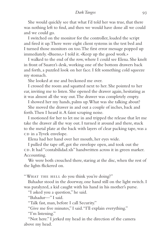She would quickly see that what I'd told her was true, that there was nothing left to find, and then we would have done all we could and we could go.

I switched on the monitor for the controller, loaded the script and fired it up. There were eight client systems in the test bed and I turned those monitors on too. The first error message popped up immediately. «Bueno,» I told it. «Keep up the good work.»

I walked to the end of the row, where I could see Elena. She knelt in front of Suarez's desk, working one of the bottom drawers back and forth, a puzzled look on her face. I felt something cold squeeze my stomach.

She looked at me and beckoned me over.

I crossed the room and squatted next to her. She pointed to her ear, inviting me to listen. She opened the drawer again, hesitating as it was almost all the way out. The drawer was completely empty.

I showed her my hands, palms up. What was she talking about?

She moved the drawer in and out a couple of inches, back and forth. Then I heard it. A faint scraping noise.

I motioned for her to let me in and tripped the release that let me take the drawer all the way out. I turned it around and there, stuck to the metal plate at the back with layers of clear packing tape, was a CD in a Tyvek envelope.

Elena had her hand over her mouth, her eyes wide.

I pulled the tape off, got the envelope open, and took out the CD. It had "contabilidad.xls" handwritten across it in green marker. Accounting.

We were both crouched there, staring at the disc, when the rest of the lights flickered on.

"WHAT THE HELL do you think you're doing?"

Bahadur stood in the doorway, one hand still on the light switch. I was paralyzed, a kid caught with his hand in his mother's purse.

"I asked you a question," he said.

"Bahadur—" I said.

"Talk fast, man, before I call Security."

"Give me five minutes," I said. "I'll explain everything."

"I'm listening."

"Not here." I jerked my head in the direction of the camera above my head.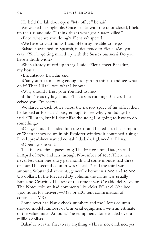He held the lab door open. "My office," he said.

We walked in single file. Once inside, with the door closed, I held up the CD and said, "I think this is what got Suarez killed."

«Beto, what are you doing?» Elena whispered.

«We have to trust him,» I said. «He may be able to help.»

Bahadur switched to Spanish, in deference to Elena. «Are you crazy? You're getting mixed up with the Suarez business? Do you have a death wish?»

«She's already mixed up in it,» I said. «Elena, meet Bahadur, my boss.»

«Encantado,» Bahadur said.

«Can you trust me long enough to spin up this CD and see what's on it? Then I'll tell you what I know.»

«Why should I trust you? You lied to me.»

«I didn't exactly lie,» I said. «The test is running. But yes, I deceived you. I'm sorry.»

We stared at each other across the narrow space of his office, then he looked at Elena. «It's easy enough to see why you did it,» he said. «I'll listen, but if I don't like the story, I'm going to have to do something.»

«Okay,» I said. I handed him the CD and he fed it to his computer. When it showed up in his Explorer window it contained a single Excel spreadsheet named contabilidad.xls. I glanced at Elena.

«Open it,» she said.

The file was three pages long. The first column, Date, started in April of 1976 and ran through November of 1982. There was never less than one entry per month and some months had three or four. The second column was Check # and the third was amount. Substantial amounts, generally between 5,000 and 10,000 US dollars. In the Received By column, the name was usually Emiliano Cesarino. The rest of the time it was Osvaldo del Salvador. The Notes column had comments like «Met EC at el Obelisco 1300 hours for delivery—MS» or «EC sent confirmation of contracts—MS.»

Some rows had blank check numbers and the Notes column showed model numbers of Universal equipment, with an estimate of the value under Amount. The equipment alone totaled over a million dollars.

Bahadur was the first to say anything. «This is not evidence, yes?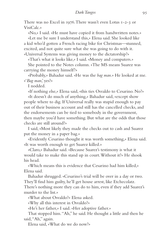There was no Excel in 1976. There wasn't even Lotus 1-2-3 or VisiCalc.»

«No,» I said. «He must have copied it from handwritten notes.»

«Let me be sure I understand this,» Elena said. She looked like a kid who'd gotten a French racing bike for Christmas—stunned, excited, and not quite sure what she was going to do with it. «Universal Systems was giving money to the dictatorship?»

«That's what it looks like,» I said. «Money and computers.»

She pointed to the Notes column. «The MS means Suarez was carrying the money himself?»

«Probably,» Bahadur said. «He was the *bag man*.» He looked at me. «'*Bag man*,' yes?»

I nodded.

«If nothing else,» Elena said, «this ties Osvaldo to Cesarino. No?»

«It doesn't do much of anything,» Bahadur said, «except show people where to dig. If Universal really was stupid enough to pay out of their business account and still has the cancelled checks, and the endorsements can be tied to somebody in the government, then maybe you'd have something. But what are the odds that those checks are still around?»

I said, «Most likely they made the checks out to cash and Suarez put the money in a paper bag.»

«Evidently Cesarino thought it was worth something,» Elena said. «It was worth enough to get Suarez killed.»

«Claro,» Bahadur said. «Because Suarez's testimony is what it would take to make this stand up in court. Without it?» He shook his head.

«Which means this is evidence that Cesarino had him killed,» Elena said.

Bahadur shrugged. «Cesarino's trial will be over in a day or two. They'll find him guilty, he'll get house arrest, like Etchecolatz. There's nothing more they can do to him, even if they add Suarez's murder to the list.»

«What about Osvaldo?» Elena asked.

«Why all this interest in Osvaldo?»

«He's her father,» I said. «Her adoptive father.»

That stopped him. "Ah," he said. He thought a little and then he said, "Ah," again.

Elena said, «What do we do now?»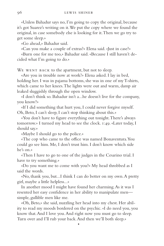«Unless Bahadur says no, I'm going to copy the original, because it's got Suarez's writing on it. We put the copy where we found the original, in case somebody else is looking for it. Then we go try to get some sleep.»

«Go ahead,» Bahadur said.

«Can you make a couple of extras?» Elena said. «Just in case?»

«Burn one for me too,» Bahadur said. «Because I still haven't decided what I'm going to do.»

WE WENT BACK to the apartment, but not to sleep.

«Are you in trouble now at work?» Elena asked. I lay in bed, holding her. I was in pajama bottoms, she was in one of my T-shirts, which came to her knees. The lights were out and warm, damp air leaked sluggishly through the open window.

«I don't think so. Bahadur isn't a...he doesn't live for the company, you know?»

«If I did something that hurt you, I could never forgive myself. Oh, Beto, I can't sleep, I can't stop thinking about this.»

«You don't have to figure everything out tonight. There's always tomorrow.» I turned my head to see the clock. 1:49. «Later today, I should say.»

«Maybe I should go to the police.»

«The cop who came to the office was named Bonaventura. You could go see him. Me, I don't trust him. I don't know which side he's on.»

«Then I have to go to one of the judges in the Cesarino trial. I have to try something.»

«Do you want me to come with you?» My head throbbed as I said the words.

«No, thank you, but...I think I can do better on my own. A pretty girl, maybe a little helpless...»

In another mood I might have found her charming. As it was I resented her easy confidence in her ability to manipulate men simple, gullible men like me.

«Oh, Beto,» she said, nuzzling her head into my chest. Her ability to read my moods bordered on the psychic. «I do need you, you know that. And I love you. And right now you must go to sleep. Turn over and I'll rub your back. And then we'll both sleep.»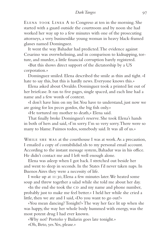Elena took Linea A to Congreso at ten in the morning. She started with a guard outside the courtroom and by noon she had worked her way up to a few minutes with one of the prosecuting attorneys, a very businesslike young woman in heavy black-framed glasses named Dominguez.

It went the way Bahadur had predicted. The evidence against Cesarino was overwhelming, and in comparison to kidnapping, torture, and murder, a little financial corruption barely registered.

«But this shows direct support of the dictatorship by a US corporation.»

Dominguez smiled. Elena described the smile as thin and tight. «I hate to say this, but this is hardly news. Everyone knows this.»

Elena asked about Osvaldo. Dominguez took a printed list out of her briefcase. It ran to five pages, single spaced, and each line had a name and a few words of context.

«I don't have him on my list. You have to understand, just now we are going for los peces gordos, the big fish only.»

«He tortured my mother to death,» Elena said.

That finally broke Dominguez's reserve. She took Elena's hands in both of hers and said, «I'm sorry. I'm so very sorry. There were so many to blame. Fuimos todos, somebody said. It was all of us.»

WHILE SHE WAS at the courthouse I was at work. As a precaution, I emailed a copy of contabilidad.xls to my personal email account. According to the instant message system, Bahadur was in his office. He didn't contact me and I left well enough alone.

Elena was asleep when I got back. I stretched out beside her and went to sleep in seconds. In the States I'd never taken naps. In Buenos Aires they were a necessity of life.

I woke up at 11:30, Elena a few minutes later. We heated some soup and threw together a salad while she told me about her day.

«In the end she took the CD and my name and phone number, probably just to make me feel better.» I held her while she cried a little, then we ate and I said, «Do you want to go out?»

«You mean dancing? Tonight?» The way her face lit up when she was happy, the way her whole body hummed with energy, was the most potent drug I had ever known.

«Why not? Porteño y Bailarin goes late tonight.»

«Oh, Beto, yes. Yes, please.»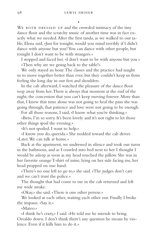•

WE BOTH DRESSED UP and the crowded intimacy of the tiny dance floor and the scratchy music of another time was in fact exactly what we needed. After the first tanda, as we walked to our table, Elena said, «Just for tonight, would you mind terribly if I didn't dance with anyone but you? You can dance with other people, but tonight I don't want to be with strangers.»

I stopped and faced her. «I don't want to be with anyone but you.» «Then why are we going back to the table?»

We only stayed an hour. The classes and the practice had taught us to move together better than ever, but they couldn't keep us from feeling the long day in our feet and shoulders.

In the cab afterward, I watched the pleasure of the dance floor seep away from her. There is always that moment at the end of the night, the concession that you can't keep moving forever. More than that, I knew that time alone was not going to heal the pain she was going through, that patience and love were not going to be enough.

For all those reasons, I said, «I know what you're thinking.»

«Beto, I'm so sorry. It's been lovely and it's not right to let those other things spoil the evening.»

«It's not spoiled. I want to help.»

«I know you do, querida.» She nodded toward the cab driver. «Later. We can talk at home.»

Back at the apartment, we undressed in silence and took our turns in the bathroom, and as I crawled into bed next to her I thought I would be asleep as soon as my head touched the pillow. She was in her favorite orange T-shirt of mine, lying on her side facing me, her head propped on one hand.

«There's no one left to go to,» she said. «The judges don't care and we can't trust the police.»

The thought that had come to me in the cab returned and left me wide awake.

«Okay,» she said. «There is one other person.»

We looked at each other, waiting each other out. Finally I broke the impasse. «Say it.»

«Mateo.»

«I think he's crazy,» I said. «He told me he intends to bring Osvaldo down. I don't think there's any question he means by violence. Even if it kills him to do it.»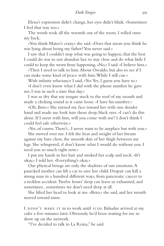Elena's expression didn't change, her eyes didn't blink. «Sometimes I feel that way too.»

The words took all the warmth out of the room. I rolled onto my back.

«You think Mateo's crazy,» she said. «Does that mean you think he was lying about being my father? You never said.»

I saw that I couldn't stop what was going to happen, that the best I could do was to not abandon her, to stay close and do what little I could to keep the worst from happening. «No,» I said. «I believe him.»

«Then I need to talk to him. About Osvaldo, but also to see if I can make some kind of peace with him. While I still can.»

With infinite reluctance I said, «Yes. Yes, I guess you have to.»

«I don't even know what I did with the phone number he gave me, I was in such a state that day.»

I was so dry that my tongue stuck to the roof of my mouth and made a clicking sound as it came loose. «I have his number.»

«Oh, Beto.» She turned my face toward her with one slender hand and made me look into those deep, black eyes. «I can't do this alone. If I meet with him, will you come with me? I don't think I could feel safe otherwise.»

«Yes, of course. There's...I never want to be anyplace but with you.»

She moved over me. I felt the heat and weight of her breasts against my bare chest, the smooth skin of her thigh between my legs. She whispered, «I don't know what I would do without you. I need you so much right now.»

I put my hands in her hair and stroked her scalp and neck. «It's okay,» I told her. «Everything's okay.»

Our physical beings are only the shadows of our emotions. A panicked mother can lift a car to save her child. Despair can kill a strong man in a hundred different ways, from pancreatic cancer to a reckless accident. Twelve hours' sleep can leave us exhausted, and sometimes...sometimes we don't need sleep at all.

She lifted her head to look at me. «Beto,» she said, and her mouth moved toward mine.

I DIDN'T MAKE IT in to work until 11:00. Bahadur arrived at my cube a few minutes later. Obviously he'd been waiting for me to show up on the network.

"I've decided to talk to La Reina," he said.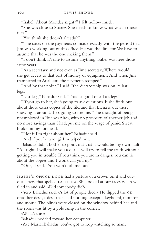"Isabel? About Monday night?" I felt hollow inside.

"She was close to Suarez. She needs to know what was in those files."

"You think she doesn't already?"

"The dates on the payments coincide exactly with the period that Jim was working out of this office. He was the director. We have to assume that he was the one making them."

"I don't think it's safe to assume anything. Isabel was here those same years."

"As a secretary, and not even as Jim's secretary. Where would she get access to that sort of money or equipment? And when Jim transferred to Anaheim, the payments stopped."

"And by that point," I said, "the dictatorship was on its last legs."

"Last legs," Bahadur said. "That's a good one. Last legs."

"If you go to her, she's going to ask questions. If she finds out about those extra copies of the file, and that Elena is out there showing it around, she's going to fire me." The thought of being unemployed in Buenos Aires, with no prospects of another job and no more savings than I had, put me on the verge of panic. Sweat broke on my forehead.

"Not if I'm right about her," Bahadur said.

"And if you're wrong? I'm wiped out."

Bahadur didn't bother to point out that it would be my own fault. "All right, I will make you a deal. I will try to tell the truth without getting you in trouble. If you think you are in danger, you can lie about the copies and I won't call you up."

"Out," I said. "You won't call me out."

ISABEL'S OFFICE DOOR had a picture of a crown on it and cutout letters that spelled la reina. She looked at our faces when we filed in and said, «Did somebody die?»

«Yes,» Bahadur said. «A lot of people died.» He flipped the CD onto her desk, a desk that held nothing except a keyboard, monitor, and mouse. The blinds were closed on the window behind her and the room was lit by a pole lamp in the corner.

«What's this?»

Bahadur nodded toward her computer.

«Ave Maria, Bahadur, you've got to stop watching so many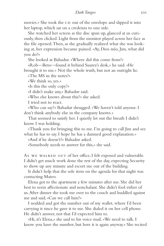movies.» She took the CD out of the envelope and slipped it into her laptop, which sat on a credenza to one side.

She watched her screen as the disc spun up, glanced at us curiously, then clicked. Light from the monitor played across her face as the file opened. Then, as she gradually realized what she was looking at, her expression became pained. «Ay, Dios mío, Jim, what did you do?»

She looked at Bahadur. «Where did this come from?»

«Rob—Beto—found it behind Suarez's desk,» he said. «He brought it to me.» Not the whole truth, but not an outright lie.

«The MS in the notes?»

«We think so, yes.»

«Is this the only copy?»

«I didn't make any,» Bahadur said.

«Who else knows about this?» she asked.

I tried not to react.

«Who can say?» Bahadur shrugged. «We haven't told anyone. I don't think anybody else in the company knows.»

That seemed to satisfy her. I quietly let out the breath I didn't know I was holding.

«Thank you for bringing this to me. I'm going to call Jim and see what he has to say. I hope he has a damned good explanation.»

«And if he doesn't?» Bahadur asked.

«Somebody needs to answer for this,» she said.

As WE WALKED OUT of her office, I felt exposed and vulnerable. I didn't get much work done the rest of the day, expecting Security to show up any minute and escort me out of the building.

It didn't help that the sole item on the agenda for that night was contacting Mateo.

Elena got to the apartment a few minutes after me. She did her best to seem affectionate and nonchalant. She didn't fool either of us. After dinner she took me over to the couch and huddled against me and said, «Can we call him?»

I nodded and got the number out of my wallet, where I'd been carrying it since he gave it to me. She dialed it on her cell phone. He didn't answer, not that I'd expected him to.

«Hi, it's Elena,» she said to his voice mail. «We need to talk. I know you have the number, but here it is again anyway.» She recited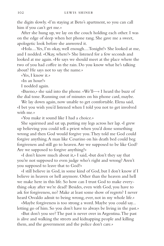the digits slowly. «I'm staying at Beto's apartment, so you can call him if you can't get me.»

After she hung up, we lay on the couch holding each other. I was on the edge of sleep when her phone rang. She gave me a sweet, apologetic look before she answered it.

«Hola....Yes, I'm okay, well enough....Tonight?» She looked at me, and I nodded. «Okay, where?» She listened for a few seconds and looked at me again. «He says we should meet at the place where the two of you had coffee in the rain. Do you know what he's talking about? He says not to say the name.»

«Yes, I know it.»

«In an hour?»

I nodded again.

«Bueno,» she said into the phone. «We'll—» I heard the buzz of the dial tone. Running out of minutes on his phone card, maybe.

We lay down again, now unable to get comfortable. Elena said, «I bet you wish you'd listened when I told you not to get involved with me.»

«You make it sound like I had a choice.»

She squirmed and sat up, putting my legs across her lap. «I grew up believing you could tell a priest when you'd done something wrong and then God would forgive you. They told me God could forgive anything. A man like Cesarino on his death bed could beg forgiveness and still go to heaven. Are we supposed to be like God? Are we supposed to forgive anything?»

«I don't know much about it,» I said, «but don't they say that you're not supposed to even judge who's right and wrong? Aren't you supposed to leave that to God?»

«I still believe in God, in some kind of God, but I don't know if I believe in heaven or hell anymore. Other than the heaven and hell we make here in this life. So how can I trust God to make everything okay after we're dead? Besides, even with God, you have to ask for forgiveness, no? Make at least some show of regrets? I never heard Osvaldo admit to being wrong, ever, not in my whole life.»

«Maybe forgiveness is too strong a word. Maybe you could say... letting go of him. So you don't have to always be living in the past.»

«But don't you see? The past is never over in Argentina. The past is alive and walking the streets and kidnapping people and killing them, and the government and the police don't care.»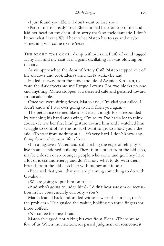«I just found you, Elena. I don't want to lose you.»

«Part of me is already lost.» She climbed back on top of me and laid her head on my chest. «I'm sorry, that's so melodramatic. I don't know what I want. We'll hear what Mateo has to say and maybe something will come to me. Yes?«

THE NIGHT WAS COOL, damp without rain. Puffs of wind tugged at my hair and my coat as if a giant oscillating fan was blowing on the city.

As we approached the door of Arte y Café, Mateo stepped out of the shadows and took Elena's arm. «Let's walk,» he said.

He led us away from the noise and life of Avenida San Juan, toward the dark streets around Parque Lezama. For two blocks no one said anything. Mateo stopped at a deserted café and gestured toward an outside table.

Once we were sitting down, Mateo said, «I'm glad you called. I didn't know if I was ever going to hear from you again.»

The petulance seemed like a bad idea, though Elena responded by touching his hand and saying, «I'm sorry. I've had a lot to think about.» It was her first kind gesture toward him and I watched him struggle to control his emotions. «I want to get to know you,» she said. «To start from nothing at all...it's very hard. I don't know anything about what your life is like.»

«I'm a fugitive,» Mateo said, still circling the edge of self-pity. «I live in an abandoned building. There is one other from the old days, maybe a dozen or so younger people who come and go. They have a lot of ideals and energy and don't know what to do with them. Friends from the old days help with money and food.»

«Beto said that you...that you are planning something to do with Osvaldo.»

«We are going to put him on trial.»

«And who's going to judge him?» I didn't hear sarcasm or accusation in her voice, merely curiosity. «You?»

Mateo leaned back and smiled without warmth. «In fact, that's the problem.» He signaled the waiter, holding up three fingers for three coffees.

«No coffee for me,» I said.

Mateo shrugged, not taking his eyes from Elena. «There are so few of us. When the montoneros passed judgment on someone, it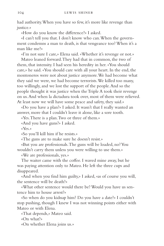had authority. When you have so few, it's more like revenge than justice.»

«How do you know the difference?» I asked.

«I can't tell you that. I don't know who can. When the government condemns a man to death, is that vengeance too? When it's a man like me?»

«I'm not sure I care,» Elena said. «Whether it's revenge or not.»

Mateo leaned forward. They had that in common, the two of them, that intensity. I had seen his heredity in her. «You should care,» he said. «You should care with all your heart. In the end, the montoneros were not about justice anymore. We had become what they said we were, we had become terrorists. We killed too many, too willingly, and we lost the support of the people. And so the people thought it was justice when the Triple A took their revenge on us. And when la dictadura took over, most of them were relieved. At least now we will have some peace and safety, they said.»

«Do you have a plan?» I asked. It wasn't that I really wanted an answer, more that I couldn't leave it alone, like a sore tooth.

«Yes. There is a plan. Two or three of them.»

«And you have guns?» I asked.

«Yes.»

«So you'll kill him if he resists.»

«The guns are to make sure he doesn't resist.»

«But you are professionals. The guns will be loaded, no? You wouldn't carry them unless you were willing to use them.»

«We are professionals, yes.»

The waiter came with the coffee. I waved mine away, but he was paying attention only to Mateo. He left the three cups and disappeared.

«And when you find him guilty,» I asked, «as of course you will, the sentence will be death?»

«What other sentence would there be? Would you have us sentence him to house arrest?»

«So when do you kidnap him? Do you have a date?» I couldn't stop pushing, though I knew I was not winning points either with Mateo or with Elena.

«That depends,» Mateo said.

«On what?»

«On whether Elena joins us.»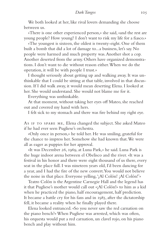We both looked at her, like rival lovers demanding she choose between us.

«There is one other experienced person,» she said, «and the rest are young people? How young? I don't want to risk my life for a fiasco.»

«The youngest is sixteen, the oldest is twenty-eight. One of them built a bomb that did a lot of damage to...a business, let's say. No people were harmed and much property was. Another shot a cop. Another deserted from the army. Others have organized demonstrations. I don't want to die without reason either. When we do the operation, it will be with people I trust.»

I thought seriously about getting up and walking away. It was unthinkable that I could be sitting at that table, involved in that discussion. If I did walk away, it would mean deserting Elena. I looked at her. She would understand. She would not blame me for it.

Everything was unthinkable.

At that moment, without taking her eyes off Mateo, she reached out and covered my hand with hers.

I felt sick to my stomach and there was fire behind my right eye.

As IF TO SPARE ME, Elena changed the subject. She asked Mateo if he had ever seen Pugliese's orchestra.

«Only once in person,» he told her. He was smiling, grateful for the chance to impress her. Somehow she had known that. We were all as eager as puppies for her approval.

«It was December 26, 1969, at Luna Park,» he said. Luna Park is the huge indoor arena between el Obelisco and the river. «It was a festival in his honor and there were eight thousand of us there, every seat in the place full. I was nineteen years old, I'd been dancing for a year, and I had the fire of the new convert. You would not believe the noise in that place. Everyone yelling, '¡Al Colón! ¡Al Colón!'»

Teatro Colón is the Argentine Carnegie Hall and the legend has it that Pugliese's mother would call out «¡Al Colón!» to him as a kid when he practiced the piano, half encouragement, half prediction. It became a battle cry for his fans and in 1985, after the dictatorship fell, it became a reality when he finally played there.

Elena looked entranced. «So you never saw the red carnation on the piano bench?» When Pugliese was arrested, which was often, his orquesta would put a red carnation, un clavel rojo, on his piano bench and play without him.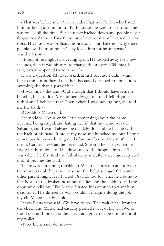«That was before me,» Mateo said. «That was Perón, who hated him for being a communist. By the sixties he was an institution, he was on tv all the time. But he never backed down and people never forgot that. At Luna Park there must have been a million red carnations. His music was brilliant, inspirational, but that's not why those people loved him so much. They loved him for his integrity. That was the lesson.»

I thought he might start crying again. He looked away for a few seconds, then it was his turn to change the subject. «Tell me,» he said, «what happened to your nose?»

It was a question I'd never asked, at first because I didn't want her to think it bothered me, then because I'd ceased to notice it as anything else than a part of her.

«I was nine,» she said. «Old enough that I should have remembered it, but I didn't. My mother always told me I fell playing futbol and I believed that. Then, when I was moving out, she told me the truth.»

«Osvaldo,» Mateo said.

She nodded. «Apparently I said something about the name Lacunza being stupid, and hating it, and that my name was del Salvador, and I would always be del Salvador, and he hit me with the back of his hand. It broke my nose and knocked me out. I don't remember him ever hitting me before or after, and my mother—I mean, Candelaria—said he never did. She said he cried when he saw what he'd done, and he drove me to the hospital himself. That was where he first told the futbol story and after that it got repeated until it became the truth.»

There was something terrible in Mateo's expression and it was all the more terrible because it was not the helpless anger that some other parent might feel. I hated Osvaldo too for what he'd done to her. Not just the broken nose, but the lies and the coldness and the oppressive religion. Like Mateo, I hated him enough to want him dead for it. The difference was I couldn't imagine doing the job myself. Mateo clearly could.

It was Elena who said, «We have to go.» The waiter had brought the check and Mateo had casually pushed it out of his way. We all stood up and I looked at the check and got a ten-peso note out of my wallet.

«No,» Elena said, «let me—»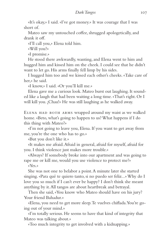«It's okay,» I said. «I've got money.» It was courage that I was short of.

Mateo saw my untouched coffee, shrugged apologetically, and drank it off.

«I'll call you,» Elena told him.

«Will you?»

«I promise.»

He stood there awkwardly, wanting, and Elena went to him and hugged him and kissed him on the cheek. I could see that he didn't want to let go. His arms finally fell limp by his sides.

I hugged him too and we kissed each other's cheeks. «Take care of her,» he said.

«I know,» I said. «Or you'll kill me.»

Elena gave me a curious look. Mateo burst out laughing. It sounded like a laugh that had been waiting a long time. «That's right. Or I will kill you. ¡Chau!» He was still laughing as he walked away.

Elena had both arms wrapped around my waist as we walked home. «Beto, what's going to happen to us? What happens if I do this thing with Mateo?»

«I'm not going to leave you, Elena. If you want to get away from me, you're the one who has to go.»

«But you don't like it.»

«It makes me afraid. Afraid in general, afraid for myself, afraid for you. I think violence just makes more trouble.»

«Always? If somebody broke into our apartment and was going to rape me or kill me, would you use violence to protect me?»

«Yes.»

She was not one to belabor a point. A minute later she started singing. «Para qué te quiero tanto, si no puedo ser feliz...» Why do I love you so much if I can't ever be happy? I don't think she meant anything by it. All tangos are about heartbreak and betrayal.

Then she said, «You know who Mateo should have on his jury? Your friend Bahadur.»

«Elena, you need to get more sleep. Te vuelves chiflada. You're going out of your mind.»

«I'm totally serious. He seems to have that kind of integrity that Mateo was talking about.»

«Too much integrity to get involved with a kidnapping.»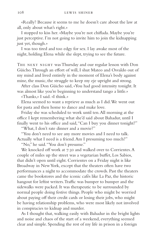«Really? Because it seems to me he doesn't care about the law at all, only about what's right.»

I stopped to kiss her. «Maybe you're not chiflada. Maybe you're just perceptive. I'm not going to invite him to join the kidnapping just yet, though.»

I was too tired and too edgy for sex. I lay awake most of the night, holding Elena while she slept, trying to see the future.

THE NEXT NIGHT was Thursday and our regular lesson with Don Güicho. Through an effort of will, I shut Mateo and Osvaldo out of my mind and lived entirely in the moment of Elena's body against mine, the music, the struggle to keep my eje upright and strong.

After class Don Güicho said, «You had good intensity tonight. It was almost like you're beginning to understand tango a little.»

«Thanks,» I said. «I think.»

Elena seemed to want a reprieve as much as I did. We went out for pasta and then home to dance and make love.

Friday she was scheduled to work until ten. All morning at the office I kept remembering what she'd said about Bahadur, until I finally went to his office and said, "Can I buy you dinner tonight?"

"What, I don't rate dinner and a movie?"

"You don't need to see any more movies and I need to talk. Actually what I need is a friend. Am I presuming too much?"

"No," he said. "You don't presume."

We knocked off work at 7:30 and walked over to Corrientes. A couple of miles up the street was a vegetarian buffet, Los Sabios, that didn't open until eight. Corrientes on a Friday night is like Broadway in New York, except that the theaters often have two performances a night to accommodate the crowds. Past the theaters came the bookstores and the iconic cafés like La Paz, the historic hangout for leftist writers. Traffic was bumper to bumper and the sidewalks were packed. It was therapeutic to be surrounded by normal people doing festive things. People who might be worried about paying off their credit cards or losing their jobs, who might be having relationship problems, who were most likely not involved in conspiracies to kidnap and murder.

As I thought that, walking easily with Bahadur in the bright lights and noise and chaos of the start of a weekend, everything seemed clear and simple. Spending the rest of my life in prison in a foreign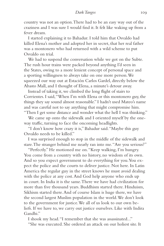country was not an option. There had to be an easy way out of the craziness and I was sure I would find it. It felt like waking up from a fever dream.

I started explaining it to Bahadur. I told him that Osvaldo had killed Elena's mother and adopted her in secret, that her real father was a montonero who had returned with a wild scheme to put Osvaldo on trial.

We had to suspend the conversation while we got on the Subte. The rush hour trains were packed beyond anything I'd seen in the States, owing to a more lenient concept of personal space and a sporting willingness to always take on one more person. We squeezed our way out at Estación Carlos Gardel, directly below the Abasto Mall, and I thought of Elena, a minute's detour away.

Instead of taking it, we climbed the long flight of stairs to Corrientes. I said, "When I'm with Elena or this montonero guy, the things they say sound almost reasonable." I hadn't used Mateo's name and was careful not to say anything that might compromise him.

"Then I get some distance and wonder what the hell I was thinking."

We came up onto the sidewalk and I oriented myself by the oneway traffic, turning to face the oncoming headlights.

"I don't know how crazy it is," Bahadur said. "Maybe this guy Osvaldo needs to be killed."

I was surprised enough to stop in the middle of the sidewalk and stare. The stranger behind me nearly ran into me. "Are you serious?"

"Perfectly." He motioned me on. "Keep walking, I'm hungry. You come from a country with no history, no wisdom of its own. And so you expect government to do everything for you. You expect the police and the courts to deliver justice. Not here. In Latin America the regular guy in the street knows he must avoid dealing with the police at any cost. And God help anyone who ends up in court. In India it is the same. There we have had civilization for more than five thousand years. Buddhism started there. Hinduism, Sikhism started there. And of course Islam is huge there, we have the second largest Muslim population in the world. We don't look to the government for justice. We all of us look to our own beliefs. If we have to, we carry out justice ourselves. Like with Indira Gandhi."

I shook my head. "I remember that she was assassinated..." "She was executed. She ordered an attack on our holiest site. It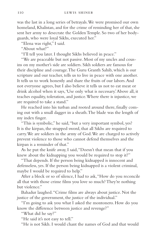was the last in a long series of betrayals. We were promised our own homeland, Khalistan, and for the crime of reminding her of that, she sent her army to desecrate the Golden Temple. So two of her bodyguards, who were loyal Sikhs, executed her."

"Elena was right," I said.

"About what?"

"I'll tell you later. I thought Sikhs believed in peace."

"We are peaceable but not passive. Most of my uncles and cousins on my mother's side are soldiers. Sikh soldiers are famous for their discipline and courage. The Guru Granth Sahib, which is our scripture and our teacher, tells us to live in peace with one another. It tells us to work honestly and share the fruits of our labors. And not everyone agrees, but I also believe it tells us not to eat meat or drink alcohol when it says, 'Use only what is necessary.' Above all, it teaches equality, toleration, and justice. Where there is injustice, we are required to take a stand."

He reached into his turban and rooted around there, finally coming out with a small dagger in a sheath. The blade was the length of my index finger.

"This is symbolic," he said, "but a very important symbol, yes? It is the kirpan, the strapped sword, that all Sikhs are required to carry. We are soldiers in the army of God. We are charged to actively prevent violence to those who cannot defend themselves and the kirpan is a reminder of that."

As he put the knife away, I said, "Doesn't that mean that if you knew about the kidnapping you would be required to stop it?"

"That depends. If the person being kidnapped is innocent and defenseless, yes. If the person being kidnapped is a violent criminal, maybe I would be required to help."

After a block or so of silence, I had to ask, "How do you reconcile all that with those crime films you love so much? They're nothing but violence."

Bahadur laughed. "Crime films are always about justice. Not the justice of the government, the justice of the individual."

"I'm going to ask you what I asked the montonero. How do you know the difference between justice and revenge?"

"What did he say?"

"He said it's not easy to tell."

"He is not Sikh. I would chant the names of God and that would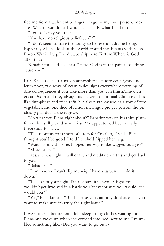free me from attachment to anger or ego or my own personal desires. When I was done, I would see clearly what I had to do."

"I guess I envy you that."

"You have no religious beliefs at all?"

"I don't seem to have the ability to believe in a divine being. Especially when I look at the world around me. Infants with AIDS. Enron. War in Iraq. The dictatorship here. Torture. Where is God in all of that?"

Bahadur touched his chest. "Here. God is in the pain those things cause you."

LOS SABIOS IS SHORT on atmosphere—fluorescent lights, linoleum floor, two rows of steam tables, signs everywhere warning of dire consequences if you take more than you can finish. The owners are Asian and they always have several traditional Chinese dishes like dumplings and fried tofu, but also pizza, casseroles, a row of raw vegetables, and one slice of lemon meringue pie per person, the pie closely guarded at the register.

"So what was Elena right about?" Bahadur was on his third plateful while I still picked at my first. My appetite had been mostly theoretical for days.

"The montonero is short of jurors for Osvaldo," I said. "Elena thought you'd be good. I told her she'd flipped her wig."

"Wait, I know this one. Flipped her wig is like wigged out, yes?" "More or less."

"Yes, she was right. I will chant and meditate on this and get back to you."

"Bahadur—"

"Don't worry. I can't flip my wig, I have a turban to hold it down."

"This is not your fight. I'm not sure it's anyone's fight. You wouldn't get involved in a battle you knew for sure you would lose, would you?"

"Yes," Bahadur said. "But because you can only do that once, you want to make sure it's truly the right battle."

I was home before ten. I fell asleep in my clothes waiting for Elena and woke up when she crawled into bed next to me. I mumbled something like, «Did you want to go out?»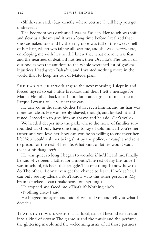«Shhh,» she said. «Stay exactly where you are. I will help you get undressed.»

The bedroom was dark and I was half asleep. Her touch was soft and slow as a dream and it was a long time before I realized that she was naked too, and by then my nose was full of the sweet smell of her hair, which was falling all over me, and she was everywhere, enveloping me with her need. I knew that what drove it was fear and the nearness of death, if not hers, then Osvaldo's. The touch of our bodies was the antidote to the whole wretched list of godless injustices I had given Bahadur, and I wanted nothing more in the world than to keep her out of Mateo's plan.

SHE HAD TO BE at work at 9:30 the next morning. I slept in and forced myself to eat a little breakfast and then I left a message for Mateo. He called back a half hour later and agreed to meet me in Parque Lezama at 1 pm, near the cats.

He arrived in the same clothes I'd last seen him in, and his hair was none too clean. He was freshly shaved, though, and looked fit and rested. I stood up to give him an abrazo and he said, «Let's walk.»

We headed deeper into the park, where the noise of families surrounded us. «I only have one thing to say,» I told him. «If you're her father, and you love her, how can you be so willing to endanger her life? You would risk her being shot by the police, or caught and sent to prison for the rest of her life. What kind of father would want that for his daughter?»

He was quiet so long I began to wonder if he'd heard me. Finally he said, «I've been a father for a month. The rest of my life, since I was in school, it's been the struggle. The one thing I know how to do. The other...I don't even get the chance to learn. I look at her, I can only see my Elena. I don't know who this other person is. My brain is fucked. I can't make sense of anything.»

He stopped and faced me. «That's it? Nothing else?» «Nothing else,» I said.

He hugged me again and said, «I will call you and tell you what I decide.»

THAT NIGHT WE DANCED at La Ideal, danced beyond exhaustion, into a kind of ecstasy. The glamour and the music and the perfume, the glittering marble and the welcoming arms of all those partners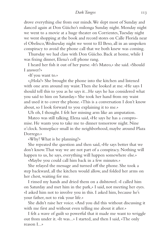drove everything else from our minds. We slept most of Sunday and danced again at Don Güicho's milonga Sunday night. Monday night we went to a movie at a huge theater on Corrientes, Tuesday night we went shopping at the book and record stores on Calle Florida near el Obelisco, Wednesday night we went to El Beso, all in an unspoken conspiracy to avoid the phone call that we both knew was coming.

Thursday we had class with Don Güicho. Back at home, while I was fixing dinner, Elena's cell phone rang.

I heard her fish it out of her purse. «It's Mateo,» she said. «Should I answer?»

«If you want to.»

«¿Hola?» She brought the phone into the kitchen and listened with one arm around my waist. Then she looked at me. «He says I should tell this to you as he says it...He says he has considered what you said to him on Saturday.» She took her hand from my waist and used it to cover the phone. «This is a conversation I don't know about, so I look forward to you explaining it to me.»

Uh oh, I thought. I felt her missing arm like an amputation.

Mateo was still talking. Elena said, «He says he has a compromise. He wants you to take me to dinner tomorrow night. Nine o'clock. Someplace small in the neighborhood, maybe around Plaza Dorrego.»

«Why? What is he planning?»

She repeated the question and then said, «He says better that we don't know. That way we are not part of a conspiracy. Nothing will happen to us, he says, everything will happen somewhere else.»

«Maybe you could call him back in a few minutes.»

She relayed the message and turned off the phone. She took a step backward, all the kitchen would allow, and folded her arms on her chest, waiting for me.

I rinsed my hands and dried them on a dishtowel. «I called him on Saturday and met him in the park,» I said, not meeting her eyes. «I asked him not to involve you in this. I asked him, because he's your father, not to risk your life.»

She didn't raise her voice. «And you did this without discussing it with me first and without even telling me about it after.»

I felt a wave of guilt so powerful that it made me want to wriggle out from under it. «It was...» I started, and then I said, «The only reason I...»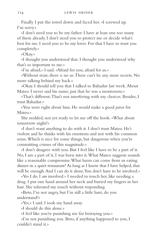Finally I put the towel down and faced her. «I screwed up. I'm sorry.»

«I don't need you to be my father. I have at least one too many of them already. I don't need you to protect me or decide what's best for me. I need you to be my lover. For that I have to trust you completely.»

«Okay.»

«I thought you understood that. I thought you understood why that's so important to me.»

«I'm afraid,» I said. «Afraid for you, afraid for us.»

«Without trust, there *is* no us. There can't be any more secrets. No more talking behind my back.»

«Okay. I should tell you that I talked to Bahadur last week. About Mateo. I never said his name, just that he was a montonero.»

«That's different. That's not interfering with my choices. Besides, I trust Bahadur.»

«You were right about him. He would make a good juror for Mateo.»

She nodded, not yet ready to let me off the hook. «What about tomorrow night?»

«I don't want anything to do with it. I don't trust Mateo. He's violent and he thinks with his emotions and not with his common sense. Which is nice for some things, but dangerous when you're committing crimes of this magnitude.»

«I don't disagree with you. But I feel like I have to be a part of it. No, I am a part of it, I was born into it. What Mateo suggests sounds like a reasonable compromise. What harm can come from us eating dinner in a quiet restaurant? As long as I know that I have helped, that will be enough. And I can do it alone. You don't have to be involved.»

«Yes I do. I *am* involved.» I needed to touch her, like needing a drug. I put one hand around her neck and buried my fingers in her hair. She tolerated my touch without responding.

«Beto, I'm not angry, but I'm still a little hurt, do you understand?»

«Yes,» I said. I took my hand away.

«I should do this alone.»

«I feel like you're punishing me for betraying you.»

«I'm not punishing you. Beto, if anything happened to you, I couldn't stand it.»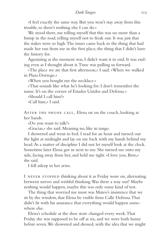«I feel exactly the same way. But you won't stay away from this trouble, so there's nothing else I can do.»

We stood there, me telling myself that this was no more than a bump in the road, telling myself not to freak out. It was just that the stakes were so high. The issues came back to the thing that had made her run from me in the first place, the thing that I didn't have the history for.

Agonizing as the moment was, I didn't want it to end. It was ending even as I thought about it. Time was pulling us forward.

«The place we ate that first afternoon,» I said. «When we walked in Plaza Dorrego.»

«When you bought me the necklace.»

«That sounds like what he's looking for. I don't remember the name. It's on the corner of Estados Unidos and Defensa.»

«Should I call him?»

«Call him,» I said.

After the phone call, Elena sat on the couch, looking at her hands.

«Do you want to talk?»

«Gracias,» she said. Meaning no, like in tango.

I showered and went to bed. I read for an hour and turned out the light at midnight and lay on my back with my hands behind my head. As a matter of discipline I did not let myself look at the clock. Sometime later Elena got in next to me. She turned me onto my side, facing away from her, and held me tight. «I love you, Beto,» she said.

I fell asleep in her arms.

I never stopped thinking about it as Friday wore on, alternating between nerves and wishful thinking. Was there a way out? Maybe nothing would happen, maybe this was only some kind of test.

The thing that worried me most was Mateo's insistence that we sit by the window, that Elena be visible from Calle Defensa. That didn't fit with his assurance that everything would happen somewhere else.

Elena's schedule at the shoe store changed every week. That Friday she was supposed to be off at six, and we were both home before seven. We showered and dressed, with the idea that we might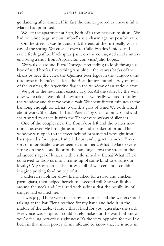go dancing after dinner. If in fact the dinner proved as uneventful as Mateo had promised.

We left the apartment at 8:30, both of us too nervous to sit still. We had our shoe bags, and an umbrella as a charm against possible rain.

On the street it was hot and still, the end of the first really warm day of the spring. We crossed over to Calle Estados Unidos and I saw a fresh graffito, black spray paint on the corrugated steel shutters enclosing a shop front: Apparición con vida/Julio López.

 We walked around Plaza Dorrego, pretending to look through a box of used books. Everything was blue—the canvas backs of the chairs outside the cafés, the Quilmes beer logos in the windows, the turquoise in Elena's necklace, the Boca Juniors futbol jersey on one of the crafters, the Argentine flag in the window of an antique store.

We got to the restaurant exactly at 9:00. All the tables by the window were taken. We told the waiter that we really wanted to sit by the window and that we would wait. We spent fifteen minutes at the bar, long enough for Elena to drink a glass of wine. We both talked about work. She asked if I had "Poema" by Canaro on CD and said she wanted to dance it with me. There were awkward silences.

One of the couples near the front door left and the waiter motioned us over. He brought us menus and a basket of bread. The window was open to the street behind ornamental wrought iron bars spaced a foot apart. I smelled dust and cigarette smoke. Every sort of improbable disaster seemed imminent. What if Mateo were sitting on the second floor of the building across the street, in the advanced stages of lunacy, with a rifle aimed at Elena? What if he'd contrived to drop us into a frame-up of some kind to ensure our loyalty? My stomach felt like it was full of wet cement. I couldn't imagine putting food on top of it.

I ordered ravioli for show. Elena asked for a salad and chicken parmigiana, then helped herself to a second roll. She was flushed around the neck and I realized with sadness that the possibility of danger had excited her.

It was 9:45. There were not many customers and the waiters stood talking at the bar. Elena reached for my hand and held it in the middle of the table. «I know this is hard for you, querida,» she said. Her voice was so quiet I could barely make out the words. «I know you're feeling powerless right now. It's the very opposite for me. I've been in that man's power all my life, and to know that he is now in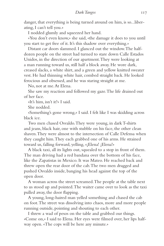danger, that everything is being turned around on him, is so...liberating, I can't tell you.»

I nodded glumly and squeezed her hand.

«You don't even know,» she said, «the damage it does to you until you start to get free of it. It's this shadow over everything.»

Distant car doors slammed. I glanced out the window. The halfdozen people on the street had turned to stare down Calle Estados Unidos, in the direction of our apartment. They were looking at a man running toward us, still half a block away. He wore dark, creased slacks, a white shirt, and a green and yellow knitted sweater vest. He had thinning white hair, combed straight back. He looked ferocious and obsessed, and he was staring straight at me.

No, not at me. At Elena.

She saw my reaction and followed my gaze. The life drained out of her face.

«It's him, isn't it?» I said.

She nodded.

«Something's gone wrong,» I said. I felt like I was skidding across black ice.

Two men chased Osvaldo. They were young, in dark T-shirts and jeans, black hair, one with stubble on his face, the other clean shaven. They were almost to the intersection of Calle Defensa when they caught him. They each grabbed one of his arms. He strained toward us, falling forward, yelling, «¡Elena! ¡Elena!»

A black taxi, all its lights out, squealed to a stop in front of them. The man driving had a red bandana over the bottom of his face, like the Zapatistas in Mexico. It was Mateo. He reached back and threw open the rear door of the cab. The two men dragged and pushed Osvaldo inside, banging his head against the top of the open door.

A woman across the street screamed. The people at the table next to us stood up and pointed. The waiter came over to look as the taxi pulled away, the door flapping.

A young, long-haired man yelled something and chased the cab on foot. The street was dissolving into chaos, more and more people running outside, pointing and shouting to each other.

I threw a wad of pesos on the table and grabbed our things. «Come on,» I said to Elena. Her eyes were filmed over, her lips halfway open. «The cops will be here any minute.»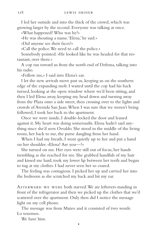I led her outside and into the thick of the crowd, which was growing larger by the second. Everyone was talking at once.

«What happened? Who was he?»

«He was shouting a name. 'Elena,' he said.»

«Did anyone see their faces?»

«Call the police. We need to call the police.»

Somebody pointed. «He looked like he was headed for that restaurant, over there.»

A cop ran toward us from the north end of Defensa, talking into his radio.

«Follow me,» I said into Elena's ear.

I let the new arrivals move past us, keeping us on the southern edge of the expanding mob. I waited until the cop had his back turned, looking at the open window where we'd been sitting, and then I led Elena away, keeping my head down and turning away from the Plaza onto a side street, then crossing over to the lights and crowds of Avenida San Juan. When I was sure that we weren't being followed, I took her back to the apartment.

Once we were inside, I double-locked the door and leaned against it. My heart was doing somersaults. Elena hadn't said anything since she'd seen Osvaldo. She stood in the middle of the living room, her back to me, the purse dangling from her hand.

When I had my breath, I went quietly up to her and put a hand on her shoulder. «Elena? Are you—?»

She turned on me. Her eyes were still out of focus, her hands trembling as she reached for me. She grabbed handfuls of my hair and kissed me hard, took my lower lip between her teeth and began to tug at my clothes. I had never seen her so crazed.

The feeling was contagious. I picked her up and carried her into the bedroom as she scratched my back and bit my ear.

Afterward we were both starved. We ate leftovers standing in front of the refrigerator and then we picked up the clothes that we'd scattered over the apartment. Only then did I notice the message light on my cell phone.

•

The message was from Mateo and it consisted of two words: Lo tenemos.

We have him.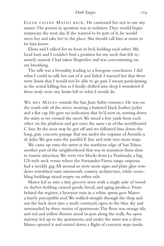Elena called Mateo back. He cautioned her not to use any names. The person in question was in isolation. They would begin testimony the next day. If she wanted to be part of it, he would meet her and take her to the place. She should call him at noon to let him know.

Elena and I talked for an hour in bed, holding each other. My head hurt and I couldn't find a position for my neck that felt remotely natural. I had taken Ibuprofen and was concentrating on my breathing.

The talk was a formality leading to a foregone conclusion. I did what I could to talk her out of it and failed. I warned her that there were limits that I would not be able to go past. I meant participating in the actual killing, but as I finally drifted into sleep I wondered if there truly were any limits left to what I would do.

We met Mateo outside the San Juan Subte entrance. He was on the south side of the street, wearing a battered black leather jacket and a flat cap. He gave no indication that he'd seen us, starting down the stairs as we crossed the street. We stood a few yards from each other on the platform and got onto the same car of the northbound C line. At the next stop he got off and we followed him down the long, gray concrete passage that ran under the expanse of Avenida 9 de Julio. We got onto the parallel E line and rode two more stops.

We came up onto the street at the northern edge of San Telmo, another part of the neighborhood that was in transition from slum to tourist attraction. We were two blocks from La Trastienda, a big, US-style rock venue where the Fernandez Fierro tango orquesta had a weekly gig. All around us were neon signs and plate glass windows retrofitted onto nineteenth century architecture, while crumbling buildings stood empty on either side.

Mateo led us into a tiny grocery store with a single aisle of wooden shelves holding canned goods, bread, and aging produce. From behind the register, a heavyset man in a white apron gave Mateo a barely perceptible nod. We walked straight through the shop and out the back door into a small courtyard, open to the blue sky and surrounded by three stories of apartments. The floor was orange tile, and red and yellow flowers stood in pots along the walls. An open stairway led up to the apartments, and under the stairs was a door. Mateo opened it and started down a flight of concrete steps inside.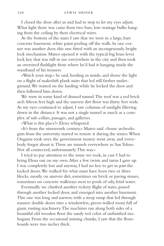I closed the door after us and had to stop to let my eyes adjust. What light there was came from two bare, low-wattage bulbs hanging from the ceiling by their electrical wires.

At the bottom of the stairs I saw that we were in a large, bare concrete basement, white paint peeling off the walls. In one corner was another door, this one fitted with an incongruously bright lock mechanism. Mateo opened it with the typical big brass lever lock key that was still in use everywhere in the city and then took an oversized flashlight from where he'd had it hanging inside the waistband of his trousers.

«Watch your step,» he said, herding us inside, and shone the light on a flight of makeshift plank stairs that led still farther underground. We waited on the landing while he locked the door and then followed him down.

We were in some kind of disused tunnel. The roof was a red brick arch fifteen feet high and the uneven dirt floor was thirty feet wide. As my eyes continued to adjust, I saw columns of sunlight filtering down in the distance. It was not a single tunnel as much as a complex of sub-cellars, passages, and galleries.

«What is this place?» Elena whispered.

«It's from the nineteenth century,» Mateo said. «Some archeologists from the university started to restore it during the sixties. When Ongania took over, the government money went away and everybody forgot about it. There are tunnels everywhere in San Telmo. Not all connected, unfortunately. This way.»

I tried to pay attention to the route we took, in case I had to bring Elena out on my own. After a few twists and turns I gave up. I was completely lost and anyway, I had no key to get us past the locked doors. We walked for what must have been two or three blocks, mostly on uneven dirt, sometimes on brick or paving stones, sometimes on concrete walkways next to pools of oily, fetid water.

Eventually we climbed another rickety flight of stairs, passed through another locked door, and emerged into another basement. This one was long and narrow, with a steep ramp that led through massive double doors into a windowless, green-walled room full of giant, rusting machinery. The machines ran along both sides of a beautiful old wooden floor the sandy red color of unfinished mahogany. From the occasional missing chunks, I saw that the floorboards were two inches thick.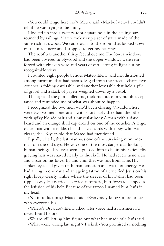«You could tango here, no?» Mateo said. «Maybe later.» I couldn't tell if he was trying to be funny.

I looked up into a twenty-foot-square hole in the ceiling, surrounded by railings. Mateo took us up a set of stairs made of the same rich hardwood. We came out into the room that looked down on the machinery and I stopped to get my bearings.

The roof was another thirty feet above me. The lower windows had been covered in plywood and the upper windows were reinforced with chicken wire and years of dirt, letting in light but no recognizable view.

I counted eight people besides Mateo, Elena, and me, distributed among furniture that had been salvaged from the street—chairs, two couches, a folding card table, and another low table that held a pile of gravel and a stack of papers weighed down by a pistol.

The sight of the gun chilled me, took me out of my numb acceptance and reminded me of what was about to happen.

I recognized the two men who'd been chasing Osvaldo. There were two women, one small, with short curly dark hair, the other with spiky blonde hair and a muscular body. A man with a dark beard and an orange skull cap dozed on one of the couches. A large, older man with a reddish beard played cards with a boy who was clearly the 16-year-old that Mateo had mentioned.

Equally clearly, the last man was one of the surviving montoneros from the old days. He was one of the most dangerous-looking human beings I had ever seen. I guessed him to be in his sixties. His graying hair was shaved nearly to the skull. He had severe acne scars and a scar on his lower lip and chin that was not from acne. His sunken eyes had given up human emotion as a waste of energy. He had a ring in one ear and an ageing tattoo of a crucified Jesus on his right bicep, clearly visible where the sleeves of his T-shirt had been ripped away. He carried a service automatic, butt forward, clipped to the left side of his belt. Because of the tattoo I named him Jesús in my head.

«No introductions,» Mateo said. «Everybody knows more or less who everyone is.»

«Where's Osvaldo?» Elena asked. Her voice had a harshness I'd never heard before.

«We are still letting him figure out what he's made of,» Jesús said. «What went wrong last night?» I asked. «You promised us nothing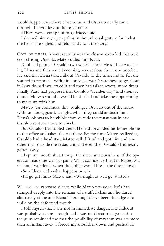would happen anywhere close to us, and Osvaldo nearly came through the window of the restaurant.»

«There were...complications,» Mateo said.

I showed him my open palms in the universal gesture for "what the hell?" He sighed and reluctantly told the story.

One of their newest recruits was the clean-shaven kid that we'd seen chasing Osvaldo. Mateo called him Raul.

Raul had phoned Osvaldo two weeks before. He said he was dating Elena and they were becoming very serious about one another. He said that Elena talked about Osvaldo all the time, and he felt she wanted to reconcile with him, only she wasn't sure how to go about it. Osvaldo had swallowed it and they had talked several more times. Finally Raul had proposed that Osvaldo "accidentally" find them at dinner. He was sure she would be thrilled and take the opportunity to make up with him.

Mateo was convinced this would get Osvaldo out of the house without a bodyguard, at night, when they could ambush him. Elena's job was to be visible from outside the restaurant in case Osvaldo sent someone to check.

But Osvaldo had fooled them. He had forwarded his home phone to the office and taken the call there. By the time Mateo realized it, Osvaldo had a head start. Mateo called Raul and got him and another man outside the restaurant, and even then Osvaldo had nearly gotten away.

I kept my mouth shut, though the sheer amateurishness of the operation made me want to panic. What confidence I had in Mateo was shaken. I wondered when the police would break the doors down.

«So,» Elena said, «what happens now?»

«I'll go get him,» Mateo said. «We might as well get started.»

WE SAT IN awkward silence while Mateo was gone. Jesús had slumped deeply into the remains of a stuffed chair and he stared alternately at me and Elena. There might have been the edge of a smile on the deformed mouth.

I told myself that I was not in immediate danger. The hideout was probably secure enough and I was no threat to anyone. But the guns reminded me that the possibility of mayhem was no more than an instant away. I forced my shoulders down and pushed air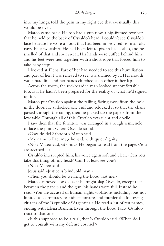into my lungs, told the pain in my right eye that eventually this would be over.

Mateo came back. He too had a gun now, a big-framed revolver that he held to the back of Osvaldo's head. I couldn't see Osvaldo's face because he wore a hood that had been improvised from an old navy-blue sweatshirt. He had been left to piss in his clothes, and he smelled of that and sour sweat. His hands were cuffed behind him and his feet were tied together with a short rope that forced him to take baby steps.

I looked at Elena. Part of her had needed to see this humiliation and part of her, I was relieved to see, was shamed by it. Her mouth was a hard line and her hands clutched each other in her lap.

Across the room, the red-bearded man looked uncomfortable too, as if he hadn't been prepared for the reality of what he'd signed up for.

Mateo put Osvaldo against the railing, facing away from the hole in the floor. He unlocked one cuff and relocked it so that the chain passed through the railing, then he picked up the papers from the low table. Through all of this, Osvaldo was silent and docile.

I saw then that the furniture was arranged in a rough semicircle to face the point where Osvaldo stood.

«Osvaldo del Salvador,» Mateo said.

«My name is Lacunza,» he said, with quiet dignity.

«No,» Mateo said, «it's not.» He began to read from the page. «You are accused—»

Osvaldo interrupted him, his voice again soft and clear. «Can you take this thing off my head? Can I at least see you?»

«No,» Mateo said.

Jesús said, «Justice is blind, old man.»

«Then you should be wearing the hood, not me.»

Mateo, annoyed, looked as if he might slap Osvaldo, except that between the papers and the gun, his hands were full. Instead he read, «You are accused of human rights violations including, but not limited to, conspiracy to kidnap, torture, and murder the following citizens of the Republic of Argentina.» He read a list of ten names, ending with Elena Bianchi. Even through the hood I saw Osvaldo react to that one.

«Is this supposed to be a trial, then?» Osvaldo said. «When do I get to consult with my defense counsel?»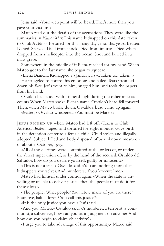Jesús said, «Your viewpoint will be heard. That's more than you gave your victims.»

Mateo read out the details of the accusations. They were like the summaries in *Nunca Mas*: This name kidnapped on this date, taken to Club Atlético. Tortured for this many days, months, years. Beaten. Raped. Starved. Died from shock. Died from injuries. Died when dropped from a helicopter into the ocean. Shot and buried in a mass grave.

Somewhere in the middle of it Elena reached for my hand. When Mateo got to the last name, she began to squeeze.

«Elena Bianchi. Kidnapped 19 January, 1975. Taken to...taken...»

He struggled to control his emotions and failed. Tears streamed down his face. Jesús went to him, hugged him, and took the papers from his hand.

Osvaldo had stood with his head high during the other nine accounts. When Mateo spoke Elena's name, Osvaldo's head fell forward. Then, when Mateo broke down, Osvaldo's head came up again.

«Mateo,» Osvaldo whispered. «You must be Mateo.»

Jesús picked up where Mateo had left off. «Taken to Club Atlético. Beaten, raped, and tortured for eight months. Gave birth in the detention center to a female child. Child stolen and illegally adopted. Subject killed and body disposed of by unknown means on or about 1 October, 1975.

«All of these crimes were committed at the orders of, or under the direct supervision of, or by the hand of the accused. Osvaldo del Salvador, how do you declare yourself, guilty or innocent?»

«This is not a trial,» Osvaldo said. «You are nothing more than kidnappers yourselves. And murderers, if you 'execute' me.»

Mateo had himself under control again. «When the state is unwilling or unable to deliver justice, then the people must do it for themselves.»

«The people? What people? You? How many of you are there? Four, five, half a dozen? You call this justice?»

«It is the only justice you have,» Jesús said.

«And you, Mateo,» Osvaldo said. «A murderer, a terrorist, a communist, a subversive, how can you sit in judgment on anyone? And how can you begin to claim objectivity?»

«I urge you to take advantage of this opportunity,» Mateo said.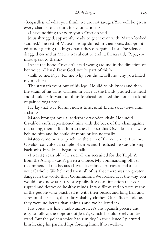«Regardless of what you think, we are not savages. You will be given every chance to account for your actions.»

«I have nothing to say to you,» Osvaldo said.

Jesús shrugged, apparently ready to get it over with. Mateo looked stunned. The rest of Mateo's group shifted in their seats, disappointed at not getting the high drama they'd bargained for. The silence dragged on and as Mateo was about to end it, Elena said, «Papá, you must speak to them.»

Inside the hood, Osvaldo's head swung around in the direction of her voice. «Elena? Dear God, you're part of this?»

«Talk to me, Papá. Tell me why you did it. Tell me why you killed my mother.»

The strength went out of his legs. He slid to his knees and then the strain of his arms, chained in place at the hands, pushed his head and shoulders forward until his forehead touched the floor in a kind of pained yoga pose.

He lay that way for an endless time, until Elena said, «Give him a chair.»

Mateo brought over a ladderback wooden chair. He undid Osvaldo's cuffs, repositioned him with the back of the chair against the railing, then cuffed him to the chair so that Osvaldo's arms were behind him and he could sit more or less normally.

Mateo came over to perch on the arm of the couch next to me. Osvaldo convulsed a couple of times and I realized he was choking back sobs. Finally he began to talk.

«I was 23 years old,» he said. «I was recruited for the Triple A from the Army. I wasn't given a choice. My commanding officer recommended me because I was disciplined, patriotic, and a devout Catholic. We believed then, all of us, that there was no greater danger in the world than Communism. We looked at it the way you would look now at AIDS or syphilis. It was an infection that corrupted and destroyed healthy minds. It was filthy, and so were many of the people who practiced it, with their beards and long hair and sores on their faces, their dirty, shabby clothes. Our officers told us they were no better than animals and we believed it.»

His voice was like a radio announcer's, his Spanish precise and easy to follow, the opposite of Jesús's, which I could barely understand. But the golden voice had run dry. In the silence I pictured him licking his parched lips, forcing himself to swallow.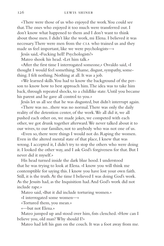«There were those of us who enjoyed the work. You could see that. The ones who enjoyed it too much were transferred out. I don't know what happened to them and I don't want to think about those men. I didn't like the work, mi Elena. I believed it was necessary. There were men from the CIA who trained us and they made us feel important, like we were psychologists—»

Jesús said, «Fucking hell! Psychologists?»

Mateo shook his head. «Let him talk.»

«After the first time I interrogated someone,» Osvaldo said, «I thought I would feel something. Shame, disgust, sympathy, something. I felt nothing. Nothing at all. It was a job.

«We learned skills. You had to know the background of the person to know how to best approach him. The idea was to take him back, through repeated shocks, to a childlike state. Until you became his parent and he gave all control to you.»

Jesús let us all see that he was disgusted, but didn't interrupt again.

«There was no...there was no normal. There was only the daily reality of the detention center, of the work. We all did it, we all pushed each other on, we made jokes, we competed with each other, we got drunk together afterward. We never talked about it to our wives, to our families, not to anybody who was not one of us.

«Even so, there were things I would not do. Raping the women. Even in the altered mental state of that place, I knew that was wrong. I accepted it, I didn't try to stop the others who were doing it. I looked the other way, and I ask God's forgiveness for that. But I never did it myself.»

His head turned inside the dark blue hood. I understood that he was trying to look at Elena. «I know you will think me contemptible for saying this. I know you have lost your own faith. Still, it is the truth. At the time I believed I was doing God's work. As the Jesuits had, as the Inquisition had. And God's work did not include rape.»

Mateo said, «But it did include torturing women.»

«I interrogated some women—»

«Tortured them, you mean.»

«—but not Elena.»

Mateo jumped up and stood over him, fists clenched. «How can I believe you, old man? Why should I?»

Mateo had left his gun on the couch. It was a foot away from me.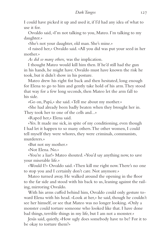I could have picked it up and used it, if I'd had any idea of what to use it for.

Osvaldo said, «I'm not talking to you, Mateo. I'm talking to my daughter.»

«She's not your daughter, old man. She's mine.»

«I raised her,» Osvaldo said. «All you did was put your seed in her mother.»

*As did so many others,* was the implication.

I thought Mateo would kill him then. If he'd still had the gun in his hands, he might have. Osvaldo must have known the risk he took, but it didn't show in his posture.

Mateo drew his right fist back and then hesitated, long enough for Elena to go to him and gently take hold of his arm. They stood that way for a few long seconds, then Mateo let the arm fall to his side.

«Go on, Papá,» she said. «Tell me about my mother.»

«She had already been badly beaten when they brought her in. They took her to one of the cells and...»

«Raped her,» Elena said.

«Yes. It made me sick, in spite of my conditioning, even though I had let it happen to so many others. The other women, I could tell myself they were whores, they were criminals, communists, murderers.»

«But not my mother.»

«Not Elena. No.»

«You're a liar!» Mateo shouted. «You'd say anything now, to save your miserable life.»

«Would I?» Osvaldo said. «Then kill me right now. There's no one to stop you and I certainly don't care. Not anymore.»

Mateo turned away. He walked around the opening in the floor to the far side and stood with his back to us, leaning against the railing, mirroring Osvaldo.

With his arms cuffed behind him, Osvaldo could only gesture toward Elena with his head. «Look at her,» he said, though he couldn't see her himself, or see that Mateo was no longer looking. «Only a monster could torture someone who looked like that. I have done bad things, terrible things in my life, but I am not a monster.»

Jesús said, quietly, «How ugly does somebody have to be? For it to be okay to torture them?»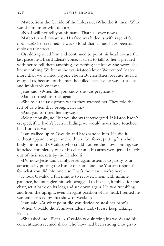Mateo, from the far side of the hole, said, «Who did it, then? Who was the monster who did it?»

«No. I will not tell you his name. That's all over now.»

Mateo turned toward us. His face was hideous with rage. «It's... not...*over*!» he screamed. It was so loud that it must have been audible on the street.

Osvaldo ignored him and continued to point his head toward the last place he'd heard Elena's voice. «I tried to talk to her. I pleaded with her to tell them anything, everything she knew. She swore she knew nothing. We knew she was Mateo's lover. We wanted Mateo more than we wanted anyone else in Buenos Aires, because he had escaped us, because of the men he killed, because he was a ruthless and implacable enemy.»

Jesús said, «When did you know she was pregnant?»

Mateo turned his back again.

«She told the task group when they arrested her. They told the rest of us when they brought her in.»

«And you tortured her anyway.»

«Me personally, no. But yes, she was interrogated. If Mateo hadn't escaped, if he hadn't been in hiding, we would never have touched her. But as it was—»

Jesús walked up to Osvaldo and backhanded him. He did it without apparent anger and with terrible force, putting his whole body into it, and Osvaldo, who could not see the blow coming, was knocked completely out of his chair and his arms were jerked nearly out of their sockets by the handcuffs.

«Do not,» Jesús said calmly, «ever again, attempt to justify your atrocities by putting the blame on someone else. You are responsible for what you did. No one else. That's the reason we're here.»

It took Osvaldo a full minute to recover. Then, with infinite patience, he untangled himself, struggled to his feet, fumbled for the chair, set it back on its legs, and sat down again. He was trembling, and from the upright, even arrogant position of his head, I sensed he was embarrassed by that show of weakness.

Jesús said, «At what point did you decide to steal her baby?»

When Osvaldo didn't answer, Elena said, «Please keep talking, Papá.»

«She asked me...Elena...» Osvaldo was slurring his words and his concentration seemed shaky. The blow had been strong enough to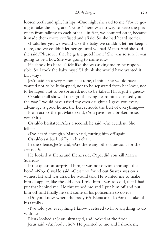## *Dark Tangos* 129

loosen teeth and split his lips. «One night she said to me, 'You're going to take the baby, aren't you?' There was no way to keep the prisoners from talking to each other—in fact, we counted on it, because it made them more confused and afraid. So she had heard stories.

«I told her yes, we would take the baby, we couldn't let her keep it there, and we couldn't let her go until we had Mateo. And she said... she said, 'Please see that he gets a good home.' She was so sure it was going to be a boy. She was going to name it...»

He shook his head. «I felt like she was asking me to be responsible. So I took the baby myself. I think she would have wanted it that way.»

Jesús said, in a very reasonable tone, «I think she would have wanted not to be kidnapped, not to be separated from her lover, not to be raped, not to be tortured, not to be killed. That's just a guess.»

Osvaldo still showed no sign of having heard him. «I raised you the way I would have raised my own daughter. I gave you every advantage, a good home, the best schools, the best of everything—»

From across the pit Mateo said, «You gave her a broken nose, you shit.»

Osvaldo hesitated. After a second, he said, «An accident. She fell—»

«I've heard enough,» Mateo said, cutting him off again.

Osvaldo sat back stiffly in his chair.

In the silence, Jesús said, «Are there any other questions for the accused?»

He looked at Elena and Elena said, «Papá, did you kill Marco Suarez?»

If the question surprised him, it was not obvious through the hood. «No,» Osvaldo said. «Cesarino found out Suarez was on a witness list and was afraid he would talk. He wanted me to make him disappear, like the old days. I told him I was too old, that I had put that behind me. He threatened me and I put him off and put him off, and finally he sent some of his policemen to do it.»

«Do you know where the body is?» Elena asked. «For the sake of his family.»

«I've told you everything I know. I refused to have anything to do with it.»

Elena looked at Jesús, shrugged, and looked at the floor. Jesús said, «Anybody else?» He pointed to me and I shook my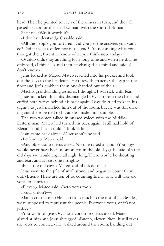head. Then he pointed to each of the others in turn, and they all passed except for the small woman with the short dark hair.

She said, «Was it worth it?»

«I don't understand,» Osvaldo said.

«All the people you tortured. Did you get the answers you wanted? Did it make a difference in the end? I'm not asking what you thought then, I want to know what you think now, today.»

Osvaldo didn't say anything for a long time and when he did, he only said, «I think—» and then he changed his mind and said, «I don't know.»

Jesús looked at Mateo. Mateo reached into his pocket and took out the keys to the handcuffs. He threw them across the gap in the floor and Jesús grabbed them one-handed out of the air.

Macho, grandstanding assholes, I thought. I was sick with fear.

Jesús unlocked the cuffs, disentangled Osvaldo from the chair, and cuffed both wrists behind his back again. Osvaldo tried to keep his dignity as Jesús marched him out of the room, but he was still shaking and the rope tied to his ankles made him stumble.

The two women talked in hushed voices with the Middle-Eastern man. Mateo had turned his back again. I still had hold of Elena's hand, but I couldn't look at her.

Jesús came back alone. «Discussion?» he said.

«Let's vote,» Mateo said.

«Any objections?» Jesús asked. No one raised a hand. «You guys would never have been montoneros in the old days,» he said. «In the old days we would argue all night long. There would be shouting and tears and at least one fistfight.»

«Fuck the old days,» Mateo said. «Let's do this.»

Jesús went to the pile of small stones and began to count them out. «Bueno. There are ten of us, counting Elena, so it will take six votes to convict.»

«Eleven,» Mateo said. «Beto votes too.»

I said, «I don't—»

Mateo cut me off. «He's at risk as much as the rest of us. Besides, we're supposed to represent the people. Everyone votes, or it's not justice.»

«You want to give Osvaldo a vote too?» Jesús asked. Mateo glared at him and Jesús shrugged. «Bueno, eleven, then. It still takes six votes to convict.» He walked around the room, handing out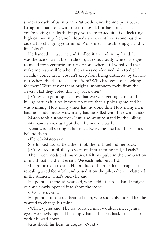stones to each of us in turn. «Put both hands behind your back. Bring one hand out with the fist closed. If it has a rock in it, you're voting for death. Empty, you vote to acquit. Like declaring high or low in poker, no? Nobody shows until everyone has decided. No changing your mind. Rock means death, empty hand is life. Clear?»

He handed me a stone and I rolled it around in my hand. It was the size of a marble, made of quartzite, cloudy white, its edges rounded from centuries in a river somewhere. If I voted, did that make me responsible when the others condemned him to die? I couldn't concentrate, couldn't keep from being distracted by trivialities. Where did the rocks come from? Who had gone out looking for them? Were any of them original montonero rocks from the 1970s? Had they voted this way back then?

Jesús was in good spirits now that we were getting close to the killing part, as if it really were no more than a poker game and he was winning. How many times had he done this? How many men had he condemned? How many had he killed with his own hands?

Mateo took a stone from Jesús and went to stand by the railing. My hands shook as I put them behind my back.

Elena was still staring at her rock. Everyone else had their hands behind them.

«Elena?» Mateo said.

She looked up, startled, then took the rock behind her back.

Jesús waited until all eyes were on him, then he said, «Ready?»

There were nods and murmurs. I felt my pulse in the constriction of my throat, hard and erratic. We each held out a fist.

«I'll go first,» Jesús said. He produced the rock like a magician revealing a red foam ball and tossed it on the pile, where it clattered in the stillness. «That's one,» he said.

He pointed at the 16-year-old, who held his closed hand straight out and slowly opened it to show the stone.

«Two,» Jesús said.

He pointed to the red bearded man, who suddenly looked like he wanted to change his mind.

«What?» Jesús said. The red bearded man wouldn't meet Jesús's eyes. He slowly opened his empty hand, then sat back in his chair with his head down.

Jesús shook his head in disgust. «Next?»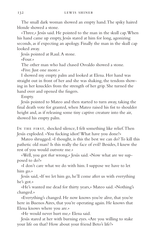The small dark woman showed an empty hand. The spiky haired blonde showed a stone.

«Three,» Jesús said. He pointed to the man in the skull cap. When his hand came up empty, Jesús stared at him for long, agonizing seconds, as if expecting an apology. Finally the man in the skull cap looked away.

Jesús pointed at Raul. A stone.

 $\kappa$ Four»

The other man who had chased Osvaldo showed a stone.

«Five. Just one more.»

I showed my empty palm and looked at Elena. Her hand was straight out in front of her and she was shaking, the tendons showing in her knuckles from the strength of her grip. She turned the hand over and opened the fingers.

Empty.

Jesús pointed to Mateo and then started to turn away, taking the final death vote for granted, when Mateo raised his fist to shoulder height and, as if releasing some tiny captive creature into the air, showed his empty palm.

In the first, shocked silence, I felt something like relief. Then Jesús exploded. «You fucking idiot! What have you done?»

Mateo shrugged. «I thought, is this the best we can do? To kill this pathetic old man? Is this really the face of evil? Besides, I knew the rest of you would outvote me.»

«Well, you got *that* wrong,» Jesús said. «Now what are we supposed to do?»

«I don't care what we do with him. I suppose we have to let him go.»

Jesús said, «If we let him go, he'll come after us with everything he's got.»

«He's wanted me dead for thirty years,» Mateo said. «Nothing's changed.»

«Everything's changed. He now knows you're alive, that you're here in Buenos Aires, that you're operating again. He knows that Elena knows where you are.»

«He would never hurt me,» Elena said.

Jesús stared at her with burning eyes. «Are you willing to stake your life on that? How about your friend Beto's life?»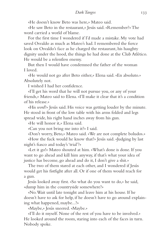«He doesn't know Beto was here,» Mateo said.

«He saw Beto in the restaurant,» Jesús said. «Remember?» The word carried a world of blame.

For the first time I wondered if I'd made a mistake. My vote had saved Osvaldo as much as Mateo's had. I remembered the fierce look on Osvaldo's face as he charged the restaurant, his haughty dignity under the hood, the things he had done at the Club Atlético. He would be a relentless enemy.

But then I would have condemned the father of the woman I loved.

«He would not go after Beto either,» Elena said. «En absoluto.» Absolutely not.

I wished I had her confidence.

«I'll get his word that he will not pursue you, or any of your friends,» Mateo said to Elena. «I'll make it clear that it's a condition of his release.»

«His *word*?» Jesús said. His voice was getting louder by the minute. He stood in front of the low table with his arms folded and legs spread wide, his right hand inches away from his gun.

«He will honor it,» Elena said.

«Can you not bring me into it?» I said.

«Don't worry, Beto,» Mateo said. «We are not complete boludos.»

«How the fuck would he know that?» Jesús said. «Judging by last night's fiasco and today's 'trial'?»

«Let it go!» Mateo shouted at him. «What's done is done. If you want to go ahead and kill him anyway, if that's what your idea of justice has become, go ahead and do it, I don't give a shit.»

The two of them stared at each other, and I wondered if Jesús would get his fistfight after all. Or if one of them would reach for a gun.

Jesús looked away first. «So what do you want to do,» he said, «dump him in the countryside somewhere?»

«No. Wait until late tonight and leave him at his house. If he doesn't have to ask for help, if he doesn't have to go around explaining what happened, maybe...?»

«Maybe,» Jesús sneered. «Maybe.»

«I'll do it myself. None of the rest of you have to be involved.» He looked around the room, staring into each of the faces in turn. Nobody spoke.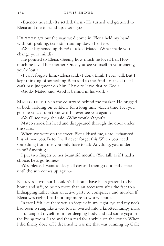«Bueno,» he said. «It's settled, then.» He turned and gestured to Elena and me to stand up. «Let's go.»

HE TOOK US out the way we'd come in. Elena held my hand without speaking, tears still running down her face.

«What happened up there?» I asked Mateo. «What made you change your mind?»

He pointed to Elena. «Seeing how much he loved her. How much he loved her mother. Once you see yourself in your enemy, you're lost.»

«I can't forgive him,» Elena said. «I don't think I ever will. But I kept thinking of something Beto said to me. And I realized that I can't pass judgment on him. I have to leave that to God.»

«God,» Mateo said. «God is behind in his work.»

MATEO LEFT US in the courtyard behind the market. He hugged us both, holding on to Elena for a long time. «Each time I let you go,» he said, «I don't know if I'll ever see you again.»

«You'll see me,» she said. «Why wouldn't you?»

Mateo shook his head and disappeared through the door under the stairs.

When we were on the street, Elena kissed me, a sad, exhausted kiss. «I owe you, Beto. I will never forget this. When you need something from me, you only have to ask. Anything, you understand? Anything.»

I put two fingers to her beautiful mouth. «You talk as if I had a choice. Let's go home.»

«Yes, please. I want to sleep all day and then go out and dance until the sun comes up again.»

ELENA SLEPT, but I couldn't. I should have been grateful to be home and safe, to be no more than an accessory after the fact to a kidnapping rather than an active party to conspiracy and murder. If Elena was right, I had nothing more to worry about.

In fact I felt like there was an icepick in my right eye and my neck had been wrung like a wet towel, twisted into a knotted, lumpy mass.

I untangled myself from her sleeping body and did some yoga in the living room. I ate and then read for a while on the couch. When I did finally doze off I dreamed it was me that was running up Calle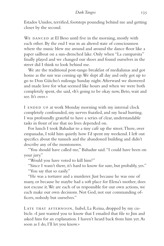Estados Unidos, terrified, footsteps pounding behind me and getting closer by the second.

WE DANCED at El Beso until five in the morning, mostly with each other. By the end I was in an altered state of consciousness where the music blew me around and around the dance floor like a paper sailboat on a sun-drenched lake. Only when "La cumparsita" finally played and we changed our shoes and found ourselves in the street did I think to look behind me.

We ate the traditional post-tango breakfast of medialunas and got home as the sun was coming up. We slept all day and only got up to go to Don Güicho's milonga Sunday night. Afterward we showered and made love for what seemed like hours and when we were both completely spent, she said, «It's going to be okay now, Beto, wait and see. It's over.»

I ENDED UP at work Monday morning with my internal clock completely confounded, my nerves frazzled, and my head hurting. I was profoundly grateful to have a series of clear, understandable tasks in front of me that no lives depended on.

For lunch I took Bahadur to a tiny café up the street. There, over empanadas, I told him quietly how I'd spent my weekend. I left out specifics about the tunnels and the abandoned building and didn't describe any of the montoneros.

"You should have called me," Bahadur said. "I could have been on your jury."

"Would you have voted to kill him?"

"Since I wasn't there, it's hard to know for sure, but probably, yes." "You say that so easily."

"He was a torturer and a murderer. Just because he was one of many, or because he maybe had a soft place for Elena's mother, does not excuse it. We are each of us responsible for our own actions, we each make our own decisions. Not God, not our commanding officers, nobody but ourselves."

LATE THAT AFTERNOON, Isabel, La Reina, dropped by my cubicle. «I just wanted you to know that I emailed that file to Jim and asked him for an explanation. I haven't heard back from him yet. As soon as I do, I'll let you know.»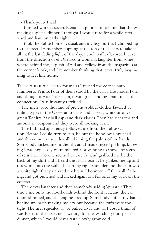«Thank you,» I said.

I finished work at seven. Elena had phoned to tell me that she was making a special dinner. I thought I would read for a while afterward and have an early night.

I took the Subte home as usual, and my legs hurt as I climbed up to the street. I remember stopping at the top of the stairs to take it all in: the last, fading light of the day, a cool, traffic-flavored breeze from the direction of el Obelisco, a woman's laughter from somewhere behind me, a splash of red and yellow from the magazines at the corner kiosk, and I remember thinking that it was truly beginning to feel like home.

THEY WERE WAITING for me as I turned the corner onto Humberto Primo. Four of them stood by the car, a late model Ford, and though it wasn't a Falcon, it was green and my brain made the connection. I was instantly terrified.

The men wore the kind of pretend-soldier clothes favored by militia types in the US—camo pants and jackets, white or olivegreen T-shirts, baseball caps and dark glasses. They had sidearms and automatic weapons and they were all looking at me.

The fifth had apparently followed me from the Subte station. Before I could turn to run, he put the hood over my head and threw me to the sidewalk, skinning the palms of my hands. Somebody kicked me in the ribs and I made myself go limp, knowing I was hopelessly outnumbered, not wanting to show any signs of resistance. No one seemed to care. A hand grabbed me by the back of my shirt and I heard the fabric tear as he yanked me up and threw me into the wall. I hit on my right shoulder and the pain was a white light that paralyzed my brain. I bounced off the wall, flailing, and got punched and kicked again as I fell onto my back on the concrete.

There was laughter and then somebody said, «¡Apurate!» They threw me onto the floorboards behind the front seat, and the car doors slammed, and the engine fired up. Somebody cuffed my hands behind my back, making me cry out because the cuffs were too tight. The tires squealed as we pulled away and all I could think of was Elena in the apartment waiting for me, watching our special dinner, which I would never taste, slowly grow cold.

•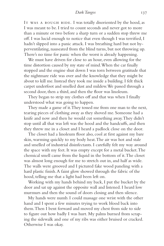#### *Dark Tangos* 137

IT WAS A ROUGH RIDE. I was totally disoriented by the hood, as I was meant to be. I tried to count seconds and never got to more than a minute or two before a sharp turn or a sudden stop threw me off. I was lucid enough to notice that even though I was terrified, I hadn't slipped into a panic attack. I was breathing hard but not hyperventilating, nauseated from the blind turns, but not throwing up. There's no time for panic when the worst is already happening.

We must have driven for close to an hour, even allowing for the time distortion caused by my state of mind. When the car finally stopped and the engine shut down I was torn between gratitude that the nightmare ride was over and the knowledge that they might be about to kill me. Instead they took me inside a building. I felt thick carpet underfoot and smelled dust and mildew. We passed through a second door, then a third, and then the floor was linoleum.

They began to strip my clothes off and that was when I finally understood what was going to happen.

They made a game of it. They tossed me from one man to the next, tearing pieces of clothing away as they shoved me. Someone had a knife and now and then he would cut something away. They didn't stop until all that was left was the hood and the handcuffs, and then they threw me in a closet and I heard a padlock close on the door.

The closet had a linoleum floor also, cool at first against my bare skin, warming quickly to my body heat. The air was hot and stale and smelled of industrial disinfectants. I carefully felt my way around the space with my feet. It was empty except for a metal bucket. The chemical smell came from the liquid in the bottom of it. The closet was almost long enough for me to stretch out in, and half as wide. The walls were grooved and I pictured fake wood paneling with a hard plastic finish. A faint glow showed through the fabric of the hood, telling me that a light had been left on.

Working with my hands behind my back, I put the bucket by the door and sat up against the opposite wall and listened. I heard low murmurs and then the sound of doors closing and then silence.

My hands were numb. I could massage one wrist with the other hand and I spent a few minutes trying to work blood back into them. Then I bent forward and moved my chest from side to side to figure out how badly I was hurt. My palms burned from scraping the sidewalk and one of my ribs was either bruised or cracked. Otherwise I was okay.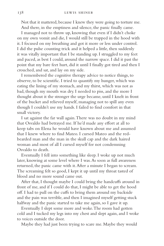Not that it mattered, because I knew they were going to torture me. And there, in the emptiness and silence, the panic finally came.

I managed not to throw up, knowing that even if I didn't choke on my own vomit and die, I would still be trapped in the hood with it. I focused on my breathing and got it more or less under control. I did the pulse counting trick and it helped a little, then suddenly it was vitally important that I be standing up. I struggled to my feet and paced, as best I could, around the narrow space. I did it past the point that my bare feet hurt, did it until I finally got tired and then I crouched, and sat, and lay on my side.

I remembered the cognitive therapy advice to notice things, to observe, to be scientific. I tried to quantify my hunger, which was eating the lining of my stomach, and my thirst, which was not as bad, though my mouth was dry. I needed to piss, and the more I thought about it the stronger the urge became, until I knelt in front of the bucket and relieved myself, managing not to spill any even though I couldn't use my hands. I failed to find comfort in that small victory.

I sat against the far wall again. There was no doubt in my mind that Osvaldo had betrayed me. If he'd made any effort at all to keep tabs on Elena he would have known about me and assumed that I knew where to find Mateo. I cursed Mateo and the redbearded man and the man in the skull cap and the dark haired woman and most of all I cursed myself for not condemning Osvaldo to death.

Eventually I fell into something like sleep. I woke up not much later, knowing at some level where I was. As soon as full awareness returned, the panic came with it. After a minute I began to scream. The screaming felt so good, I kept it up until my throat tasted of blood and no more sound came out.

After that, I thought maybe I could bring the handcuffs around in front of me, and if I could do that, I might be able to get the hood off. I had to pull on the cuffs to bring them around my backside and the pain was terrible, and then I imagined myself getting stuck halfway and the panic started to take me again, so I gave it up.

Eventually I slept some more and woke. The room had gotten cold and I tucked my legs into my chest and slept again, and I woke to voices outside the door.

Maybe they had just been trying to scare me. Maybe they would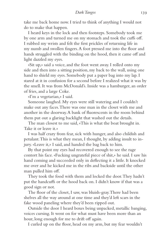take me back home now. I tried to think of anything I would not do to make that happen.

I heard keys in the lock and then footsteps. Somebody took me by one arm and turned me on my stomach and took the cuffs off. I rubbed my wrists and felt the first prickles of returning life in my numb and swollen fingers. A foot pressed me into the floor and hands struggled with the binding on the hood, then it came off and light dazzled my eyes.

«Sit up,» said a voice, and the foot went away. I rolled onto my side and then into a sitting position, my back to the wall, using one hand to shield my eyes. Somebody put a paper bag into my lap. I stared at it in confusion for a second before I realized what it was by the smell. It was from McDonald's. Inside was a hamburger, an order of fries, and a large Coke.

«I'm a vegetarian,» I said.

Someone laughed. My eyes were still watering and I couldn't make out any faces. There was one man in the closet with me and another in the doorway. A bank of fluorescents in the room behind them put out a glaring backlight that washed out the details.

The man closest to me said, «This is what the boat brought in. Take it or leave it.»

I was half crazy from fear, sick with hunger, and also childish and petulant. This is what they mean, I thought, by adding insult to injury. «Leave it,» I said, and handed the bag back to him.

By that point my eyes had recovered enough to see the rage contort his face. «Fucking ungrateful piece of shit,» he said. I saw his hand coming and succeeded only in deflecting it a little. It knocked me over and he kicked me in the ribs and backside until the other man pulled him off.

They took the food with them and locked the door. They hadn't put the handcuffs or the hood back on. I didn't know if that was a good sign or not.

The floor of the closet, I saw, was bluish-gray. There had been shelves all the way around at one time and they'd left scars in the fake wood paneling where they'd been ripped out.

Outside the door I heard boxes being unpacked, metallic banging, voices cursing. It went on for what must have been more than an hour, long enough for me to drift off again.

I curled up on the floor, head on my arm, but my fear wouldn't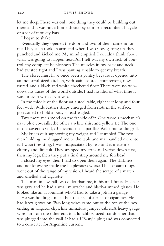let me sleep. There was only one thing they could be building out there and it was not a home theater system or a recumbent bicycle or a set of monkey bars.

I began to shake.

Eventually they opened the door and two of them came in for me. They each took an arm and when I was slow getting up, they punched and kicked me. My mind emptied. I couldn't think about what was going to happen next. All I felt was my own lack of control, my complete helplessness. The muscles in my back and neck had twisted tight and I was panting, unable to get my breath.

The closet must have once been a pantry because it opened into an industrial sized kitchen, with stainless steel countertops, now rusted, and a black and white checkered floor. There were no windows, no traces of the world outside. I had no idea of what time it was, or even what day it was.

In the middle of the floor sat a steel table, eight feet long and four feet wide. Wide leather straps emerged from slots in the surface, positioned to hold a body spread-eagled.

Two more men stood on the far side of it. One wore a mechanic's navy blue coveralls, the other a white shirt and yellow tie. The one in the coveralls said, «Bienvenidos a la parilla.» Welcome to the grill.

My knees quit supporting my weight and I stumbled. The two men holding me dragged me to the table and manhandled me onto it. I wasn't resisting, I was incapacitated by fear and it made me clumsy and difficult. They strapped my arms and wrists down first, then my legs, then they put a final strap around my forehead.

I closed my eyes, then I had to open them again. The darkness and not knowing made the helplessness worse. The assistant thugs went out of the range of my vision. I heard the scrape of a match and smelled a lit cigarette.

The man in coveralls was older than me, in his mid-fifties. His hair was gray and he had a small mustache and black-rimmed glasses. He looked like an accountant who'd had to take a job in a garage.

He was holding a metal box the size of a pack of cigarettes. He had latex gloves on. Two long wires came out of the top of the box, ending in alligator clips, like miniature jumper cables. A heavy gauge wire ran from the other end to a lunchbox-sized transformer that was plugged into the wall. It had a US-style plug and was connected to a converter for Argentine current.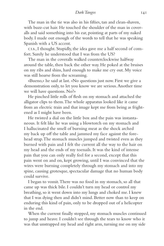# *Dark Tangos* 141

The man in the tie was also in his fifties, tan and clean-shaven, with buzz-cut hair. He touched the shoulder of the man in coveralls and said something into his ear, pointing at parts of my naked body. I made out enough of the words to tell that he was speaking Spanish with a US accent.

cia, I thought. Stupidly, the idea gave me a half second of comfort. Surely he understood that I was from the US?

The man in the coveralls walked counterclockwise halfway around the table, then back the other way. He poked at the bruises on my ribs and shins, hard enough to make me cry out. My voice was still hoarse from the screaming.

«Bueno,» he said at last. «No questions just now. First we give a demonstration only, to let you know we are serious. Another time we will have questions. No?»

He pinched little rolls of flesh on my stomach and attached the alligator clips to them. The whole apparatus looked like it came from an electric train and that image kept me from being as frightened as I might have been.

He twisted a dial on the little box and the pain was instantaneous. It felt like he was using a blowtorch on my stomach and I hallucinated the smell of burning meat as the shock arched my back up off the table and jammed my face against the forehead strap. The stomach muscles jumped and twisted even as they burned with pain and I felt the current all the way to the hair on my head and the ends of my toenails. It was the kind of intense pain that you can only really feel for a second, except that this pain went on and on, kept growing, until I was convinced that the wires were burning completely through my stomach and into my spine, causing grotesque, spectacular damage that no human body could survive.

I began to vomit. There was no food in my stomach, so all that came up was thick bile. I couldn't turn my head or control my breathing, so it went down into my lungs and choked me. I knew that I was dying then and didn't mind. Better now than to keep on enduring this kind of pain, only to be dropped out of a helicopter in the end.

When the current finally stopped, my stomach muscles continued to jump and heave. I couldn't see through the tears to know who it was that unstrapped my head and right arm, turning me on my side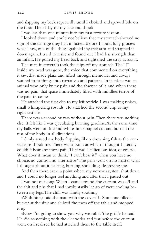and slapping my back repeatedly until I choked and spewed bile on the floor. Then I lay on my side and shook.

I was less than one minute into my first torture session.

I looked down and could not believe that my stomach showed no sign of the damage they had inflicted. Before I could fully process what I saw, one of the thugs grabbed my free arm and strapped it down again. I tried to resist and found out I had less strength than an infant. He pulled my head back and tightened the strap across it.

The man in coveralls took the clips off my stomach. The "I" inside my head was gone, the voice that commented on everything it saw, that made plans and sifted through memories and always wanted to fit things into narratives and patterns. In its place was an animal who only knew pain and the absence of it, and when there was no pain, that space immediately filled with mindless terror of the pain to come.

He attached the first clip to my left testicle. I was making noises, small whimpering sounds. He attached the second clip to my right testicle.

There was a second or two without pain. Then there was nothing else. It felt like I was ejaculating burning gasoline. At the same time my balls were on fire and white-hot shrapnel cut and burned the rest of my body in all directions.

I dimly sensed my body flopping like a drowning fish as the convulsions shook me. There was a point at which I thought I literally couldn't bear any more pain. That was a ridiculous idea, of course. What does it mean to think, "I can't bear it," when you have no choice, no control, no alternative? The pain went on no matter what I thought about it, tearing, burning, shredding, destroying me.

And then there came a point where my nervous system shut down and I could no longer feel anything and after that I passed out.

I was not out long. When I came around, the current was off and the shit and piss that I had involuntarily let go of were cooling between my legs. The chill was faintly soothing.

«Wash him,» said the man with the coveralls. Someone filled a bucket at the sink and sluiced the mess off the table and mopped it up.

«Now I'm going to show you why we call it 'the grill,'» he said. He did something with the electrodes and just before the current went on I realized he had attached them to the table itself.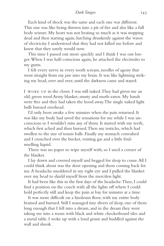# *Dark Tangos* 143

Each kind of shock was the same and each one was different. This one was like being thrown into a pit of fire and also like a full body seizure. My heart was not beating so much as it was stopping dead and then starting again, lurching drunkenly against the waves of electricity. I understood that they had not killed me before and knew that they surely would now.

This time I passed out more quickly and I think I was out longer. When I was half-conscious again, he attached the electrodes to my gums.

I felt every nerve in every tooth scream, needles of agony that went straight from my jaw into my brain. It was like lightning striking my head, over and over, until the darkness came and stayed.

I woke up in the closet. I was still naked. They had given me an old, green wool Army blanket, musty and moth-eaten. My hands were free and they had taken the hood away. The single naked light bulb burned overhead.

I'd only been awake a few minutes when the pain returned. It was like my body had saved the sensations for me while I was unconscious so I wouldn't miss any of them. It started with my teeth, which first ached and then burned. Then my testicles, which had swollen to the size of tennis balls. Finally my stomach convulsed and I crouched over the bucket, venting gas and a little foulsmelling liquid.

There was no paper to wipe myself with, so I used a corner of the blanket.

I lay down and covered myself and begged for sleep to come. All I could think about was the door opening and them coming back for me. A headache smoldered in my right eye and I pulled the blanket over my head to shield myself from the merciless light.

It had been like this in the first days of the headache. Then, I could find a position on the couch with all the lights off where I could hold perfectly still and keep the pain at bay for minutes at a time.

It was more difficult on a linoleum floor, with my entire body bruised and burned. Still I managed tiny slivers of sleep, one of them long enough that I fell into a dream, and in the dream they were taking me into a room with black and white checkerboard tiles and a metal table. I woke up with a loud grunt and huddled against the wall and shook.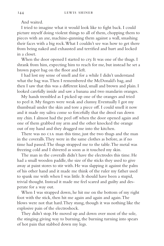And waited.

I tried to imagine what it would look like to fight back. I could picture myself doing violent things to all of them, chopping them to pieces with an axe, machine-gunning them against a wall, smashing their faces with a big rock. What I couldn't see was how to get there from being naked and exhausted and terrified and hurt and locked in a closet.

When the door opened I started to cry. It was one of the thugs. I shrank from him, expecting him to reach for me, but instead he set a brown paper bag on the floor and left.

I had lost my sense of smell and for a while I didn't understand what the bag was. Then I remembered the McDonald's bag, and then I saw that this was a different kind, small and brown and plain. I looked carefully inside and saw a banana and two mandarin oranges.

My hands trembled as I picked up one of the oranges and tried to peel it. My fingers were weak and clumsy. Eventually I got my thumbnail under the skin and tore a piece off. I could smell it now and it made my saliva come so forcefully that the drool ran down my chin. I almost had the peel off when the door opened again and one of them grabbed my arm and the other knocked the orange out of my hand and they dragged me into the kitchen.

There was no CIA man this time, just the two thugs and the man in the coveralls. They were in the same clothes as before, as if no time had passed. The thugs strapped me to the table. The metal was freezing cold and I shivered as soon as it touched my skin.

The man in the coveralls didn't have the electrodes this time. He had a small wooden paddle, the size of the sticks they used to give away at paint stores to stir with. He was slapping it against the palm of his other hand and it made me think of the ruler my father used to spank me with when I was little. It should have been a stupid, trivial thought. Instead it made me feel scared and guilty and desperate for a way out.

When I was strapped down, he hit me on the bottom of my right foot with the stick, then hit me again and again and again. The blows were not that hard. They stung, though it was nothing like the explosive pain of the electroshock.

They didn't stop. He moved up and down over most of the sole, the stinging giving way to burning, the burning turning into spears of hot pain that stabbed down my legs.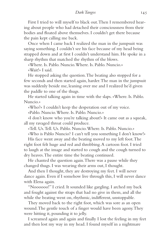First I tried to will myself to black out. Then I remembered hearing about people who had detached their consciousness from their bodies and floated above themselves. I couldn't get there because the pain kept calling me back.

Once when I came back I realized the man in the jumpsuit was saying something. I couldn't see his face because of my head being strapped down and at first I couldn't understand him. He spoke in a sharp rhythm that matched the rhythm of the blows.

«Where. Is. Pablo. Nuncio. Where. Is. Pablo. Nuncio.» «Wait!» I said.

He stopped asking the question. The beating also stopped for a few seconds and then started again, harder. The man in the jumpsuit was suddenly beside me, leaning over me and I realized he'd given the paddle to one of the thugs.

He started talking again in time with the slaps. «Where. Is. Pablo. Nuncio.»

«Who?» I couldn't keep the desperation out of my voice.

«Pablo. Nuncio. Where. Is. Pablo. Nuncio.»

«I don't know who you're talking about!» It came out as a squeak, all my ravaged throat could produce.

«Tell. Us. Tell. Us. Pablo. Nuncio. Where. Is. Pablo. Nuncio.» «Who is Pablo Nuncio? I can't tell you something I don't know!»

His face went away and the beating moved to my left foot. The right foot felt huge and red and throbbing. A cartoon foot. I tried to laugh at the image and started to cough and the cough turned to dry heaves. The entire time the beating continued.

He chanted the question again. There was a pause while they changed thugs. I was wearing their arms out, I thought.

And then I thought, they are destroying my feet. I will never dance again. Even if I somehow live through this, I will never dance with Elena again.

"Noooooo!" I cried. It sounded like gargling. I arched my back and fought against the straps that had no give in them, and all the while the beating went on, rhythmic, indifferent, unstoppable.

They moved back to the right foot, which was sore as an open wound. The gentle touch of a finger would have been agony. They were hitting it, pounding it to jelly.

I screamed again and again and finally I lost the feeling in my feet and then lost my way in my head. I found myself in a nightmare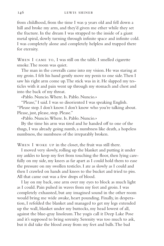from childhood, from the time I was 9 years old and fell down a hill and broke my arm, and they'd given me ether while they set the fracture. In the dream I was strapped to the inside of a giant metal spiral, slowly turning through infinite space and infinite cold. I was completely alone and completely helpless and trapped there for eternity.

WHEN I CAME TO, I was still on the table. I smelled cigarette smoke. The room was quiet.

The man in the coveralls came into my vision. He was staring at my groin. I felt his hand gently move my penis to one side. Then I saw his right arm come up. The stick was in it. He slapped my testicles with it and pain went up through my stomach and chest and into the back of my throat.

«Pablo. Nuncio. Where. Is. Pablo. Nuncio.»

"Please," I said. I was so disoriented I was speaking English. "Please stop. I don't know. I don't know who you're talking about. Please, just, please, stop. Please."

«Pablo. Nuncio. Where. Is. Pablo. Nuncio.»

By the time his arm was tired and he handed off to one of the thugs, I was already going numb, a numbness like death, a hopeless numbness, the numbness of the irreparably broken.

WHEN I WOKE UP in the closet, the fruit was still there.

I moved very slowly, rolling up the blanket and putting it under my ankles to keep my feet from touching the floor, then lying carefully on my side, my knees as far apart as I could hold them to ease the pressure on my swollen testicles. I ate as slowly as I could and then I crawled on hands and knees to the bucket and tried to piss. All that came out was a few drops of blood.

I lay on my back, one arm over my eyes to block as much light as I could. Pain pulsed in waves from my feet and groin. I was completely exhausted, but any imagined sound in the other room would bring me wide awake, heart pounding. Finally, in desperation, I refolded the blanket and managed to get my legs extended up the wall, blanket under my buttocks, my head lowest of all, against the blue-gray linoleum. The yogis call it Deep Lake Pose and it's supposed to bring serenity. Serenity was too much to ask, but it did take the blood away from my feet and balls. The bad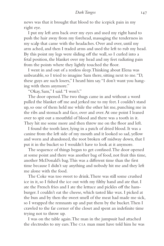news was that it brought that blood to the icepick pain in my right eye.

I put my left arm back over my eyes and used my right hand to push the hair away from my forehead, massaging the tenderness in my scalp that came with the headaches. Over and over, until my arm ached, and then I traded arms and used the left to rub my head. By this point my legs were sliding off the wall, so I curled into a fetal position, the blanket over my head and my feet radiating pain from the points where they lightly touched the floor.

I went in and out of a restless sleep. Thinking about Elena was unbearable, so I tried to imagine Sam there, sitting next to me. "D, these guys are such losers," I heard him say. "I don't want you hanging with them anymore."

"Okay, Sam," I said. "I won't."

The door opened. The two thugs came in and without a word pulled the blanket off me and jerked me to my feet. I couldn't stand up, so one of them held me while the other hit me, punching me in the ribs and stomach and face, over and over. At one point I leaned over to spit out a mouthful of blood and there was a tooth in it. They hit me some more and then threw me on the floor and left.

I found the tooth later, lying in a patch of dried blood. It was a canine from the left side of my mouth and it looked so sad, yellow and worn and abandoned, the root broken off midway down, that I put it in the bucket so I wouldn't have to look at it anymore.

The sequence of things began to get confused. The door opened at some point and there was another bag of food, not fruit this time, another McDonald's bag. This was a different time than the first time because I didn't say anything and nobody hit me and they left me alone with the food.

The Coke was too sweet to drink. There was still some crushed ice in it, so I fished the ice out with my filthy hand and ate that. I ate the French fries and I ate the lettuce and pickles off the hamburger. I couldn't eat the cheese, which tasted like wax. I picked at the bun and by then the sweet smell of the meat had made me sick, so I wrapped the remnants up and put them by the bucket. Then I crawled to the far corner of the closet and spent an indefinite time trying not to throw up.

I was on the table again. The man in the jumpsuit had attached the electrodes to my ears. The CIA man must have told him he was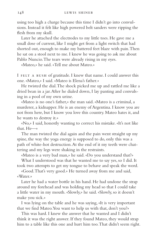using too high a charge because this time I didn't go into convulsions. Instead it felt like high powered belt sanders were ripping the flesh from my skull.

Later he attached the electrodes to my little toes. He gave me a small dose of current, like I might get from a light switch that had shorted out, enough to make my battered feet blaze with pain. Then he sat on a stool next to me. I knew he was going to ask me about Pablo Nuncio. The tears were already rising in my eyes.

«Mateo,» he said. «Tell me about Mateo.»

I FELT A RUSH of gratitude. I knew that name. I could answer this one. «Mateo,» I said. «Mateo is Elena's father.»

He twisted the dial. The shock picked me up and rattled me like a dried bean in a jar. After he dialed down, I lay panting and convulsing in a pool of my own urine.

«Mateo is no one's father,» the man said. «Mateo is a criminal, a murderer, a kidnapper. He is an enemy of Argentina. I know you are not from here, but I know you love this country. Mateo hates it, and he wants to destroy it.»

«No,» I said, honestly wanting to correct his mistake. «It's not like that. He—»

The man twisted the dial again and the pain went straight up my spine, the way the yoga energy is supposed to do, only this was a path of white-hot destruction. At the end of it my teeth were chattering and my legs were shaking in the restraints.

«Mateo is a very bad man,» he said. «Do you understand that?»

What I understood was that he wanted me to say yes, so I did. It took two attempts to get my tongue to behave and speak the word.

«Good. That's very good.» He turned away from me and said, «Water.»

Later he had a water bottle in his hand. He had undone the strap around my forehead and was holding my head so that I could take a little water in my mouth. «Slowly,» he said. «Slowly, so it doesn't make you sick.»

I was lying on the table and he was saying, «It is very important that we find Mateo. You want to help us with that, don't you?»

This was hard. I knew the answer that he wanted and I didn't think it was the right answer. If they found Mateo, they would strap him to a table like this one and hurt him too. That didn't seem right.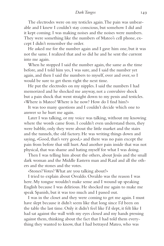# *Dark Tangos* 149

The electrodes were on my testicles again. The pain was unbearable and I knew I couldn't stay conscious, but somehow I did and it kept coming. I was making noises and the noises were numbers. They were something like the numbers of Mateo's cell phone, except I didn't remember the order.

He asked me for the number again and I gave him one, but it was not the same. I realized that and so did he and he sent the current into me again.

When he stopped I said the number again, the same as the time before, and I told him yes, I was sure, and I said the number yet again, and then I said the numbers to myself, over and over, so I would be sure to get them right the next time.

He put the electrodes on my nipples. I said the numbers I had memorized and he shocked me anyway, not a convulsive shock but a pain shock that went straight down to my penis and testicles. «Where is Mateo? Where is he now? How do I find him?»

It was too many questions and I couldn't decide which one to answer so he hurt me again.

Later I was talking, or my voice was talking, without my knowing where the words came from. I couldn't even understand them, they were babble, only they were about the little market and the stairs and the tunnels, the old factory. He was writing things down and saying, «Good, that's very good,» and there was no pain except the pain from before that still hurt. And another pain inside that was not physical, that was shame and hating myself for what I was doing.

Then I was telling him about the others, about Jesús and the small dark woman and the Middle Eastern man and Raul and all the others and the stones and the votes.

«Stones? Votes? What are you talking about?»

I tried to explain about Osvaldo. Osvaldo was the reason I was here. My tongue wouldn't make sense and I wound up speaking English because I was delirious. He shocked me again to make me speak Spanish, but it was too much and I passed out.

I was in the closet and they were coming to get me again. I must have slept because it didn't seem like that long since I'd been on the table the last time. Only it didn't feel like I'd slept, it felt like I had sat against the wall with my eyes closed and my hands pressing against them, thinking about the fact that I had told them everything they wanted to know, that I had betrayed Mateo, who was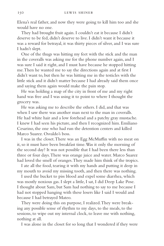Elena's real father, and now they were going to kill him too and she would have no one.

They had brought fruit again. I couldn't eat it because I didn't deserve to be fed, didn't deserve to live. I didn't want it because it was a reward for betrayal, it was thirty pieces of silver, and I was sure I hadn't slept.

One of the thugs was hitting my feet with the stick and the man in the coveralls was asking me for the phone number again, and I was sure I said it right, and I must have because he stopped hitting me. Then he wanted me to say the directions again and at first I didn't want to, but then he was hitting me in the testicles with the little stick and it didn't matter because I had already said them once and saying them again would make the pain stop.

He was holding a map of the city in front of me and my right hand was free and I was using it to point to where I thought the grocery was.

He was asking me to describe the others. I did, and that was when I saw there was another man next to the man in coveralls. He had white hair and a low forehead and a patchy gray mustache. I knew I had seen his picture, and then I recognized him. Emiliano Cesarino, the one who had run the detention centers and killed Marco Suarez. Osvaldo's boss.

I was in the closet. There was an Egg McMuffin with no meat on it, so it must have been breakfast time. Was it only the morning of the second day? It was not possible that I had been there less than three or four days. There was orange juice and water. Marco Suarez had loved the smell of oranges. They made him think of the tropics.

I ate all the food, tearing it with my hands and putting it deep in my mouth to avoid my missing tooth, and then there was nothing.

I used the bucket to piss blood and expel some diarrhea, which was mostly noxious gas. I slept a little, I sat, I did Deep Lake Pose. I thought about Sam, but Sam had nothing to say to me because I had not stopped hanging with these losers like I said I would and because I had betrayed Mateo.

They were doing this on purpose, I realized. They were breaking any possible sense of rhythm to my days, to the meals, to the sessions, to wipe out my internal clock, to leave me with nothing, nothing at all.

I was alone in the closet for so long that I wondered if they were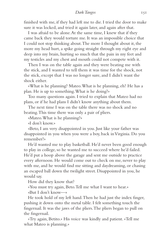finished with me, if they had left me to die. I tried the door to make sure it was locked, and tried it again later, and again after that.

I was afraid to be alone. At the same time, I knew that if they came back they would torture me. It was an impossible choice that I could not stop thinking about. The more I thought about it, the more my head hurt, a spike going straight through my right eye and deep into my brain, hurting so much that the pain in my feet and my testicles and my chest and mouth could not compete with it.

Then I was on the table again and they were beating me with the stick, and I wanted to tell them it was time for the shock, not the stick, except that I was no longer sure, and I didn't want the shock either.

«What is he planning? Mateo. What is he planning, eh? He has a plan. He is up to something. What is he doing?»

Too many questions again. I tried to explain that Mateo had no plans, or if he had plans I didn't know anything about them.

The next time I was on the table there was no shock and no beating. This time there was only a pair of pliers.

«Mateo. What is he planning?»

«I don't know.»

«Beto, I am very disappointed in you. Just like your father was disappointed in you when you were a boy, back in Virginia. Do you remember?»

He'd wanted me to play basketball. He'd never been good enough to play in college, so he wanted me to succeed where he'd failed. He'd put a hoop above the garage and sent me outside to practice every afternoon. He would come out to check on me, never to play with me, and he would find me sitting and daydreaming, or chasing an escaped ball down the twilight street. Disappointed in you, he would say.

How did they know that?

«You must try again, Beto. Tell me what I want to hear.» «But I don't know—»

He took hold of my left hand. Then he had just the index finger, pushing it down onto the metal table. I felt something touch the fingernail. It was the jaws of the pliers. The pliers began to pull on the fingernail.

«Try again, Betito.» His voice was kindly and patient. «Tell me what Mateo is planning.»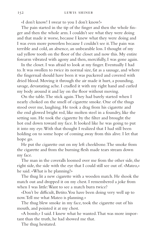«I don't know! I swear to you I don't know!»

The pain started in the tip of the finger and then the whole finger and then the whole arm. I couldn't see what they were doing and that made it worse, because I knew what they were doing and I was even more powerless because I couldn't see it. The pain was terrible and cold, an absence, an unbearable loss. I thought of my sad yellow tooth on the floor of the closet and now this. My entire forearm vibrated with agony and then, mercifully, I was gone again.

In the closet. I was afraid to look at my finger. Eventually I had to. It was swollen to twice its normal size, fat as a sausage, and where the fingernail should have been it was puckered and covered with dried blood. Moving it through the air made it hurt, a pounding, savage, devastating ache. I cradled it with my right hand and curled my body around it and lay on the floor without moving.

On the table. The stick again. They had barely started when I nearly choked on the smell of cigarette smoke. One of the thugs stood over me, laughing. He took a drag from his cigarette and the end glowed bright red, like molten steel in a foundry, like the setting sun. He took the cigarette by the filter and brought the hot end down toward my face. It looked like he was going to put it into my eye. With that thought I realized that I had still been holding on to some hope of coming away from this alive. I let that hope go.

He put the cigarette out on my left cheekbone. The smoke from the cigarette and from the burning flesh made tears stream down my face.

The man in the coveralls loomed over me from the other side, the right side, the side with the eye that I could still see out of. «Mateo,» he said. «What is he planning?»

The thug lit a new cigarette with a wooden match. He shook the match out and dropped it on my chest. I remembered a joke from when I was little: Want to see a match burn twice?

«Don't be difficult, Betito. You have been doing very well up to now. Tell me what Mateo is planning.»

The thug blew smoke in my face, took the cigarette out of his mouth, and pointed it at my chest.

«A bomb,» I said. I knew what he wanted. That was more important than the truth, he had showed me that.

The thug hesitated.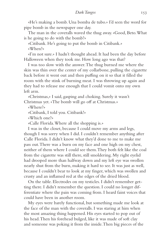«He's making a bomb. Una bomba de tubo.» I'd seen the word for pipe bomb in the newspaper one day.

The man in the coveralls waved the thug away. «Good, Beto. What is he going to do with the bomb?»

«Citibank. He's going to put the bomb in Citibank.» «When?»

«I'm not sure.» I hadn't thought ahead. It had been the day before Halloween when they took me. How long ago was that?

I was too slow with the answer. The thug burned me where the skin was thin over the center of my collarbone, pulling the cigarette back before it went out and then puffing on it so that it filled the room with the stink of burning meat. I was throwing up again and they had to release me enough that I could vomit onto my own left arm.

«Christmas,» I said, gasping and choking. Surely it wasn't Christmas yet. «The bomb will go off at Christmas.»

«Where?»

«Citibank, I told you. Citibank!»

«Which one?»

«Calle Florida. Where all the shopping is.»

I was in the closet, because I could move my arms and legs, though I was sorry when I did. I couldn't remember anything after Calle Florida. I didn't know what they'd done to me to make me pass out. There was a burn on my face and one high on my chest, neither of them where I could see them. They both felt like the coal from the cigarette was still there, still smoldering. My right eyelid had drooped more than halfway down and my left eye was swollen nearly shut from the burn, making it hard to see. It was just as well, because I couldn't bear to look at my finger, which was swollen and crusty and an inflamed red at the edges of the dried blood.

On the table. Electrodes on my testicles. I didn't remember getting there. I didn't remember the question. I could no longer differentiate where the pain was coming from. I heard faint voices that could have been in another room.

My eyes were barely functional, but something made me look at the face of the man with the coveralls. I was staring at him when the most amazing thing happened. His eyes started to pop out of his head. Then his forehead bulged, like it was made of soft clay and someone was poking it from the inside. Then big pieces of the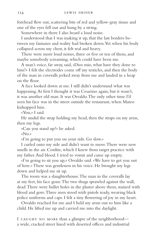forehead flew out, scattering bits of red and yellow-gray tissue and one of the eyes fell out and hung by a string.

Somewhere in there I also heard a loud noise.

I understood that I was making it up, that the last borders between my fantasies and reality had broken down. Yet when his body collapsed across my chest, it felt real and heavy.

There were more loud noises, three or five or ten of them, and maybe somebody screaming, which could have been me.

A man's voice, far away, said, «Dios mio, what have they done to him?» I felt the electrodes come off my testicles, and then the body of the man in coveralls jerked away from me and landed in a heap on the floor.

A face looked down at me. I still didn't understand what was happening. At first I thought it was Cesarino again, but it wasn't, it was another old man. It was Osvaldo. The only other time I'd seen his face was in the street outside the restaurant, when Mateo kidnapped him.

«You,» I said.

He undid the strap holding my head, then the straps on my arms, then my legs.

«Can you stand up?» he asked.

«No.»

«I'm going to put you on your side. Go slow.»

I curled onto my side and didn't want to move. There were new smells in the air. Cordite, which I knew from target practice with my father. And blood. I tried to vomit and came up empty.

«I'm going to sit you up,» Osvaldo said. «We have to get you out of here.» There was gentleness in his voice. He brought my legs down and helped me sit up.

The room was a slaughterhouse. The man in the coveralls lay at my feet, his face gone. The two thugs sprawled against the wall, dead. There were bullet holes in the plaster above them, stained with blood and gore. Three men stood with pistols ready, wearing black police uniforms and caps. I felt a tiny flowering of joy in my heart.

Osvaldo reached for me and I held my arms out to him like a child. He lifted me up and carried me into the daylight.

I CAUGHT NO MORE than a glimpse of the neighborhood a wide, cracked street lined with deserted offices and industrial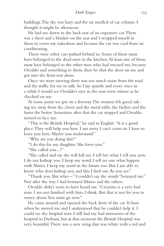buildings. The sky was hazy and the air smelled of car exhaust. I thought it might be afternoon.

He laid me down in the back seat of an expensive car. There was a sheet and a blanket on the seat and I wrapped myself in them to cover my nakedness and because the car was cool from air conditioning.

There were other cars parked behind us. Some of them must have belonged to the dead men in the kitchen. At least one of them must have belonged to the other men who had rescued me, because Osvaldo said something to them, then he shut the door on me and got into the front seat alone.

Once we were moving there was too much noise from the road and the traffic for me to talk. So I lay quietly and every once in a while I would see Osvaldo's eyes in the rear-view mirror as he checked on me.

At some point we got on a freeway. The motion felt good, taking me away from the closet and the metal table, the farther and the faster the better. Sometime after that the car stopped and Osvaldo turned to face me.

"This is the British Hospital," he said in English. "It is a good place. They will help you here. I am sorry I can't come in. I have to leave you here. Maybe you understand."

"Why are you doing this?"

"I do this for my daughter. She loves you."

"She called you...?"

"She called and say she will kill me. I tell her what I tell you now. I do not kidnap you. I keep my word, I tell no one what happen with Mateo. I keep my word in the future, too. But I am able to know who does kidnap you and this I find out. As you see."

"Thank you. But who—" I couldn't say the words "betrayed me." Not after the way I had betrayed Mateo and the others.

Osvaldo didn't seem to have heard me. "Cesarino is a very bad man. I am not finished with him, I think. But that is not for you to worry about. You must go now."

He came around and opened the back door of the car. It hurt when he moved me and I understood that he couldn't help it. I could see the hospital now. I still had my bad memories of the hospital in Durham, but at that moment the British Hospital was very beautiful. There was a new wing that was white with a red and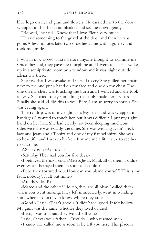blue logo on it, and grass and flowers. He carried me to the door, wrapped in the sheet and blanket, and set me down gently.

"Be well," he said. "Know that I love Elena very much."

He said something to the guard at the door and then he was gone. A few minutes later two orderlies came with a gurney and took me inside.

I WAITED A LONG TIME before anyone thought to examine me. Once they did, they gave me morphine and I went to sleep. I woke up in a semiprivate room by a window and it was night outside. Elena was there.

She saw that I was awake and started to cry. She pulled her chair next to me and put a hand on my face and one on my chest. The one on my chest was touching the burn and I winced and she took it away. She tried to say something that only made her cry harder. Finally she said, «I did this to you. Beto, I am so sorry, so sorry.» She was crying again.

The iv drip was in my right arm. My left hand was wrapped in bandages. I wanted to touch her, but it was difficult. I put my right hand on her hair. She had clearly not been sleeping much, but otherwise she was exactly the same. She was wearing Dani's necklace and jeans and a T-shirt and one of my flannel shirts. She was so beautiful and I was so broken. It made me a little sick to see her next to me.

«What day is it?» I asked.

«Saturday. They had you for five days.»

«I betrayed them,» I said. «Mateo, Jesús, Raul, all of them. I didn't even wait. I betrayed them as soon as I could.»

«Beto, they tortured you. How can you blame yourself? This is my fault, nobody's fault but mine.»

«Are they dead?»

«Mateo and the others? No, no, they are all okay. I called them when you went missing. They left immediately, went into hiding somewhere. I don't even know where they are.»

«Good,» I said. «That's good.» It didn't feel good. It felt hollow. My guilt was the same, whether they lived or died.

«Beto, I was so afraid they would kill you.»

I said, «It was your father—Osvaldo—who rescued me.»

«I know. He called me as soon as he left you here. This place is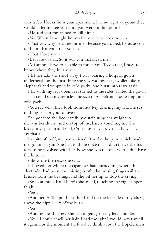only a few blocks from your apartment. I came right away, but they wouldn't let me see you until you were in the room.»

«He said you threatened to kill him.»

«Yes. When I thought he was the one who took you...»

«That was why he came for me. Because you called, because you told him that you...that you...»

«That I love you.»

«Because of that. So it was you that saved me.»

«Mi amor, I have to be able to touch you. To do that, I have to know where they hurt you.»

I let her take the sheet away. I was wearing a hospital gown underneath, so the first thing she saw was my feet, swollen like an elephant's and wrapped in cold packs. She burst into tears again.

I lay with my legs open, feet turned to the sides. I lifted the gown so she could see my testicles, the size of grapefruit, also resting on a cold pack.

«You see what they took from me? My dancing, my sex. There's nothing left for you to love.»

She got into the bed, carefully distributing her weight so she was beside me and on top of me, barely touching me. She kissed my split lip and said, «You must never say that. Never ever say that.»

In spite of itself, my penis stirred. It woke the pain, which made me go limp again. She had told me once that I didn't have the history to be involved with her. Now she was the one who didn't have the history.

«Show me the rest,» she said.

I showed her where the cigarettes had burned me, where the electrodes had been, the missing tooth, the missing fingernail, the bruises from the beatings, and she bit her lip to stop the crying.

«So I can put a hand here?» she asked, touching my right upper thigh.

«Yes.»

«And here?» She put her other hand on the left side of my chest, above the nipple, left of the burn.

«Yes.»

«And my head here?» She laid it gently on my left shoulder.

«Yes.» I could smell her hair. I had thought I would never smell it again. For the moment I refused to think about the hopelessness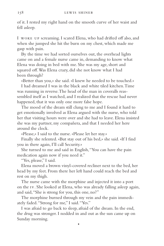of it. I rested my right hand on the smooth curve of her waist and fell asleep.

I woke up screaming. I scared Elena, who had drifted off also, and when she jumped she hit the burn on my chest, which made me gasp with pain.

By the time we had sorted ourselves out, the overhead lights came on and a female nurse came in, demanding to know what Elena was doing in bed with me. She was my age, short and squared off. Was Elena crazy, did she not know what I had been through?

«Better than you,» she said. «I knew he needed to be touched.»

I had dreamed I was in the black and white tiled kitchen. Time was running in reverse. The head of the man in coveralls reassembled itself as I watched, and I realized that the rescue had never happened, that it was only one more false hope.

The mood of the dream still clung to me and I found it hard to get emotionally involved as Elena argued with the nurse, who told her that visiting hours were over and she had to leave. Elena insisted she was my partner, my compañera, and that I needed her here around the clock.

«Please,» I said to the nurse. «Please let her stay.»

Finally she relented. «But stay out of his bed,» she said. «If I find you in there again, I'll call Security.»

She turned to me and said in English, "You can have the pain medication again now if you need it."

"Yes, please," I said.

Elena moved a brown vinyl-covered recliner next to the bed, her head by my feet. From there her left hand could reach the bed and rest on my thigh.

The nurse came with the morphine and injected it into a port on the iv. She looked at Elena, who was already falling asleep again, and said, "She is strong for you, this one, no?"

The morphine burned through my vein and the pain immediately faded. "Strong for me," I said. "Yes."

I was afraid to go back to sleep, afraid of the dream. In the end, the drug was stronger. I nodded in and out as the sun came up on Sunday morning.

•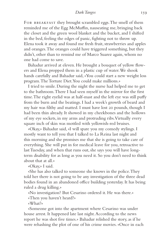FOR BREAKFAST they brought scrambled eggs. The smell of them reminded me of the Egg McMuffin, nauseating me, bringing back the closet and the green wool blanket and the bucket, and I shifted in the bed, feeling the edges of panic, fighting not to throw up. Elena took it away and found me fresh fruit, strawberries and apples and oranges. The oranges could have triggered something, but they didn't, other than to remind me of Marco Suarez again, whom no one had come to save.

Bahadur arrived at eleven. He brought a bouquet of yellow flowers and Elena propped them in a plastic cup of water. We shook hands carefully and Bahadur said, «You could start a new weight loss program. The Torture Diet. You could make millions.»

I tried to smile. During the night the nurse had helped me to get to the bathroom. There I had seen myself in the mirror for the first time. The right eyelid was at half-mast and the left eye was still puffy from the burn and the beatings. I had a week's growth of beard and my hair was filthy and matted. I must have lost 20 pounds, though I had been thin already. It showed in my cheekbones and the hollows of my eye sockets, in my arms and protruding ribs. Virtually every square inch of skin was mottled with yellowish-red bruises.

«Okay,» Bahadur said, «I will spare you my comedy stylings. I mostly want to tell you that I talked to La Reina last night and this morning and she promises me that she is going to take care of everything. She will put in for medical leave for you, retroactive to last Tuesday, and when that runs out, she says you will have longterm disability for as long as you need it. So you don't need to think about that at all.»

«Okay,» I said.

«She has also talked to someone she knows in the police. They told her there is not going to be any investigation of the three dead bodies found in an abandoned office building yesterday. It has being ruled a drug killing.»

«No investigation? But Cesarino ordered it. He was there.»

«Then you haven't heard?»

«What?»

«Someone got into the apartment where Cesarino was under house arrest. It happened late last night. According to the news report he was shot five times.» Bahadur relished the story, as if he were rehashing the plot of one of his crime movies. «Once in each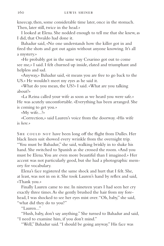kneecap, then, some considerable time later, once in the stomach. Then, later still, twice in the head.»

I looked at Elena. She nodded enough to tell me that she knew, as I did, that Osvaldo had done it.

Bahadur said, «No one understands how the killer got in and fired the shots and got out again without anyone knowing. It's all a mystery.»

«He probably got in the same way Cesarino got out to come see me,» I said. I felt churned up inside, elated and triumphant and helpless and sad.

«Anyway,» Bahadur said, «it means you are free to go back to the US.» He wouldn't meet my eyes as he said it.

«What do you mean, the US?» I said. «What are you talking about?»

«La Reina called your wife as soon as we heard you were safe.» He was acutely uncomfortable. «Everything has been arranged. She is coming to get you.»

«My wife...?»

«Correction,» said Lauren's voice from the doorway. «His wife is *here.*»

SHE COULD NOT have been long off the flight from Dulles. Her black linen suit showed every wrinkle from the overnight trip. "You must be Bahadur," she said, walking briskly in to shake his hand. She switched to Spanish as she crossed the room. «And you must be Elena. You are even more beautiful than I imagined.» Her accent was not particularly good, but she had a photographic memory for vocabulary.

Elena's face registered the same shock and hurt that I felt. She, at least, was not in on it. She took Lauren's hand by reflex and said, «Thank you.»

Finally Lauren came to me. In nineteen years I had seen her cry exactly three times. As she gently brushed the hair from my forehead, I was shocked to see her eyes mist over. "Oh, baby," she said, "what did they do to you?"

 $"L$ auren..."

"Hush, baby, don't say anything." She turned to Bahadur and said, "I need to examine him, if you don't mind."

"Well," Bahadur said. "I should be going anyway." His face was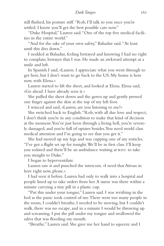still flushed, his posture stiff. "Rob, I'll talk to you once you're settled. I know you'll get the best possible care now."

"Duke Hospital," Lauren said. "One of the top five medical facilities in the entire world."

"And for the sake of your own safety," Bahadur said. "At least until this dies down."

I nodded at Bahadur, feeling betrayed and knowing I had no right to complain, betrayer that I was. He made an awkward attempt at a smile and left.

In Spanish I said, «Lauren. I appreciate what you went through to get here, but I don't want to go back to the US. My home is here now, with Elena.»

Lauren started to lift the sheet, and looked at Elena. Elena said, «Go ahead. I have already seen it.»

She pulled the sheet down and the gown up and gently pressed one finger against the skin at the top of my left foot.

I winced and said, «Lauren, are you listening to me?»

She switched back to English. "Rob, with all due love and respect, I don't think you're in any condition to make that kind of decision at the moment. You've just been through a living hell, you're severely damaged, and you're full of opiates besides. You need world class medical attention and I'm going to see that you get it."

She had moved up my legs and was cupping one of my testicles. "I've got a flight set up for tonight. We'll be in first class. I'll keep you sedated and there'll be an ambulance waiting at RDU to take you straight to Duke."

I began to hyperventilate.

Lauren saw it and punched the intercom. «I need that Ativan in here right now, please.»

I had seen it before. Lauren had only to walk into a hospital and people lined up to take orders from her. A nurse was there within a minute carrying a tiny pill in a plastic cup.

"Put this under your tongue," Lauren said. I was writhing in the bed as the panic took control of me. There were too many people in the room, I couldn't breathe, I needed to be moving, but I couldn't walk, there was no escape, and in a minute I would be throwing up and screaming. I put the pill under my tongue and swallowed the saliva that was flooding my mouth.

"Breathe," Lauren said. She gave me her hand to squeeze and I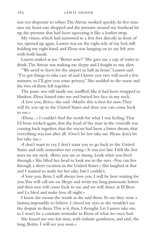was too desperate to refuse. The Ativan worked quickly. In five minutes my heart rate dropped and the pressure around my forehead let up, the pressure that had been squeezing it like a leather strap.

My vision, which had narrowed to a few feet directly in front of me, opened up again. Lauren was on the right side of my bed, still holding my right hand, and Elena was hanging on to my left arm with both hands.

Lauren smiled at me. "Better now?" She gave me a cup of water to drink. The Ativan was making me sleepy and I fought to stay alert.

"We need to leave for the airport in half an hour," Lauren said. "I've got things to take care of and I know you two will need a few minutes, so I'll give you some privacy." She nodded to the nurse and the two of them left together.

The panic was still inside me, muffled, like it had been wrapped in blankets. Elena leaned into me and buried her face in my neck.

«I love you, Beto,» she said. «Maybe this is best for now. They will fix you up in the United States and then you can come back to me.»

«Elena...» I couldn't find the words for what I was feeling. That I'd been tricked again, that the head of the man in the coveralls was coming back together, that the rescue had been a bitter dream, that everything was lost after all. «Don't let her take me. Please don't let her take me.»

«I don't want to cry. I don't want you to go back to the United States and only remember me crying.» It was too late. I felt the hot tears on my neck. «Beto, you are so strong. Look what you lived through.» She lifted her head to look me in the eyes. «You can live through a short vacation in the United States.» She laughed at that and I wanted to smile for her sake, but I couldn't.

«I love you, Beto. I will always love you. I will be here waiting for you. You will call me on Skype and write me long passionate letters and then you will come back to me and we will dance at El Beso and La Ideal and make love all night.»

I knew she meant the words as she said them. To me they were a fantasy, impossible to believe. I closed my eyes so she wouldn't see the despair in them. This is it, then, I thought. Let Lauren take me, so I won't be a constant reminder to Elena of what we once had.

She kissed me one last time, with infinite gentleness, and said, «So long, Betito. I will see you soon.»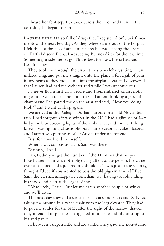I heard her footsteps tick away across the floor and then, in the corridor, she began to run.

LAUREN KEPT ME so full of drugs that I registered only brief moments of the next few days. As they wheeled me out of the hospital I felt the last threads of attachment break. I was leaving the last place on Earth I'd seen Elena. I was seeing Buenos Aires for the last time. Something inside me let go. This is best for now, Elena had said. Best for now.

They took me through the airport in a wheelchair, sitting on an inflated ring, and put me straight onto the plane. I felt a jab of pain in my penis as they moved me into the airplane seat and discovered that Lauren had had me catheterized while I was unconscious.

I'd never flown first class before and I remembered almost nothing of it. I woke up at one point to see Lauren drinking a glass of champagne. She patted me on the arm and said, "How you doing, Rob?" and I went to sleep again.

We arrived at the Raleigh-Durham airport in a cold November rain. I had forgotten it was winter in the US. I had a glimpse of I-40, lit by the blue strobing lights of the ambulance, and the next thing I knew I was fighting claustrophobia in an elevator at Duke Hospital and Lauren was putting another Ativan under my tongue.

Best for now, I said to myself.

When I was conscious again, Sam was there.

"Sammy," I said.

"Yo, D, did you get the number of the Hummer that hit you?" Like Lauren, Sam was not a physically affectionate person. He came over to the bed and squeezed my shoulder. "I was just in the vicinity, thought I'd see if you wanted to toss the old pigskin around." Even Sam, the eternal, unflappable comedian, was having trouble hiding his shock and pain at the sight of me.

"Absolutely," I said. "Just let me catch another couple of winks and we'll do it."

The next day they did a series of  $c\tau$  scans and MRIs and X-Rays, taking me around in a wheelchair with the legs elevated. They had to put me under for the mri, after the sight of the narrow drawer they intended to put me in triggered another round of claustrophobia and panic.

In between I slept a little and ate a little. They gave me non-steroid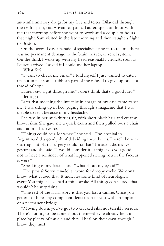anti-inflammatory drugs for my feet and testes, Dilaudid through the iv for pain, and Ativan for panic. Lauren spent an hour with me that morning before she went to work and a couple of hours that night. Sam visited in the late morning and then caught a flight to Boston.

On the second day a parade of specialists came in to tell me there was no permanent damage to the brain, nerves, or renal system. On the third, I woke up with my head reasonably clear. As soon as Lauren arrived, I asked if I could use her laptop.

"What for?"

"I want to check my email." I told myself I just wanted to catch up, but in fact some stubborn part of me refused to give up one last thread of hope.

Lauren saw right through me. "I don't think that's a good idea." I let it go.

Later that morning the internist in charge of my case came to see me. I was sitting up in bed, paging through a magazine that I was unable to read because of my headache.

She was in her mid-thirties, fit, with short black hair and creamy brown skin. She gave me a quick exam and then pulled over a chair and sat in it backwards.

"Things could be a lot worse," she said. "The hospital in Argentina did a good job of debriding those burns. There'll be some scarring, but plastic surgery could fix that." I made a dismissive gesture and she said, "I would consider it. It might do you good not to have a reminder of what happened staring you in the face, as it were."

"Speaking of my face," I said, "what about my eyelid?"

"The ptosis? Sorry, ten-dollar word for droopy eyelid. We don't know what caused that. It indicates some kind of neurological event. You might have had a mini-stroke. All things considered, that wouldn't be surprising.

"The rest of the facial story is that you lost a canine. Once you get out of here, any competent dentist can fit you with an implant or a permanent bridge.

"Moving down, you've got two cracked ribs, not terribly serious. There's nothing to be done about them—they're already held in place by plenty of muscle and they'll heal on their own, though I know they hurt.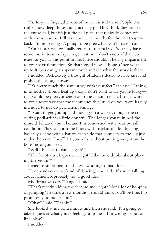## *Dark Tangos* 165

"As to your finger, the root of the nail is still there. People don't realize how deep those things actually go. They think they've lost the entire nail, but it's just the nail plate that typically comes off with severe trauma. It'll take about six months for the nail to grow back. I'm not saying it's going to be pretty, but you'll have a nail.

"Your testes will gradually return to normal size. You may have some loss in terms of sperm generation. I don't know if that's an issue for you at this point in life. There shouldn't be any impairment to your sexual function. So that's good news, I hope. Once you feel up to it, you can get a sperm count and see what the story is there."

I nodded. Reflexively I thought of Elena's desire to have kids, and pushed the thought away.

"It's pretty much the same story with your feet," she said. "I think, in time, they should heal up okay. I don't want to say you're lucky that would be pretty insensitive in the circumstances. It does work to your advantage that the techniques they used on you were largely intended to not do permanent damage.

"I want to get you up and moving on a walker, though the consulting podiatrist is a little doubtful. The longer you're in bed the more debilitated you'll be, and I'm concerned with your overall condition. They've got some boots with patellar tendon bracing, basically a shoe with a bar on each side that connects to the leg just under the knee. They'll let you walk without putting weight on the bottoms of your feet."

"Will I be able to dance again?"

"That's not a trick question, right? Like the old joke about playing the violin?"

I tried to smile, because she was working so hard for it.

"It depends on what kind of dancing," she said. "If you're talking about flamenco, probably not a good idea."

My throat was dry. "Tango," I said.

"That's mostly sliding the feet around, right? Not a lot of hopping or jumping? In time, a few months, I should think you'll be fine. No promises, you understand."

"Okay," I said. "Thanks."

She looked at me for a minute and then she said, "I'm going to take a guess at what you're feeling. Stop me if I'm wrong or out of line, okay?"

I nodded.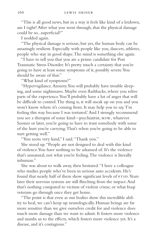"This is all good news, but in a way it feels like kind of a letdown, am I right? After what you went through, that the physical damage could be so...superficial?"

I nodded again.

"The physical damage is serious, but yes, the human body can be amazingly resilient. Especially with people like you, dancers, athletes, people who stay in good shape. The mind is something else again.

"I have to tell you that you are a prime candidate for Post Traumatic Stress Disorder. It's pretty much a certainty that you're going to have at least some symptoms of it, possibly severe. You should be aware of that."

"What kind of symptoms?"

"Hypervigilance. Anxiety. You will probably have trouble sleeping, and some nightmares. Maybe even flashbacks, where you relive parts of the experience. You'll probably have a lot of anger that will be difficult to control. The thing is, it will sneak up on you and you won't know where it's coming from. It may help you to say, 'I'm feeling this way because I was tortured.' And I strongly recommend you see a therapist of some kind—psychiatrist, msw, whatever. Sooner or later, you're going to have to trust somebody with some of the hurt you're carrying. That's when you're going to be able to start getting well."

"You seem very kind," I said. "Thank you."

She stood up. "People are not designed to deal with this kind of violence. You have nothing to be ashamed of. It's the violence that's unnatural, not what you're feeling. The violence is literally inhuman."

She was about to walk away, then hesitated. "I have a colleague who studies people who've been in serious auto accidents. He's found that nearly half of them show significant levels of PTSD. Years later their nervous systems are still flinching from the impact. And that's nothing compared to victims of violent crime, or what Iraqi veterans go through once they get home.

"The point is that even as our bodies show this incredible ability to heal, we can't keep up neurologically. Human beings are far more sensitive than we give ourselves credit for and violence does much more damage than we want to admit. It fosters more violence and numbs us to the effects, which fosters more violence yet. It's a disease, and it's contagious."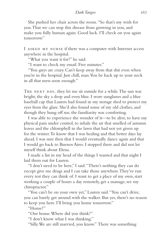She pushed her chair across the room. "So that's my wish for you. That we can stop this disease from growing in you, and make you fully human again. Good luck. I'll check on you again tomorrow."

I asked my nurse if there was a computer with Internet access anywhere in the hospital.

"What you want it for?" he said.

"I want to check my email. Five minutes."

"You guys are crazy. Can't keep away from that shit even when you're in the hospital. Just chill, man. You be back up to your neck in all that mess soon enough."

THE NEXT DAY, they let me sit outside for a while. The sun was bright, the sky a deep and even blue. I wore sunglasses and a blue baseball cap that Lauren had found in my storage shed to protect my eyes from the glare. She'd also found some of my old clothes, and though they hung off me, the familiarity was comforting.

I was able to experience the wonder of it—to be alive, to have my physical pain under control, to inhale the air that smelled of autumn leaves and the chlorophyll in the lawn that had not yet given up for the winter. To know that I was healing and that better days lay ahead. I was sure then that I would eventually dance again and that I would go back to Buenos Aires. I stopped there and did not let myself think about Elena.

I made a list in my head of the things I wanted and that night I laid them out for Lauren.

"I don't need to be here," I said. "There's nothing they can do except give me drugs and I can take those anywhere. They've run every test they can think of. I want to get a place of my own, start working a couple of hours a day remotely, get a massage, see my chiropractor."

"You can't be on your own yet," Lauren said. "You can't drive, you can barely get around with the walker. But yes, there's no reason to keep you here. I'll bring you home tomorrow."

"Home?"

"Our house. Where did you think?"

"I don't know what I was thinking."

"Silly. We are still married, you know." There was something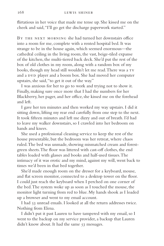flirtatious in her voice that made me tense up. She kissed me on the cheek and said, "I'll go get the discharge paperwork started."

BY THE NEXT MORNING she had turned her downstairs office into a room for me, complete with a rented hospital bed. It was strange to be in the house again, which seemed enormous—the cathedral ceiling in the living room, the vast, beige-tiled expanse of the kitchen, the multi-tiered back deck. She'd put the rest of the box of old clothes in my room, along with a random box of my books, though my head still wouldn't let me read. There was a TV and a DVD player and a boom box. She had moved her computer upstairs, she said, "to get it out of the way."

I was anxious for her to go to work and trying not to show it. Finally, making sure once more that I had the numbers for her Blackberry, her pager, and her office, she kissed me on the forehead and left.

I gave her ten minutes and then worked my way upstairs. I did it sitting down, lifting my rear end carefully from one step to the next. It took fifteen minutes and left me dizzy and out of breath. I'd had to leave my walker downstairs, so I crawled into her bedroom on hands and knees.

She used a professional cleaning service to keep the rest of the house presentable, but the bedroom was her retreat, where chaos ruled. The bed was unmade, showing mismatched cream and forestgreen sheets. The floor was littered with cast-off clothes, the end tables loaded with glasses and books and half-used tissues. The intimacy of it was erotic and my mind, against my will, went back to times we'd been in that bed together.

She'd made enough room on the dresser for a keyboard, mouse, and flat screen monitor, connected to a desktop tower on the floor. I could just reach the keyboard when I perched on one corner of the bed. The system woke up as soon as I touched the mouse, the monitor light turning from red to blue. My hands shook as I loaded up a browser and went to my email account.

I had 53 unread emails. I looked at all the return addresses twice. Nothing from Elena.

I didn't put it past Lauren to have tampered with my email, so I went to the backup on my service provider, a backup that Lauren didn't know about. It had the same 53 messages.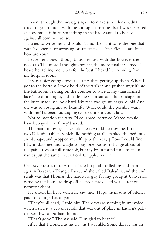# *Dark Tangos* 169

I went through the messages again to make sure Elena hadn't tried to get in touch with me through someone else. I was surprised at how much it hurt. Something in me had wanted to believe, against all common sense.

I tried to write her and couldn't find the right tone, the one that wasn't desperate or accusing or superficial—Dear Elena, I am fine, how are you?

Leave her alone, I thought. Let her deal with this however she needs to. The more I thought about it, the more final it seemed. I heard her telling me it was for the best. I heard her running from my hospital room.

It was easier going down the stairs than getting up them. When I got to the bottom I took hold of the walker and pushed myself into the bathroom, leaning on the counter to stare at my transformed face. The drooping eyelid made me seem sinister, the bandage on the burn made me look hard. My face was gaunt, haggard, old. And she was so young and so beautiful. What could she possibly want with me? I'd been kidding myself to think it could last.

Not to mention the way I'd collapsed, betrayed Mateo, would have betrayed her if they'd asked.

The pain in my right eye felt like it would destroy me. I took two Dilaudid tablets, which did nothing at all, cranked the bed into an N shape, and propped myself up with every pillow I could find. I lay in darkness and fought to stay one position change ahead of the pain. It was a full-time job, but my brain found time to call me names just the same. Loser. Fool. Cripple. Traitor.

ON MY SECOND DAY out of the hospital I called my old manager in Research Triangle Park, and she called Bahadur, and the end result was that Thomas, the hardware guy for my group at Universal, came by the house to drop off a laptop, preloaded with a remote network client.

He shook his head when he saw me. "Hope them sons of bitches paid for doing that to you."

"They're all dead," I told him. There was something in my voice when I said it, a certain relish, that was out of place in Lauren's palatial Southwest Durham home.

"That's good," Thomas said. "I'm glad to hear it."

After that I worked as much was I was able. Some days it was an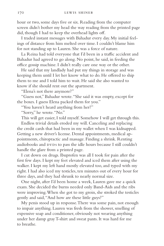hour or two, some days five or six. Reading from the computer screen didn't bother my head the way reading from the printed page did, though I had to keep the overhead lights off.

I traded instant messages with Bahadur every day. My initial feelings of distance from him melted over time. I couldn't blame him for not standing up to Lauren. She was a force of nature.

La Reina had told everyone that I'd been in a traffic accident and Bahadur had agreed to go along. No point, he said, in feeding the office gossip machine. I didn't really care one way or the other.

He said that my landlady had put my things in storage and was keeping them until I let her know what to do. He offered to ship them to me and I told him to wait. He said she also wanted to know if she should rent out the apartment.

"Elena's not there anymore?"

"Guess not," Bahadur wrote. "She said it was empty, except for the boxes. I guess Elena packed them for you."

"You haven't heard anything from her?"

"Sorry," he wrote. "No."

This will get easier, I told myself. Somehow I will get through this.

Endless trivial details eroded my will. Canceling and replacing the credit cards that had been in my wallet when I was kidnapped. Getting a new driver's license. Dental appointments, medical appointments, chiropractic and massage. Finding a shrink. Renting audiobooks and DVDs to pass the idle hours because I still couldn't handle the glare from a printed page.

I cut down on drugs. Ibuprofen was all I took for pain after the first few days. I kept my feet elevated and iced them after using the walker. I kept my left hand mostly elevated too, and typed with my right. I had also iced my testicles, ten minutes out of every hour for three days, and they had shrunk to nearly normal size.

One night, after I'd been home a week, Lauren gave me a quick exam. She decided the burns needed only Band-Aids and the ribs were improving. When she got to my groin, she stroked the testicles gently and said, "And how are these little guys?"

My penis stood up in response. There was some pain, not enough to impair anything. Lauren was fresh from the shower, smelling of expensive soap and conditioner, obviously not wearing anything under her damp gray T-shirt and sweat pants. It was hard for me to breathe.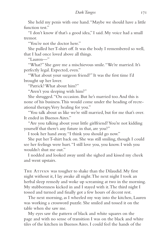She held my penis with one hand. "Maybe we should have a little function test."

"I don't know if that's a good idea," I said. My voice had a small tremor.

"You're not the doctor here."

She pulled her T-shirt off. It was the body I remembered so well, that I had once loved above all things.

"Lauren—"

"What?" She gave me a mischievous smile. "We're married. It's perfectly legal. Expected, even."

"What about your surgeon friend?" It was the first time I'd brought up her lover.

"Patrick? What about him?"

"Aren't you sleeping with him?"

She shrugged. "On occasion. But he's married too. And this is none of his business. This would come under the heading of recreational therapy. Very healing for you."

"You talk about us like we're still married, but for me that's over. It ended in Buenos Aires."

"Are you talking about your little girlfriend? You're not kidding yourself that there's any future in that, are you?"

I took her hand away. "I think you should go now."

She put her T-shirt back on. She was still smiling, though I could see her feelings were hurt. "I still love you, you know. I wish you wouldn't shut me out."

I nodded and looked away until she sighed and kissed my cheek and went upstairs.

THE ATIVAN was tougher to shake than the Dilaudid. My first night without it, I lay awake all night. The next night I took an herbal sleep remedy and woke up screaming at two in the morning. My stubbornness kicked in and I stayed with it. The third night I tossed and turned and finally got a few hours of decent rest.

The next morning, as I wheeled my way into the kitchen, Lauren was working a crossword puzzle. She smiled and tossed it on the table when she saw me.

My eyes saw the pattern of black and white squares on the page and with no sense of transition I was on the black and white tiles of the kitchen in Buenos Aires. I could feel the hands of the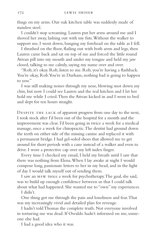thugs on my arms. Our oak kitchen table was suddenly made of stainless steel.

I couldn't stop screaming. Lauren put her arms around me and I shoved her away, lashing out with my fists. Without the walker to support me, I went down, banging my forehead on the table as I fell.

I thrashed on the floor, flailing out with both arms and legs, then Lauren came back and sat on top of me and forced the little round Ativan pill into my mouth and under my tongue and held my jaw closed, talking to me calmly, saying my name over and over.

"Rob, it's okay. Rob, listen to me. Rob, you're having a flashback. You're okay, Rob. You're in Durham, nothing bad is going to happen to you."

I was still making noises through my nose, blowing snot down my chin, but now I could see Lauren and the real kitchen and I let her hold me while I cried. Then the Ativan kicked in and I went to bed and slept for ten hours straight.

Despite the lack of apparent progress from one day to the next, I took stock after I'd been out of the hospital for a month and the improvement was clear. I'd been going in twice a week for a medical massage, once a week for chiropractic. The dentist had ground down the teeth on either side of the missing canine and replaced it with a permanent bridge. I had gel-soled shoes that allowed me to get around for short periods with a cane instead of a walker and even to drive. I wore a protective cap over my left index finger.

Every time I checked my email, I held my breath until I saw that there was nothing from Elena. When I lay awake at night I would compose long, passionate letters to her in my head, and in the light of day I would talk myself out of sending them.

I saw an msw twice a week for psychotherapy. The goal, she said, was to build up enough confidence between us that I could talk about what had happened. She wanted me to "own" my experiences.

I didn't.

One thing got me through the pain and loneliness and fear. That was my increasingly vivid and detailed plan for revenge.

I hadn't told Thomas the complete truth. Not everyone involved in torturing me was dead. If Osvaldo hadn't informed on me, someone else had.

I had a good idea who it was.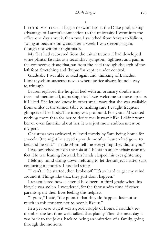•

I took my time. I began to swim laps at the Duke pool, taking advantage of Lauren's connection to the university. I went into the office one day a week, then two. I switched from Ativan to Valium, 10 mg at bedtime only, and after a week I was sleeping again, though not without nightmares.

My feet had recovered from the initial trauma. I had developed some plantar fasciitis as a secondary symptom, tightness and pain in the connective tissue that ran from the heel through the arch of my left foot. Stretching and Ibuprofen kept it under control.

Gradually I was able to read again and, thinking of Bahadur, I lost myself in suspense novels where justice always found a way to triumph.

Lauren replaced the hospital bed with an ordinary double mattress and mentioned, in passing, that I was welcome to move upstairs if I liked. She let me know in other small ways that she was available, from smiles at the dinner table to making sure I caught frequent glimpses of her body. The irony was profound. For years I'd wanted nothing more than for her to desire me. It wasn't like I didn't want her or even fantasize about her. It was just more stubbornness on my part.

Christmas was awkward, relieved mostly by Sam being home for a week. One night he stayed up with me after Lauren had gone to bed and he said, "I made Mom tell me everything they did to you."

I was stretched out on the sofa and he sat in an armchair near my feet. He was leaning forward, his hands clasped, his eyes glistening.

I felt my mind clamp down, refusing to let the subject matter start conjuring memories. I nodded stiffly.

"I can't..." he started, then broke off. "It's so hard to get my mind around it. Things like that, they just don't happen."

I remembered how shattered he'd been in third grade when his bicycle was stolen. I wondered, for the thousandth time, if other parents spent their lives feeling this helpless.

"I guess," I said, "the point is that they do happen. Just not so much in this country, not to people like us."

In a perverse way, it was a good couple of hours. I couldn't remember the last time we'd talked that plainly. Then the next day it was back to the jokes, back to being an imitation of a family, going through the motions.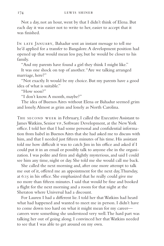Not a day, not an hour, went by that I didn't think of Elena. But each day it was easier not to write to her, easier to accept that it was finished.

In late January, Bahadur sent an instant message to tell me he'd applied for a transfer to Bangalore. A development position had opened up that would mean less pay, but he would be closer to his family.

"And my parents have found a girl they think I might like."

It was one shock on top of another. "Are we talking arranged marriage, here?"

"Not exactly. It would be my choice. But my parents have a good idea of what is suitable."

"How soon?"

"I don't know. A month, maybe?"

The idea of Buenos Aires without Elena or Bahadur seemed grim and lonely. Almost as grim and lonely as North Carolina.

THE SECOND WEEK in February, I called the Executive Assistant to James Watkins, Senior vp, Software Development, at the New York office. I told her that I had some personal and confidential information from Isabel in Buenos Aires that she had asked me to discuss with him, and that I needed just fifteen minutes of his time. His assistant told me how difficult it was to catch Jim in his office and asked if I could put it in an email or possibly talk to anyone else in the organization. I was polite and firm and slightly mysterious, and said I could see him any time, night or day. She told me she would call me back.

She called the next morning and, after one more attempt to talk me out of it, offered me an appointment for the next day, Thursday, at 6:15 in his office. She emphasized that he really could give me no more than fifteen minutes. I said that would be fine and booked a flight for the next morning and a room for that night at the Sheraton where Universal had a discount.

For Lauren I had a different lie. I told her that Watkins had heard what had happened and wanted to meet me in person. I didn't have to come down too hard on what it might mean for my career careers were something she understood very well. The hard part was talking her out of going along. I convinced her that Watkins needed to see that I was able to get around on my own.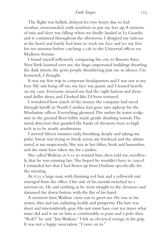The flight was hellish, delayed for two hours due to bad weather, overcrowded, with nowhere to put my feet up. A mixture of rain and sleet was falling when we finally landed at La Guardia and it continued throughout the afternoon. I dropped my suitcase at the hotel and barely had time to wash my face and ice my feet for ten minutes before catching a cab to the Universal offices on Madison Avenue.

I found myself reflexively comparing the city to Buenos Aires. New York loomed over me, the huge, impersonal buildings dwarfing the dark streets, the grim people shouldering past me in silence. I'm homesick, I thought.

It was my first trip to corporate headquarters and I was not at my best. My suit hung off me, my face was gaunt, and I leaned heavily on my cane. Everyone around me had the right haircut and thousand dollar shoes, and I looked like I'd been tortured.

I wondered how much of the money the company had saved through layoffs in North Carolina had gone into upkeep for the Manhattan offices. Everything gleamed. The amber-lit water sculpture in the ground floor lobby made gentle shushing sounds. The metal detectors that guarded the banks of elevators were so high tech as to be nearly unobtrusive.

I arrived fifteen minutes early, breathing deeply and taking my pulse. Sweat was trying to break across my forehead and the admin stared at me suspiciously. She was in her fifties, brisk and humorless, and she must have taken me for a junkie.

She called Watkins at 6:15 to remind him, then told me, needlessly, that he was running late. She hoped he wouldn't have to cancel. I reminded her that I had flown up from Durham specifically for the meeting.

At 6:25 a large man with thinning red hair and a yellowish suit emerged from the office. One side of his mouth twitched in a nervous tic. He said nothing as he went straight to the elevators and slammed the down button with the flat of his hand.

A moment later, Watkins came out to greet me. He was in his sixties, thin and tan, radiating health and prosperity. His hair was short and intermittently gray. His suit must have cost ten times what mine did and it sat on him as comfortably as jeans and a polo shirt. "Rob?" he said. "Jim Watkins." I felt an electrical energy in his grip. It was not a happy association. "Come on in."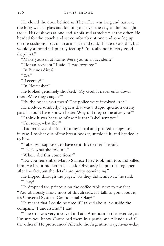He closed the door behind us. The office was long and narrow, the long wall all glass and looking out over the city as the last light faded. His desk was at one end, a sofa and armchairs at the other. He headed for the couch and sat comfortably at one end, one leg up on the cushions. I sat in an armchair and said, "I hate to ask this, but would you mind if I put my feet up? I'm really not in very good shape yet."

"Make yourself at home. Were you in an accident?"

"Not an accident," I said. "I was tortured."

"In Buenos Aires?"

 $``V_{\rho\kappa}"$ 

"Recently?"

"In November."

He looked genuinely shocked. "My God, it never ends down there. Were they caught?"

"By the police, you mean? The police were involved in it."

He nodded somberly. "I guess that was a stupid question on my part. I should have known better. Why did they come after you?"

"I think it was because of the file that Isabel sent you."

"I'm sorry, what file?"

I had retrieved the file from my email and printed a copy, just in case. I took it out of my breast pocket, unfolded it, and handed it to him.

"Isabel was supposed to have sent this to me?" he said.

"That's what she told me."

"Where did this come from?"

"Do you remember Marco Suarez? They took him too, and killed him. He had it hidden in his desk. Obviously he put this together after the fact, but the details are pretty convincing."

He flipped through the pages. "So they did it anyway," he said. "They?"

He dropped the printout on the coffee table next to my feet. "You obviously know most of this already. If I talk to you about it, it's Universal Systems Confidential. Okay?"

He meant that I could be fired if I talked about it outside the company. "I understand," I said.

"The cia was very involved in Latin American in the seventies, as I'm sure you know. Castro had them in a panic, and Allende and all the others." He pronounced Allende the Argentine way, ah-*shen*-day,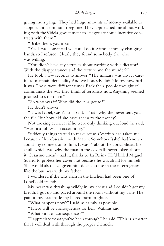giving me a pang. "They had huge amounts of money available to support anti-communist regimes. They approached me about working with the Videla government to...negotiate some lucrative contracts with them."

"Bribe them, you mean."

"Yes. I was convinced we could do it without money changing hands, so I refused. Clearly they found somebody else who was willing."

"You didn't have any scruples about working with a dictator? With the disappearances and the torture and the murder?"

He took a few seconds to answer. "The military was always careful to maintain deniability. And we honestly didn't know how bad it was. Those were different times. Back then, people thought of communists the way they think of terrorists now. Anything seemed justified to stop them."

"So who was it? Who did the cia get to?"

He didn't answer.

"It was Isabel, wasn't it?" I said. "That's why she never sent you the file. But how did she have access to the money?"

Not looking at me, as if he were only thinking out loud, he said, "Her first job was in accounting."

Suddenly things started to make sense. Cesarino had taken me because of his obsession with Mateo. Somehow Isabel had known about my connection to him. It wasn't about the contabilidad file at all, which was why the man in the coveralls never asked about it. Cesarino already had it, thanks to La Reina. He'd killed Miguel Suarez to protect her cover, not because he was afraid for himself. She would also have given him details to use in the interrogation, like the business with my father.

I wondered if the cia man in the kitchen had been one of Isabel's old friends.

My heart was thrashing wildly in my chest and I couldn't get my breath. I got up and paced around the room without my cane. The pain in my feet made my hatred burn brighter.

"What happens now?" I said, as calmly as possible.

"There will be consequences for her," Watkins said.

"What kind of consequences?"

"I appreciate what you've been through," he said. "This is a matter that I will deal with through the proper channels."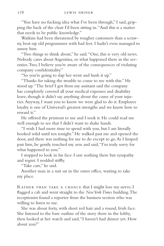"You have no fucking idea what I've been through," I said, gripping the back of the chair I'd been sitting in. "And this is a matter that needs to be public knowledge."

Watkins had been threatened by tougher customers than a scrawny, beat-up old programmer with bad feet. I hadn't even managed to annoy him.

"Two things to think about," he said. "One, this is very old news. Nobody cares about Argentina, or what happened there in the seventies. Two, I believe you're aware of the consequences of violating company confidentiality."

"So you're going to slap her wrist and hush it up."

"Thanks for taking the trouble to come to me with this." He stood up. "The brief I got from my assistant said the company has completely covered all your medical expenses and disability leave, though it didn't say anything about the cause of your injuries. Anyway, I want you to know we were glad to do it. Employee loyalty is one of Universal's greatest strengths and we know how to reward it."

He offered the printout to me and I took it. He could read me well enough to see that I didn't want to shake hands.

"I wish I had more time to spend with you, but I am literally booked solid until ten tonight." He walked past me and opened the door, and there was nothing for me to do except to go. As I limped past him, he gently touched my arm and said, "I'm truly sorry for what happened to you."

I stopped to look in his face. I saw nothing there but sympathy and regret. I nodded stiffly.

"Take care," he said.

Another man in a suit sat in the outer office, waiting to take my place.

RATHER THAN TAKE A CHANCE that I might lose my nerve, I flagged a cab and went straight to the *New York Times* building. The receptionist found a reporter from the business section who was willing to listen to me.

She was about forty, with short red hair and a round, Irish face. She listened to the bare outline of the story there in the lobby, then looked at her watch and said, "I haven't had dinner yet. How about you?"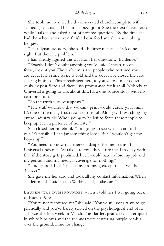She took me to a nearby deconsecrated church, complete with stained glass, that had become a pizza joint. She took extensive notes while I talked and asked a lot of pointed questions. By the time she had the whole story, we'd finished our food and she was rubbing her jaw.

"It's a dynamite story," she said. "Pulitzer material, if it's done right. But there's a problem."

I had already figured this out from her questions. "Evidence."

"Exactly. I don't doubt anything you've said. I mean, no offense, look at you. The problem is, the people who tortured you are dead. The crime scene is cold and the cops have closed the case as drug business. This spreadsheet here, as you've told me, is obviously ex post facto and there's no provenance for it at all. Nobody at Universal is going to talk about this. It's a one-source story with no corroboration."

"So the truth just...disappears."

"The stuff we know that we can't print would curdle your milk. It's one of the many frustrations of this job. Along with watching my entire industry die. Who's going to be left to force these people to keep up even a pretence of honesty?"

She closed her notebook. "I'm going to see what I can find out. It's possible I can jar something loose. But I wouldn't get my hopes up."

"You need to know that there's a danger for me in this. If Universal finds out I've talked to you, they'll fire me. I'm okay with that if the story gets published, but I would hate to lose my job and my pension and my medical coverage for nothing."

"Understood. I can't make any promises, except that I will be discreet."

She gave me her card and took all my contact information. When she left me she said, just as Watkins had, "Take care."

LAUREN WAS DUMBFOUNDED when I told her I was going back to Buenos Aires.

"You're not recovered yet," she said. "You've still got a ways to go physically and you've barely started on the psychological end of it."

It was the first week in March. The Bartlett pear trees had erupted in white blossoms and the redbuds were scattering purple petals all over the ground. Time for change.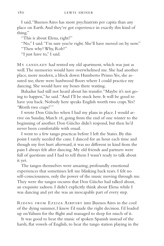I said, "Buenos Aires has more psychiatrists per capita than any place on Earth. And they've got experience in exactly this kind of thing."

"This is about Elena, right?"

"No," I said. "I'm sure you're right. She'll have moved on by now." "Then why? Why, Rob?"

"I just have to," I said.

MY LANDLADY had rented my old apartment, which was just as well. The memories would have overwhelmed me. She had another place, more modern, a block down Humberto Primo. Yes, she assured me, there were hardwood floors where I could practice my dancing. She would have my boxes there waiting.

Bahadur had still not heard about his transfer. "Maybe it's not going to happen," he said. "And I'll be stuck here. It will be good to have you back. Nobody here speaks English worth two craps. Yes? 'Worth two craps?'"

I wrote Don Güicho when I had my plans in place. I would arrive on Sunday, March 18, going from the end of one winter to the beginning of another. Don Güicho didn't respond, but then he'd never been comfortable with email.

I went to a few tango practicas before I left the States. By this point I rarely needed the cane. I danced for an hour each time and though my feet hurt afterward, it was no different in kind from the pain I always felt after dancing. My old friends and partners were full of questions and I had to tell them I wasn't ready to talk about it yet.

The tangos themselves were amazing, profoundly emotional experiences that sometimes left me blinking back tears. I felt no self-consciousness, only the power of the music moving through me. They were the tangos oscuros that Don Güicho had talked about, an exquisite sadness. I didn't explicitly think about Elena while I was dancing and yet she was an inescapable part of every step.

Riding from Ezeiza Airport into Buenos Aires in the cool of the dying summer, I knew I'd made the right decision. I'd loaded up on Valium for the flight and managed to sleep for much of it.

It was good to hear the music of spoken Spanish instead of the harsh, flat vowels of English, to hear the tango station playing in the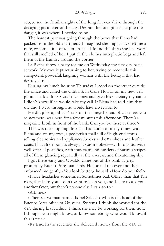cab, to see the familiar sights of the long freeway drive through the decaying perimeter of the city. Despite the foreignness, despite the danger, it was where I needed to be.

The hardest part was going through the boxes that Elena had packed from the old apartment. I imagined she might have left me a note, or some kind of token. Instead I found the shirts she had worn that still smelled of her. I put all the clothes into plastic bags and left them at the laundry around the corner.

La Reina threw a party for me on Wednesday, my first day back at work. My eyes kept returning to her, trying to reconcile this competent, powerful, laughing woman with the betrayal that had destroyed me.

During my lunch hour on Thursday, I stood on the street outside the office and called the Citibank in Calle Florida on my new cell phone. I asked for Osvaldo Lacunza and gave his secretary my name. I didn't know if he would take my call. If Elena had told him that she and I were through, he would have no reason to.

He did pick up. «I can't talk on this line,» he said. «I can meet you somewhere near here for a few minutes this afternoon. There's a magazine kiosk in front of the bank. Can you be there at three?»

This was the shopping district I had come to many times, with Elena and on my own, a pedestrian mall full of high-end stores selling electronics and appliances, books and CDs, shoes and leather coats. That afternoon, as always, it was mobbed—with tourists, with well-dressed porteños, with musicians and hustlers of various stripes, all of them glancing repeatedly at the overcast and threatening sky.

I got there early and Osvaldo came out of the bank at 3:15, prompt by Buenos Aires standards. He looked me over and then embraced me gently. «You look better,» he said. «How do you feel?»

«I have headaches sometimes. Sometimes bad. Other than that I'm okay, thanks to you. I don't want to keep you, and I hate to ask you another favor, but there's no one else I can go to.»

«Ask me.»

«There's a woman named Isabel Salcedo, who is the head of the Buenos Aires office of Universal Systems. I think she worked for the cia during la dictadura. I think she may be working for them now. I thought you might know, or know somebody who would know, if this is true.»

«It's true. In the seventies she delivered money from the cia to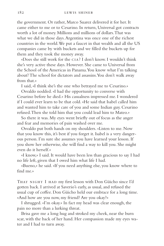the government. Or rather, Marco Suarez delivered it for her. It came either to me or to Cesarino. In return, Universal got contracts worth a lot of money. Millions and millions of dollars. That was what we did in those days. Argentina was once one of the richest countries in the world. We put a faucet in that wealth and all the US companies came by with buckets and we filled the buckets up for them and they took the money away.

«Does she still work for the cia? I don't know. I wouldn't think she's very active these days. However. She came to Universal from the School of the Americas in Panama. You know what I'm talking about? The school for dictators and assassins. You don't walk away from that.»

I said, «I think she's the one who betrayed me to Cesarino.»

Osvaldo nodded. «I had the opportunity to converse with Cesarino before he died.» His casualness impressed me. I wondered if I could ever learn to be that cold. «He said that Isabel called him and wanted him to take care of you and some Indian guy. Cesarino refused. Then she told him that you could lead him to Mateo.»

So there it was. My eyes went briefly out of focus as the anger and fear and memories of pain washed over me.

Osvaldo put both hands on my shoulders. «Listen to me. Now that you know this, it's best if you forget it. Isabel is a very dangerous person. I'm sure she assumes you have learned your lesson. If you show her otherwise, she will find a way to kill you. She might even do it herself.»

«I know,» I said. It would have been less than gracious to say I had no life left, given that I owed him what life I had.

«Bueno,» he said. «If you need anything else, you know where to find me.»

THAT NIGHT I HAD my first lesson with Don Güicho since I'd gotten back. I arrived at Saverio's early, as usual, and refused the usual cup of coffee. Don Güicho held our embrace for a long time. «And how are you now, my friend? Are you okay?»

I shrugged. «I'm okay.» In fact my head was clear enough, the pain no more than a lurking threat.

Brisa gave me a long hug and stroked my cheek, near the burn scar, with the back of her hand. Her compassion made my eyes water and I had to turn away.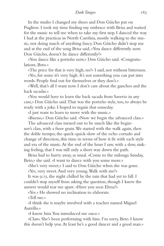In the studio I changed my shoes and Don Güicho put on Pugliese. I took my time finding my embrace with Brisa and waited for the music to tell me when to take my first step. I danced the way I had at the practicas in North Carolina, mostly walking to the music, not doing much of anything fancy. Don Güicho didn't stop me and at the end of the song Brisa said, «You dance differently now. Don Güicho, doesn't he dance differently?»

«You dance like a porteño now,» Don Güicho said. «Congratulations, Beto.»

«The price for that is very high, no?» I said, not without bitterness.

«Yes, for some it's very high. It's not something you can put into words. People find out for themselves or they don't.»

«Well, that's all I want now. I don't care about the ganchos and the back sacadas.»

«You would have to learn the back sacada from Saverio in any case,» Don Güicho said. That was the porteño style, too, to always be ready with a joke. I hoped to regain that someday.

«I just want to learn to move with the music.»

«Bueno,» Don Güicho said. «Now we begin the advanced class.»

The advanced class turned out to be much like the beginner's class, with a finer grain. We started with the walk again, then the doble tiempo, the quick-quick-slow of the ocho cortado and change of direction, this time in terms of how it fit with each style and era of the music. At the end of the hour I saw, with a slow, sinking feeling, that I was still only a short way down the path.

Brisa had to hurry away, as usual. «Come to the milonga Sunday, Beto,» she said. «I want to dance with you some more.»

«She's very sweet,» I said to Don Güicho when she was gone.

«Yes, very sweet. And very young. Walk with me?»

It was 9:15, the night chilled by the rain that had yet to fall. I couldn't stop myself from asking the question, though I knew the answer would tear me apart. «Have you seen Elena?»

«Yes.» He showed no inclination to elaborate.

«Tell me.»

«I think she is maybe involved with a teacher named Miguel Autrillo.»

«I know him. You introduced me once.»

«Claro. She's been performing with him. I'm sorry, Beto. I know this doesn't help you. At least he's a good dancer and a good man.»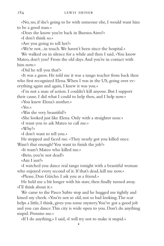«No, no, if she's going to be with someone else, I would want him to be a good man.»

«Does she know you're back in Buenos Aires?»

«I don't think so.»

«Are you going to tell her?»

«We're not...in touch. We haven't been since the hospital.»

We walked on in silence for a while and then I said, «You know Mateo, don't you? From the old days. And you're in contact with him now.»

«Did he tell you that?»

«It was a guess. He told me it was a tango teacher from back then who first recognized Elena. When I was in the US, going over everything again and again, I knew it was you.»

«I'm not a man of action. I couldn't kill anyone. But I support their cause. I did what I could to help then, and I help now.»

«You knew Elena's mother.»

«Yes.»

«Was she very beautiful?»

«She looked just like Elena. Only with a straighter nose.»

«I want you to ask Mateo to call me.»

«Why?»

«I don't want to tell you.»

He stopped and faced me. «They nearly got you killed once. Wasn't that enough? You want to finish the job?»

«It wasn't Mateo who killed me.»

«Beto, you're not dead!»

«Am I not?»

«I watched you dance real tango tonight with a beautiful woman who enjoyed every second of it. If that's dead, kill me now.»

«Please, Don Güicho. I ask you as a friend.»

He held me a bit longer with his stare, then finally turned away. «I'll think about it.»

We came to the Pasco Subte stop and he hugged me tightly and kissed my cheek. «You're not so old, not so bad looking. The scar helps a little, I think, gives you some mystery. You've got a good job and you can dance. This city is wide open to you. Don't do anything stupid. Promise me.»

•

«If I do anything,» I said, «I will try not to make it stupid.»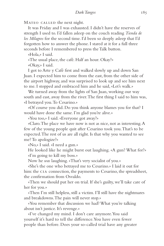MATEO CALLED the next night.

It was Friday and I was exhausted. I didn't have the reserves of strength I used to. I'd fallen asleep on the couch reading *Tienda de los Milagros* for the second time. I'd been so deeply asleep that I'd forgotten how to answer the phone. I stared at it for a full three seconds before I remembered to press the Talk button.

«Hola,» I said.

«The usual place, the café. Half an hour. Okay?»

«Okay,» I said.

I got to Arte y Café first and walked slowly up and down San Juan. I expected him to come from the east, from the other side of the airport highway, and was surprised to look up and see him next to me. I stopped and embraced him and he said, «Let's walk.»

We turned away from the lights of San Juan, working our way south and east, away from the river. The first thing I said to him was, «I betrayed you. To Cesarino.»

«Of course you did. Do you think anyone blames you for that? I would have done the same. I'm glad you're alive.»

«You too,» I said. «Everyone got away?»

«Claro. The place we have now is not as nice, not as interesting. A few of the young people quit after Cesarino took you. That's to be expected. The rest of us are all right. Is that why you wanted to see me? To apologize?»

«No,» I said. «I need a gun.»

He looked like he might burst out laughing. «A gun? What for?» «I'm going to kill my boss.»

Now he *was* laughing. «That's very socialist of you.»

«She's the one who betrayed me to Cesarino.» I laid it out for him: the CIA connection, the payments to Cesarino, the spreadsheet, the confirmation from Osvaldo.

«Then we should put her on trial. If she's guilty, we'll take care of her for you.»

«Then I'm still helpless, still a victim. I'll still have the nightmares and breakdowns. The pain will never stop.»

«You remember that discussion we had? What you're talking about isn't justice. It's revenge.»

«I've changed my mind. I don't care anymore. You said yourself it's hard to tell the difference. You have even fewer people than before. Does your so-called trial have any greater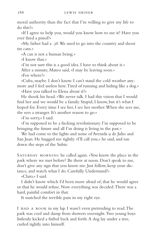moral authority than the fact that I'm willing to give my life to do this?»

«If I agree to help you, would you know how to use it? Have you ever fired a pistol?»

«My father had a .38. We used to go into the country and shoot tin cans.»

«A can is not a human being.»

«I know that.»

«I'm not sure this is a good idea. I have to think about it.»

After a minute, Mateo said, «I may be leaving soon.»

«For where?»

«Cuba, maybe. I don't know. I can't stand the cold weather anymore and I feel useless here. Tired of running and hiding like a dog.»

«Have you talked to Elena about it?»

He shook his head. «We never talk. I had this vision that I would find her and we would be a family. Stupid, I know, but it's what I hoped for. Every time I see her, I see her mother. When she sees me, she sees a stranger. It's another reason to go.»

«I'm sorry,» I said.

«I'm supposed to be a fucking revolutionary. I'm supposed to be bringing the future and all I'm doing is living in the past.»

We had come to the lights and noise of Avenida 9 de Julio and San Juan. He hugged me tightly. «I'll call you,» he said, and ran down the steps of the Subte.

SATURDAY MORNING he called again. «You know the place in the park where we met before? Be there at noon. Don't speak to me, don't give any sign that you know me. Just follow, keep your distance, and watch what I do. Carefully. Understand?»

«Claro,» I said.

I didn't know which I'd been more afraid of, that he would agree or that he would refuse. Now everything was decided. There was a hard, painful comfort in that.

It matched the terrible pain in my right eye.

I HAD A BOOK in my lap. I wasn't even pretending to read. The park was cool and damp from showers overnight. Two young boys listlessly kicked a futbol back and forth. A dog lay under a tree, curled tightly into himself.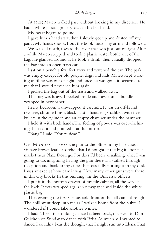At 12:25 Mateo walked past without looking in my direction. He had a white plastic grocery sack in his left hand.

My heart began to pound.

I gave him a head start, then I slowly got up and dusted off my pants. My hands shook. I put the book under my arm and followed.

We walked north, toward the river that was just out of sight. After a while Mateo stopped and took a plastic water bottle out of the bag. He glanced around as he took a drink, then casually dropped the bag into an open trash can.

I sat on a bench a few feet away and watched the can. The park was empty except for old people, dogs, and kids. Mateo kept walking until he was out of sight and once he was gone it occurred to me that I would never see him again.

I picked the bag out of the trash and walked away.

The bag was heavy. I peeked inside and saw a small bundle wrapped in newspaper.

In my bedroom, I unwrapped it carefully. It was an off-brand revolver, chrome finish, black plastic handle, .38 caliber, with five bullets in the cylinder and an empty chamber under the hammer.

I held it with both hands. The feeling of power was overwhelming. I raised it and pointed it at the mirror.

"Bang," I said. "You're dead."

ON MONDAY I TOOK the gun to the office in my briefcase, a vintage brown leather satchel that I'd bought at the big indoor flea market near Plaza Dorrego. For days I'd been visualizing what I was going to do, imagining having the gun there as I walked through reception and back to my cube, then carefully putting it in my desk. I was amazed at how easy it was. How many other guns were there in this city block? In this building? In the Universal offices?

I put it in the bottom drawer of my file cabinet, all the way at the back. It was wrapped again in newspaper and inside the white plastic bag.

That evening the first serious cold front of the fall came through. The chill went deep into me as I walked home from the Subte. I wondered if I could take another winter.

I hadn't been to a milonga since I'd been back, not even to Don Güicho's on Sunday to dance with Brisa. As much as I wanted to dance, I couldn't bear the thought that I might run into Elena. That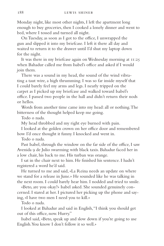Monday night, like most other nights, I left the apartment long enough to buy groceries, then I cooked a lonely dinner and went to bed, where I tossed and turned all night.

On Tuesday, as soon as I got to the office, I unwrapped the gun and slipped it into my briefcase. I left it there all day and waited to return it to the drawer until I'd shut my laptop down for the night.

It was there in my briefcase again on Wednesday morning at 11:25 when Bahadur called me from Isabel's office and asked if I would join them.

There was a sound in my head, the sound of the wind vibrating a taut wire, a high thrumming. I was so far inside myself that I could barely feel my arms and legs. I nearly tripped on the carpet as I picked up my briefcase and walked toward Isabel's office. I passed two people in the hall and didn't return their nods or hellos.

Words from another time came into my head: all or nothing. The bitterness of the thought helped keep me going.

Todo o nada.

My head throbbed and my right eye burned with pain.

I looked at the golden crown on her office door and remembered how I'd once thought it funny. I knocked and went in.

Todo o nada.

Past Isabel, through the window on the far side of the office, I saw Avenida 9 de Julio swarming with black taxis. Bahadur faced her in a low chair, his back to me. His turban was orange.

I sat in the chair next to him. He finished his sentence. I hadn't registered a word he'd said.

He turned to me and said, «La Reina needs an update on where we stand for a release in June.» He sounded like he was talking in the next room. I could barely hear him. I nodded and tried to smile.

«Beto, are you okay?» Isabel asked. She sounded genuinely concerned. I stared at her. I pictured her picking up the phone and saying, «I have two men I need you to kill.»

Todo o nada.

I looked at Bahadur and said in English, "I think you should get out of this office, now. Hurry."

Isabel said, «Beto, speak up and slow down if you're going to use English. You know I don't follow it so well.»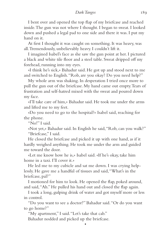I bent over and opened the top flap of my briefcase and reached inside. The gun was not where I thought. I began to sweat. I looked down and pushed a legal pad to one side and there it was. I put my hand on it.

At first I thought it was caught on something. It was heavy, was all. Tremendously, unbelievably heavy. I couldn't lift it.

I imagined Isabel's face as she saw the gun point at her. I pictured a black and white tile floor and a steel table. Sweat dripped off my forehead, running into my eyes.

«I think he's sick,» Bahadur said. He got up and stood next to me and switched to English. "Rob, are you okay? Do you need help?"

My whole arm was shaking. In desperation I tried once more to pull the gun out of the briefcase. My hand came out empty. Tears of frustration and self-hatred mixed with the sweat and poured down my face.

«I'll take care of him,» Bahadur said. He took me under the arms and lifted me to my feet.

«Do you need to go to the hospital?» Isabel said, reaching for the phone.

"No!" I said.

«Not yet,» Bahadur said. In English he said, "Rob, can you walk?" "Briefcase," I said.

He closed the briefcase and picked it up with one hand, as if it hardly weighed anything. He took me under the arm and guided me toward the door.

«Let me know how he is,» Isabel said. «If he's okay, take him home in a taxi. I'll cover it.»

He led me to my cubicle and sat me down. I was crying helplessly. He gave me a handful of tissues and said, "What's in the briefcase, pal?"

I motioned for him to look. He opened the flap, poked around, and said, "Ah." He pulled his hand out and closed the flap again.

I took a long, gulping drink of water and got myself more or less in control.

"Do you want to see a doctor?" Bahadur said. "Or do you want to go home?"

•

"My apartment," I said. "Let's take that cab."

Bahadur nodded and picked up the briefcase.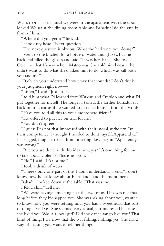WE DIDN'T TALK until we were in the apartment with the door locked. We sat at the dining room table and Bahadur laid the gun in front of him.

"Where did you get it?" he said.

I shook my head. "Next question."

"The next question is obvious. What the hell were you doing?"

I went to the kitchen for a bottle of water and glasses. I came back and filled the glasses and said, "It was her. Isabel. She told Cesarino that I knew where Mateo was. She told him because he didn't want to do what she'd asked him to do, which was kill both you and me."

"Rob, do you understand how crazy that sounds? I don't think your judgment right now—"

"Listen," I said. "Just listen."

I told him what I'd learned from Watkins and Osvaldo and what I'd put together for myself. The longer I talked, the farther Bahadur sat back in his chair, as if he wanted to distance himself from the words.

"Have you told all this to your montonero friend?"

"He offered to put her on trial for me."

"You didn't agree?"

"I guess I'm not that impressed with their moral authority. Or their competence. I thought I needed to do it myself. Apparently..." I shrugged, fought to keep from breaking down again. "Apparently I was wrong."

"But you are done with this idea now, yes? It's one thing for me to talk about violence. This is not you."

"No," I said. "It's not me."

I took a drink of water.

"There's only one part of this I don't understand," I said. "I don't know how Isabel knew about Elena and...and the montonero."

Bahadur looked down at the table. "That was me."

I felt a chill. "Tell me."

"We were having a meeting, just the two of us. This was not that long before they kidnapped you. She was asking about you, wanted to know how you were settling in, if you had a sweetheart, that sort of thing. I said yes. She seemed very casual, just interested because she liked you. Was it a local girl? Did she dance tango like you? That kind of thing. I see now that she was fishing. Fishing, yes? She has a way of making you want to tell her things."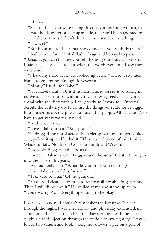"I know."

"So I told her you were seeing this really interesting woman, that she was the daughter of a desaparecido, that she'd been adopted by one of the torturers. I didn't think it was a secret or anything."

"It wasn't"

"But because I told her that, she connected you with this man."

I had to wait for an initial flash of rage and betrayal to pass. "Bahadur, you can't blame yourself. It's not your fault, it's Isabel's." I said it because I had to, but when the words were out, I saw they were true.

"I have my share of it." He looked up at me. "There is so much blame to go around. Enough for everyone."

"Mostly," I said, "for Isabel."

"Is it Isabel's fault? Or is it human nature? Greed is so strong in us. We are all so restless with it. Universal was greedy, so they made a deal with the dictatorship. I am greedy so I work for Universal despite the evil they do. These are the things we settle for. A bigger house, a sports car, the power to hurt other people. All because it's so hard to get what we really need."

"And what is that?"

"Love," Bahadur said. "And justice."

He dragged the pistol across the tabletop with one finger, looked at it, picked it up and hefted it. "This is a real piece of shit, I think. 'Made in Italy.' Not like a Colt or a Smith and Wesson."

"Probably. Beggars and choosers."

"Indeed," Bahadur said. "Beggars and choosers." He stuck the gun into the back of his jeans.

I was suddenly alert. "What do you think you're doing?"

"I will take care of this for you."

"Take care of what? Of the gun, or..."

"First I will clean it carefully to remove all possible fingerprints. Then I will dispose of it." He smiled at me and stood up to go. "Don't worry, Rob. Everything's going to be okay."

I was a wreck. I couldn't remember the last time I'd slept through the night. I was emotionally and physically exhausted, my shoulder and neck muscles like steel hawsers, my headache like a sulphuric acid injection through the middle of my right eye. I swallowed two Valium and took a long, hot shower. I put on a pair of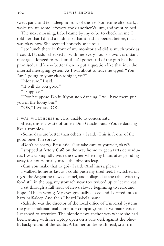sweat pants and fell asleep in front of the TV. Sometime after dark, I woke up, ate some leftovers, took another Valium, and went to bed.

The next morning, Isabel came by my cube to check on me. I told her that I'd had a flashback, that it had happened before, that I was okay now. She seemed honestly solicitous.

I ate lunch there in front of my monitor and did as much work as I could. Bahadur checked in with me every hour or two via instant message. I longed to ask him if he'd gotten rid of the gun like he promised, and knew better than to put a question like that into the internal messaging system. As I was about to leave he typed, "You \*are\* going to your class tonight, yes?"

"Not sure," I said.

"It will do you good."

"I suppose."

"Don't suppose. Do it. If you stop dancing, I will have them put you in the loony bin."

"OK," I wrote. "OK."

I was worthless in class, unable to concentrate.

«Beto, this is a waste of time,» Don Güicho said. «You're dancing like a zombie.»

«Some days are better than others,» I said. «This isn't one of the good ones. I'm sorry.»

«Don't be sorry,» Brisa said. «Just take care of yourself, okay?»

I stopped at Arte y Café on the way home to get a tarta de verduras. I was talking idly with the owner when my brain, after grinding away for hours, finally made the obvious leap.

«Can you make that to go?» I said. «And hurry, please.»

I walked home as fast as I could push my tired feet. I switched on  $c_5$ <sub>N</sub>, the Argentine news channel, and collapsed at the table with my food still in the bag, my stomach now too twisted up to let me eat.

I sat through a full hour of news, slowly beginning to relax and hope I'd been wrong. My eyes gradually closed and I drifted into a hazy half-sleep. And then I heard Isabel's name.

«Salcedo was the director of the local office of Universal Systems, the giant multinational computer company,» said a woman's voice. I snapped to attention. The blonde news anchor was where she had been, sitting with her laptop open on a bare desk against the bluelit background of the studio. A banner underneath read, MURDER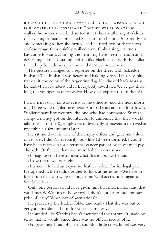rocks quiet neighborhood and police expand search for mysterious assailant. The time was 23:08. «As she walked home on a nearly deserted street shortly after eight o'clock this evening, a man approached Salcedo from behind. Apparently he said something to her, she turned, and he fired two or three shots at close range, then quickly walked away. Only a single witness has come forward, claiming the man may have been Jamaican and describing a knit Rasta cap and a bulky black jacket with the collar turned up. Salcedo was pronounced dead at the scene.»

The picture changed to a reporter on the street with Salcedo's husband. The husband was heavy and balding, dressed in a sky-blue track suit, the color of the Argentine flag. He choked back tears as he said, «I can't understand it. Everybody loved her. We've got three kids, the youngest is only twelve. How do I explain this to them?»

FOUR DETECTIVES ARRIVED at the office at 9:00 the next morning. Three were regular investigators in bad suits and the fourth was Sublieutenant Bonaventura, the one who had confiscated Suarez's computer. They got on the intercom to announce that they would talk to each of the 83 employees individually. Bonaventura arrived at my cubicle a few minutes later.

He sat me down in one of the empty offices and gave me a slow once-over. I didn't necessarily look like I'd been tortured. I could have been mistaken for a terminal cancer patient or an escaped psychopath. Or the accident victim in Isabel's cover story.

«I imagine you have an idea what this is about,» he said.

«I saw the news last night.»

«Bueno.» He had an expensive leather holder for his legal pad. He opened it, then didn't bother to look at his notes. «We have information that you were making some 'wild accusations' against Sra. Salcedo.»

Only one person could have given him that information and that was James W. Watkins in New York. I didn't bother to hide my surprise. «Really? What sort of accusations?»

He picked up the leather folder and read, «That she was out to get you, that she had it in for you in some way.»

It sounded like Watkins hadn't mentioned the torture. It made no sense that he would, since there was no official record of it.

«Forgive me,» I said, «but that sounds a little crazy. Isabel was very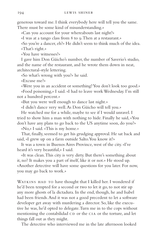generous toward me. I think everybody here will tell you the same. There must be some kind of misunderstanding.»

«Can you account for your whereabouts last night?»

«I was at a tango class from 8 to 9. Then at a restaurant.»

«So you're a dancer, eh?» He didn't seem to think much of the idea. «That's right.»

«You have witnesses?»

I gave him Don Güicho's number, the number of Saverio's studio, and the name of the restaurant, and he wrote them down in neat, architectural-style lettering.

«So what's wrong with you?» he said.

«Excuse me?»

«Were you in an accident or something? You don't look too good.» «Food poisoning,» I said. «I had to leave work Wednesday. I'm still not a hundred percent.»

«But you were well enough to dance last night.»

«I didn't dance very well. As Don Güicho will tell you.»

He watched me for a while, maybe to see if I would unravel. I tried to show him a man with nothing to hide. Finally he said, «You don't have any plans to go back to the US anytime soon, do you?»

«No,» I said. «This is my home.»

That, finally, seemed to get his grudging approval. He sat back and said, «I grew up on a farm outside Salto. You know it?»

It was a town in Buenos Aires Province, west of the city. «I've heard it's very beautiful,» I said.

«It was clean. This city is very dirty. But there's something about it, no? It makes you a part of itself, like it or not.» He stood up. «Another detective will have some questions for you later. For now, you may go back to work.»

WATKINS HAD TO have thought that I killed her. I wondered if he'd been tempted for a second or two to let it go, to not stir up any more ghosts of la dictadura. In the end, though, he and Isabel had been friends. And it was not a good precedent to let a software developer get away with murdering a director. So, like the executive he was, he'd opted to delegate. Turn me in to the cops without mentioning the contabilidad  $CD$  or the  $CIA$  or the torture, and let things fall out as they might.

The detective who interviewed me in the late afternoon looked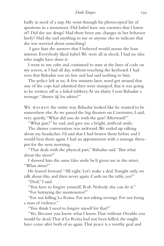badly in need of a nap. He went through his photocopied list of questions in a monotone. Did Isabel have any enemies that I knew of? Did she use drugs? Had there been any changes in her behavior lately? Had she said anything to me or anyone else to indicate that she was worried about something?

 I gave him the answers that I believed would arouse the least interest. Everybody liked Isabel. We were all in shock. I had no idea who might have done it.

I went to my cube and continued to stare at the lines of code on my screen, as I had all day, without touching the keyboard. I had seen that Bahadur was on line and had said nothing to him.

The police left at six. A few minutes later, word got around that one of the cops had admitted they were stumped, that it was going to be written off as a failed robbery. At six-thirty I sent Bahadur a message: "dinner @ los sabios?"

WE WALKED the entire way. Bahadur looked like he wanted to be somewhere else. As we passed the big theaters on Corrientes, I said, very quietly, "What did you do with the gun? Afterward?"

"What gun?" he said, and gave me a bright, artificial smile.

The dinner conversation was awkward. We ended up talking about my headaches. I'd said that I had beaten them before and I would beat them again. I had an appointment with a massage therapist for the next morning.

"That deals with the physical part," Bahadur said. "But what about the stress?"

I showed him the same false smile he'd given me in the street. "What stress?"

He leaned forward. "All right. Let's make a deal. Tonight only, we talk about this, and then never again. Cards on the table, yes?"

"Deal." I said.

"You have to forgive yourself, Rob. Nobody else can do it."

"For betraying the montoneros?"

"For not killing La Reina. For not taking revenge. For not being a man of violence."

"You think I need to forgive myself for that?"

"Yes. Because you know what I know. That without Osvaldo you would be dead. That if La Reina had not been killed, she might have come after both of us again. That peace is a worthy goal and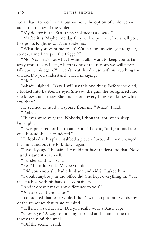we all have to work for it, but without the option of violence we are at the mercy of the violent."

"My doctor in the States says violence is a disease."

"Maybe it is. Maybe one day they will wipe it out like small pox, like polio. Right now, it's an epidemic."

"What do you want me to do? Watch more movies, get tougher, so next time I *can* pull the trigger?"

"No. No. That's not what I want at all. I want to keep you as far away from this as I can, which is one of the reasons we will never talk about this again. You can't treat this disease without catching the disease. Do you understand what I'm saying?"

" $No.$ "

Bahadur sighed. "Okay. I will say this one thing. Before she died, I looked into La Reina's eyes. She saw the gun, she recognized me, she knew that I knew. She understood everything. You know what I saw there?"

He seemed to need a response from me. "What?" I said. "Relief"

His eyes were very red. Nobody, I thought, got much sleep last night.

"I was prepared for her to attack me," he said, "to fight until the end. Instead she...surrendered."

He looked at his plate, stabbed a piece of broccoli, then changed his mind and put the fork down again.

"Two days ago," he said, "I would not have understood that. Now I understand it very well."

"I understand it," I said.

"Yes," Bahadur said. "Maybe you do."

"Did you know she had a husband and kids?" I asked him.

"I doubt anybody in the office did. She kept everything in..." He made a box with his hands. "...containers."

"And it doesn't make any difference to you?"

"A snake can have babies."

I considered that for a while. I didn't want to put into words any of the responses that came to mind.

"Tell me," I said at last. "Did you really wear a Rasta cap?"

"Clever, yes? A way to hide my hair and at the same time to throw them off the smell."

"Off the scent," I said.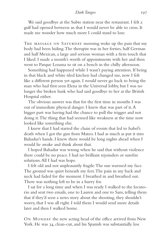We said goodbye at the Subte station near the restaurant. I felt a gulf had opened between us that I would never be able to cross. It made me wonder how much more I could stand to lose.

THE MASSAGE ON SATURDAY morning woke up the pain that my body had been hiding. The therapist was in her forties, half German and half Mexican, a large and serious woman with a firm touch that I liked. I made a month's worth of appointments with her and then went to Parque Lezama to sit on a bench in the chilly afternoon.

Something had happened while I wasn't paying attention. If being in that black and white tiled kitchen had changed me, now I felt like a different person yet again. I would never go back to being the man who had first seen Elena in the Universal lobby, but I was no longer the broken husk who had said goodbye to her at the British Hospital either.

The obvious answer was that for the first time in months I was out of immediate physical danger. I knew that was part of it. A bigger part was having had the chance to pull the trigger and not doing it. The thing that had seemed like weakness at the time now looked like something else.

I knew that I had started the chain of events that led to Isabel's death when I got the gun from Mateo. I had as much as put it into Bahadur's hands. I knew there would be long nights ahead when I would lie awake and think about that.

I hoped Bahadur was wrong when he said that without violence there could be no peace. I had no brilliant rejoinders or surefire solutions. All I had was hope.

I felt old and not unpleasantly fragile. The sun warmed my face. The ground was quiet beneath my feet. The pain in my back and neck had faded for the moment. I breathed in and breathed out. There was nothing left to be in a hurry for.

I sat for a long time and when I was ready I walked to the locutorio and sent two emails, one to Lauren and one to Sam, telling them that if they'd seen a news story about the shooting, they shouldn't worry, that I was all right. I told them I would send more details later and then I walked home.

ON MONDAY the new acting head of the office arrived from New York. He was 34, clean-cut, and his Spanish was substantially less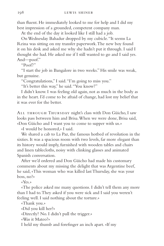than fluent. He immediately looked to me for help and I did my best impression of a grounded, competent company man.

At the end of the day it looked like I still had a job.

On Wednesday Bahadur dropped by my cubicle. "It seems La Reina was sitting on my transfer paperwork. The new boy found it on his desk and asked me why she hadn't put it through. I said I thought she had. He asked me if I still wanted to go and I said yes. And—poof."

"Poof?"

"I start the job in Bangalore in two weeks." His smile was weak, but genuine.

"Congratulations," I said. "I'm going to miss you."

"It's better this way," he said. "You know?"

I didn't know. I was feeling old again, not as much in the body as in the heart. I'd come to be afraid of change, had lost my belief that it was ever for the better.

All through Thursday night's class with Don Güicho, I saw looks pass between him and Brisa. When we were done, Brisa said, «Don Güicho and I want you to come to supper with us.»

«I would be honored,» I said.

We shared a cab to La Paz, the famous hotbed of revolution in the sixties. It was a spacious room with two levels, far more elegant than its history would imply, furnished with wooden tables and chairs and linen tablecloths, noisy with clinking glasses and animated Spanish conversation.

After we'd ordered and Don Güicho had made his customary comments about my missing the delight that was Argentine beef, he said, «This woman who was killed last Thursday, she was your boss, no?»

«Yes.»

«The police asked me many questions. I didn't tell them any more than I had to. They asked if you were sick and I said you weren't feeling well. I said nothing about the torture.»

«Thank you.»

«Did you kill her?»

«Directly? No. I didn't pull the trigger.»

«Was it Mateo?»

I held my thumb and forefinger an inch apart. «If my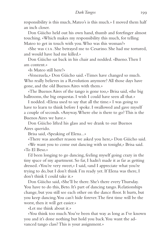responsibility is this much, Mateo's is this much.» I moved them half an inch closer.

Don Güicho held out his own hand, thumb and forefinger almost touching. «Which makes my responsibility this much, for telling Mateo to get in touch with you. Who was this woman?»

«She was cia. She betrayed me to Cesarino. She had me tortured, and would have had me killed.»

Don Güicho sat back in his chair and nodded. «Bueno. Then I am content.»

«Is Mateo still here?»

«Venezuela,» Don Güicho said. «Times have changed so much. Who really believes in a Revolution anymore? All those days have gone, and the old Buenos Aires with them.»

«The Buenos Aires of the tango is gone too,» Brisa said, «the big ballrooms, the big orquestas. I wish I could have seen all that.»

I nodded. «Elena used to say that all the time.» I was going to have to learn to think before I spoke. I swallowed and gave myself a couple of seconds. «Anyway. Where else is there to go? This is the Buenos Aires we have.»

Don Güicho lifted his glass and we drank to our Buenos Aires querido.

Brisa said, «Speaking of Elena...»

«There was another reason we asked you here,» Don Güicho said.

«We want you to come out dancing with us tonight,» Brisa said. «To El Beso.»

I'd been longing to go dancing, feeling myself going crazy in the tiny space of my apartment. So far, I hadn't made it as far as getting dressed. «You're very sweet,» I said, «and I appreciate what you're trying to do, but I don't think I'm ready yet. If Elena was there, I don't think I could take it.»

Don Güicho said, «She'll be there. She's there every Thursday. You have to do this, Beto. It's part of dancing tango. Relationships change, but you still see each other on the dance floor. It hurts, but you keep dancing. You can't hide forever. The first time will be the worst, then it will get easier.»

«Let me think about it.»

«You think too much. You've been that way as long as I've known you and it's done nothing but hold you back. You want the advanced tango class? This is your assignment.»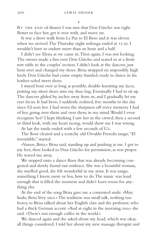•

BY THE END of dinner I was sure that Don Güicho was right. Better to face her, get it over with, and move on.

It was a short walk from La Paz to El Beso and it was eleven when we arrived. The Thursday night milonga ended at 12:30. I wouldn't have to endure more than an hour and a half.

I didn't see Elena as we came in. Then again, I was not looking. The owner made a fuss over Don Güicho and seated us at a front row table in the couples' section. I didn't look at the dancers, just bent over and changed my shoes. Brisa strapped on impossibly high heels. Don Güicho had come empty-handed, ready to dance in his leather-soled street shoes.

I stayed bent over as long as possible, double-knotting my laces, putting my street shoes into my shoe bag. Eventually I had to sit up. The dancers glided by, inches away from us, and I gradually let my eyes focus. It had been, I suddenly realized, five months to the day since I'd seen her. I had worn the sharpness off every memory I had of her, going over them and over them in my mind. Would I even recognize her? I kept thinking I saw her in the crowd, then a second or third look, with my heart racing, would show me I was wrong.

At last the tanda ended with a few seconds of U2.

The floor cleared and a scratchy old Osvaldo Fresedo tango, "El irresistible," started.

«Vamos, Beto,» Brisa said, standing up and pushing at me. I got to my feet, then looked to Don Güicho for permission, as was proper. He waved me away.

We stepped onto a dance floor that was already becoming congested and slowly found our embrace. She was a beautiful woman, she smelled good, she felt wonderful in my arms. It was tango, something I knew, more or less, how to do. The music was loud enough that it filled the moment and didn't leave room for anything else.

At the end of the song Brisa gave me a contented smile. «Muy lindo, Beto. Very nice.» The tradition was small talk, nothing too heavy, so Brisa talked about her English class and the professor, who had a thick German accent. «And at eight in the morning, too,» she said. «There's not enough coffee in the world.»

We danced again and she asked about my head, which was okay, all things considered. I told her about my new massage therapist and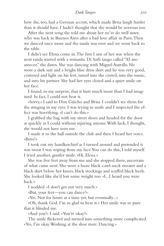how she, too, had a German accent, which made Brisa laugh harder than it should have. I hadn't thought that she would be nervous too.

After the next song she told me about her ne'er do well sister, who was back in Buenos Aires after a bad love affair in Paris. Then we danced once more and the tanda was over and we went back to the table.

I didn't see Elena come in. The first I saw of her was when the next tanda started with a romantic Di Sarli tango called "El amamecer," the dawn. She was dancing with Miguel Autrillo. He wore a dark suit and a bright blue dress shirt and he was very good, centered and light on his feet, tuned into the crowd, into the music, and into his partner. She had her eyes closed and a quiet smile on her face.

I found, to my surprise, that it hurt much more than I had imagined. In fact, I could not bear it.

«Sorry,» I said to Don Güicho and Brisa. I couldn't see them for the stinging in my eyes. I was trying to smile and I suspected the effect was horrifying. «I can't do this.»

I grabbed the bag with my street shoes and headed for the door as quickly as I could without injuring anyone. With luck, I thought, she would not have seen me.

I made it to the hall outside the club and then I heard her voice. «Beto?»

I took out my handkerchief as I turned around and pretended it was sweat I was wiping from my face. You can do this, I told myself. I tried another, gentler smile. «Hi, Elena.»

She was five feet away from me and she stopped there, uncertain of what came next. She wore a loose black cowl-neck sweater and a black skirt below her knees, black stockings and scuffed black heels. She looked like she'd lost some weight too. «I...I heard you were back.»

I nodded. «I don't get out very much.»

«But, your feet—you can dance?»

«Yes. Not for hours at a time yet, but eventually...»

«Oh, thank God. I'm so glad to hear it.» Her smile was so pure that it blinded me.

«And you?» I said. «You're okay?»

The smile flickered and turned into something more complicated. «Yes, I'm okay. Working at the shoe store. Dancing.»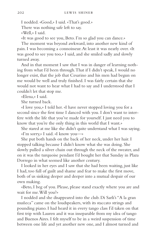I nodded. «Good,» I said. «That's good.» There was nothing safe left to say. «Well,» I said.

«It was good to see you, Beto. I'm so glad you can dance.»

The moment was beyond awkward, into another new kind of pain. I was becoming a connoisseur. At least it was nearly over. «It was good to see you too,» I said, and she smiled sadly and slowly turned away.

And in that moment I saw that I was in danger of learning nothing from what I'd been through. That if I didn't speak, I would no longer exist, that the job that Cesarino and his men had begun on me would be well and truly finished. I was fairly certain that she would not want to hear what I had to say and I understood that I couldn't let that stop me.

«Elena,» I said.

She turned back.

«I love you,» I told her. «I have never stopped loving you for a second since the first time I danced with you. I don't want to interfere with the life that you've made for yourself. I just need you to know that you're the only thing in this world that I want.»

She stared at me like she didn't quite understand what I was saying. «I'm sorry,» I said. «I know you—»

She put both hands on the back of her neck, under her hair. I stopped talking because I didn't know what she was doing. She slowly pulled a silver chain out through the neck of the sweater, and on it was the turquoise pendant I'd bought her that Sunday in Plaza Dorrego in what seemed like another century.

I looked in her eyes and I saw that she had been waiting, just like I had, too full of guilt and shame and fear to make the first move, both of us sinking deeper and deeper into a mutual despair of our own making.

«Beto, I beg of you. Please, please stand exactly where you are and wait for me. Will you?»

I nodded and she disappeared into the club. Di Sarli's "A la gran muñeca" came on the loudspeakers, with its staccato strings and pounding piano. I had heard it in every tango class I'd taken on that first trip with Lauren and it was inseparable from my idea of tango and Buenos Aires. I felt myself to be in a weird suspension of time between one life and yet another new one, and I almost turned and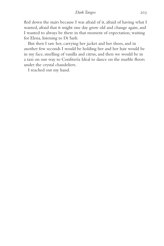fled down the stairs because I was afraid of it, afraid of having what I wanted, afraid that it might one day grow old and change again, and I wanted to always be there in that moment of expectation, waiting for Elena, listening to Di Sarli.

But then I saw her, carrying her jacket and her shoes, and in another few seconds I would be holding her and her hair would be in my face, smelling of vanilla and citrus, and then we would be in a taxi on our way to Confitería Ideal to dance on the marble floors under the crystal chandeliers.

I reached out my hand.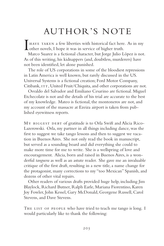# AUTHOR'S NOTE

I HAVE TAKEN a few liberties with historical fact here. As in my other novels, I hope it was in service of higher truth.

Marco Suarez is a fictional character, but Jorge Julio López is not. As of this writing, his kidnappers (and, doubtless, murderers) have not been identified, let alone punished.

The role of US corporations in some of the bloodiest repressions in Latin America is well known, but rarely discussed in the US. Universal Systems is a fictional creation; Ford Motor Company, Citibank, ITT, United Fruit/Chiquita, and other corporations are not.

Osvaldo del Salvador and Emiliano Cesarino are fictional. Miguel Etchecolatz is not and the details of his trial are accurate to the best of my knowledge. Mateo is fictional, the montoneros are not, and my account of the massacre at Ezeiza airport is taken from published eyewitness reports.

MY BIGGEST DEBT of gratitude is to Orla Swift and Alicia Rico-Lazerowski. Orla, my partner in all things including dance, was the first to suggest we take tango lessons and then to suggest we vacation in Buenos Aires. She not only read the book in manuscript, but served as a sounding board and did everything she could to make more time for me to write. She is a wellspring of love and encouragement. Alicia, born and raised in Buenos Aires, is a wonderful *tanguera* as well as an astute reader. She gave me an invaluable critique of the first draft, resulting in a new title, a name change for the protagonist, many corrections to my "too Mexican" Spanish, and dozens of other vital repairs.

Other readers of various drafts provided huge help, including Jim Blaylock, Richard Butner, Ralph Earle, Mariana Fiorentino, Karen Joy Fowler, John Kessel, Gary McDonald, Georgene Russell, Carol Stevens, and Dave Stevens.

THE LIST OF PEOPLE who have tried to teach me tango is long. I would particularly like to thank the following: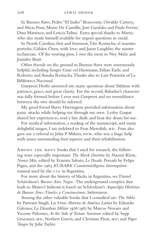In Buenos Aires, Pedro "El Indio" Benevente, Osvaldo Cartery, and Alicia Pons; Mario De Camillis, José Garafalo, and Paula Ferrio; Dina Martinez; and Leticia Tulissi. Extra special thanks to Mario, who also made himself available for urgent questions in email.

In North Carolina, first and foremost, Tito Restucha, el maestro porteño; Gülden Özen, with love; and Jason Laughlin, the master technician. Of the touring pros, I owe the most to Ney Melo and Jennifer Bratt.

Other friends on the ground in Buenos Aires were enormously helpful, including Sergio Gaut vel Hartmann, Ethan Earle, and Roberto and Amalia Restucha. Thanks also to Luis Pestarini of La Biblioteca Nacional.

Gurpreet Hothi answered my many questions about Sikhism with patience, grace, and great clarity. For the record, Bahadur's character was fully formed before I ever met Gurpreet and no resemblance between the two should be inferred.

My good friend Barry Harrington provided information about panic attacks while helping me through my own. Lesley Gaspar shared her experiences, read a late draft, and beat the drum for me.

For medical information, a reading of the manuscript, and many delightful tangos, I am indebted to Fran Meredith, MD. Fran also gave me a referral to John P. Miketa, DPM, who was a huge help with issues surrounding foot injuries and their rehabilitation.

Among the many books that I used for research, the following were especially important: *The Shock Doctrine* by Naomi Klein, *Nunca Más,* edited by Ernesto Sabato, *Lo Pasado Pensado* by Felipe Pigna, and the 1963 *KUBARK Counterintelligence Interrogation* manual used by the cia in Argentina.

For more about the history of blacks in Argentina, see Daniel Schávelzon's *Buenos Aires Negra.* The underground complex that leads to Mateo's hideout is based on Schávelzon's *Arqueolgía Histórica de Buenos Aires: Túneles y Construcciones Subterraneas.*

Among the other valuable books that I consulted are: *The Sikhs* by Patwant Singh; *Las Venas Abiertas de América Latina* by Eduardo Galeano; *La Dicatdura Militar 1976/1983* by Marcos Novaro and Vicente Palermo; *At the Side of Torture Survivors* edited by Sepp Graessner, MD, Norbert Gurris, and Christian Pross, MD; and *Paper Tangos* by Julie Taylor.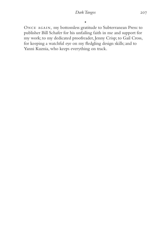•

ONCE AGAIN, my bottomless gratitude to Subterranean Press: to publisher Bill Schafer for his unfailing faith in me and support for my work; to my dedicated proofreader, Jenny Crisp; to Gail Cross, for keeping a watchful eye on my fledgling design skills; and to Yanni Kuznia, who keeps everything on track.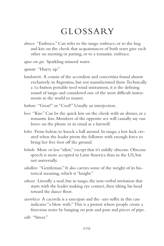## GLOSSARY

- *abrazo* "Embrace." Can refer to the tango embrace, or to the hug and kiss on the cheek that acquaintances of both sexes give each other on meeting or parting, or to a romantic embrace.
- *agua con gas* Sparkling mineral water.
- *apurate* "Hurry up."
- *bandoneón* A cousin of the accordion and concertina found almost exclusively in Argentina, but not manufactured there. Technically a 72-button portable reed wind instrument, it is the defining sound of tango and considered one of the most difficult instruments in the world to master.
- *barbaro* "Great!" or "Cool!" Usually an interjection.
- *beso* "Kiss." Can be the quick kiss on the cheek with an abrazo, or a romantic kiss. Members of the opposite sex will casually say «un beso» on the phone or in email as a farewell.
- *boleo* From bolear, to knock a ball around. In tango, a low kick created when the leader pivots the follower with enough force to bring her free foot off the ground.
- *boludo* More or less "idiot," except that it's mildly obscene. Obscene speech is more accepted in Latin America than in the US, but not universally.
- *caballero* "Gentleman." It also carries some of the weight of its historical meaning, which is "knight."
- *cabeceo* Literally a nod, but in tango, the non-verbal invitation that starts with the leader making eye contact, then tilting his head toward the dance floor.
- *cacerolazo* A cacerola is a saucepan and the -azo suffix in this case indicates "a blow with." This is a protest where people create a ferocious noise by banging on pots and pans and pieces of pipe.

*calle* "Street."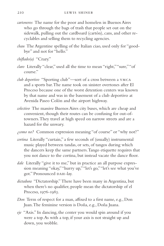- *cartoneros* The name for the poor and homeless in Buenos Aires who go through the bags of trash that people set out on the sidewalk, pulling out the cardboard (cartón), cans, and other recyclables and selling them to recycling agencies.
- *chau* The Argentine spelling of the Italian ciao, used only for "goodbye" and not for "hello."
- *chiflado(a)* "Crazy."
- *claro* Literally "clear," used all the time to mean "right," "sure," "of course."
- *club deportivo* "Sporting club"—sort of a cross between a ymca and a sports bar. The name took on sinister overtones after El Proceso because one of the worst detention centers was known by that name and was in the basement of a club deportivo at Avenida Paseo Colón and the airport highway.
- *colectivo* The massive Buenos Aires city buses, which are cheap and convenient, though their routes can be confusing for out-oftowners. They travel at high speed on narrow streets and are a hazard for the unwary.
- *¿como no?* Common expression meaning "of course" or "why not?"
- *cortina* Literally "curtain," a few seconds of (usually) instrumental music played between tandas, or sets, of tangos during which the dancers keep the same partners. Tango etiquette requires that you not dance to the cortina, but instead vacate the dance floor.
- *dale* Literally "give it to me," but in practice an all purpose expression meaning "okay," "hurry up," "let's go," "let's see what you've got." Pronounced DAH-lay.
- *dictadura* "Dictatorship." There have been many in Argentina, but when there's no qualifier, people mean the dictatorship of el Proceso, 1976-1983.
- *Don* Term of respect for a man, affixed to a first name, e.g., Don Juan. The feminine version is Doña, e.g., Doña Juana.
- *eje* "Axis." In dancing, the center you would spin around if you were a top. As with a top, if your axis is not straight up and down, you wobble.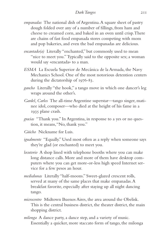- *empanadas* The national dish of Argentina. A square sheet of pastry dough folded over any of a number of fillings, from ham and cheese to creamed corn, and baked in an oven until crisp. There are chains of fast food empanada stores competing with mom and pop bakeries, and even the bad empanadas are delicious.
- *encantado(a)* Literally "enchanted," but commonly used to mean "nice to meet you." Typically said to the opposite sex; a woman would say «encantada» to a man.
- *ESMA* La Escuela Superior de Mecánica de la Armada, the Navy Mechanics School. One of the most notorious detention centers during the dictatorship of 1976-83.
- *gancho* Literally "the hook," a tango move in which one dancer's leg wraps around the other's.
- *Gardel, Carlos* The all-time Argentine superstar—tango singer, matinee idol, composer—who died at the height of his fame in a 1935 plane crash.
- *gracias* "Thank you." In Argentina, in response to a yes or no question, it means, "No, thank you."
- *Güicho* Nickname for Luis.
- *igualmente* "Equally." Used most often as a reply when someone says they're glad (or enchanted) to meet you.
- *locutorio* A shop lined with telephone booths where you can make long distance calls. More and more of them have desktop computers where you can get more-or-less high speed Internet service for a few pesos an hour.
- *medialunas* Literally "half-moons." Sweet-glazed crescent rolls, served at many of the same places that make empanadas. A breakfast favorite, especially after staying up all night dancing tango.
- *microcentro* Midtown Buenos Aires, the area around the Obelisk. This is the central business district, the theater district, the main shopping district.
- *milonga* A dance party, a dance step, and a variety of music. Essentially a quicker, more staccato form of tango, the milonga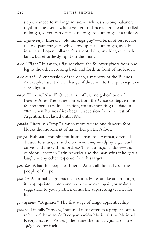step is danced to milonga music, which has a strong habanera rhythm. The events where you go to dance tango are also called milongas, so you can dance a milonga to a milonga at a milonga.

- *milonguero viejo* Literally "old milonga guy"—a term of respect for the old paunchy guys who show up at the milongas, usually in suits and open collared shirts, not doing anything especially fancy, but effortlessly right on the music.
- *ocho* "Eight." In tango, a figure where the follower pivots from one leg to the other, crossing back and forth in front of the leader.
- *ocho cortado* A cut version of the ocho, a mainstay of the Buenos Aires style. Essentially a change of direction to the quick-quickslow rhythm.
- *onze* "Eleven." Also El Once, an unofficial neighborhood of Buenos Aires. The name comes from the Once de Septiembre (September 11) railroad station, commemorating the date in 1852 when Buenos Aires began a secession from the rest of Argentina that lasted until 1880.
- *parada* Literally a "stop," a tango move where one dancer's foot blocks the movement of his or her partner's foot.
- *piropo* Elaborate compliment from a man to a woman, often addressed to strangers, and often involving wordplay, e.g., «Such curves and me with no brakes.» This is a major indoor—and outdoor—sport in Latin America and the man wins if he gets a laugh, or any other response, from his target.
- *porteños* What the people of Buenos Aires call themselves—the people of the port.
- *practica* A formal tango practice session. Here, unlike at a milonga, it's appropriate to stop and try a move over again, or make a suggestion to your partner, or ask the supervising teacher for help.
- *principiante* "Beginner." The first stage of tango apprenticeship.
- *proceso* Literally "process," but used most often as a proper noun to refer to el Proceso de Reorganización Nacional (the National Reorganization Process), the name the military junta of 1976- 1983 used for itself.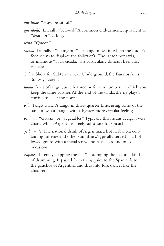*qué lindo* "How beautiful."

- *querido(a)* Literally "beloved." A common endearment, equivalent to "dear" or "darling."
- *reina* "Queen."
- *sacada* Literally a "taking out"—a tango move in which the leader's foot seems to displace the follower's. The sacada por atrás, or infamous "back sacada," is a particularly difficult heel-first variation.
- *Subte* Short for Subterraneo, or Underground, the Buenos Aires Subway system.
- *tanda* A set of tangos, usually three or four in number, in which you keep the same partner. At the end of the tanda, the DJ plays a cortina to clear the floor.
- *vals* Tango waltz. A tango in three-quarter time, using some of the same moves as tango, with a lighter, more circular feeling.
- *verduras* "Greens" or "vegetables." Typically this means acelga, Swiss chard, which Argentines freely substitute for spinach.
- *yerba mate* The national drink of Argentina, a hot herbal tea containing caffeine and other stimulants. Typically served in a hollowed gourd with a metal straw and passed around on social occasions.
- *zapateo* Literally "tapping the feet"—stomping the feet as a kind of drumming. It passed from the gypsies to the Spaniards to the gauchos of Argentina and thus into folk dances like the chacarera.